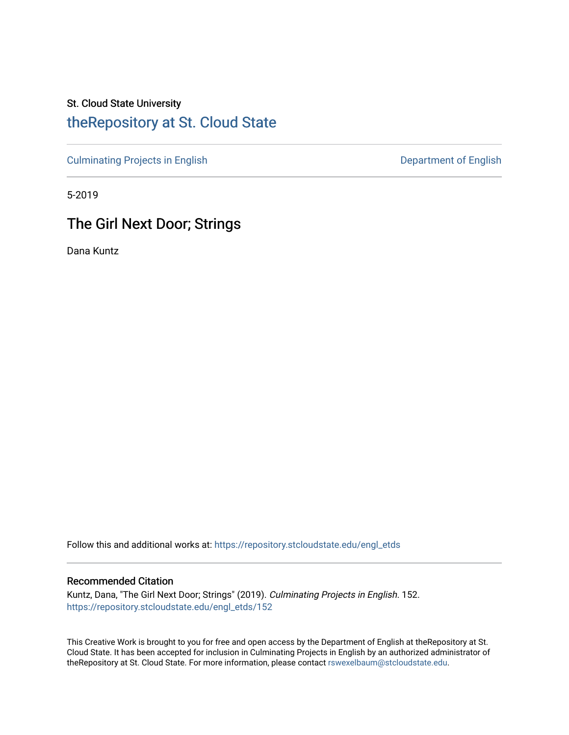# St. Cloud State University [theRepository at St. Cloud State](https://repository.stcloudstate.edu/)

[Culminating Projects in English](https://repository.stcloudstate.edu/engl_etds) Culminating Projects in English

5-2019

# The Girl Next Door; Strings

Dana Kuntz

Follow this and additional works at: [https://repository.stcloudstate.edu/engl\\_etds](https://repository.stcloudstate.edu/engl_etds?utm_source=repository.stcloudstate.edu%2Fengl_etds%2F152&utm_medium=PDF&utm_campaign=PDFCoverPages)

### Recommended Citation

Kuntz, Dana, "The Girl Next Door; Strings" (2019). Culminating Projects in English. 152. [https://repository.stcloudstate.edu/engl\\_etds/152](https://repository.stcloudstate.edu/engl_etds/152?utm_source=repository.stcloudstate.edu%2Fengl_etds%2F152&utm_medium=PDF&utm_campaign=PDFCoverPages)

This Creative Work is brought to you for free and open access by the Department of English at theRepository at St. Cloud State. It has been accepted for inclusion in Culminating Projects in English by an authorized administrator of theRepository at St. Cloud State. For more information, please contact [rswexelbaum@stcloudstate.edu.](mailto:rswexelbaum@stcloudstate.edu)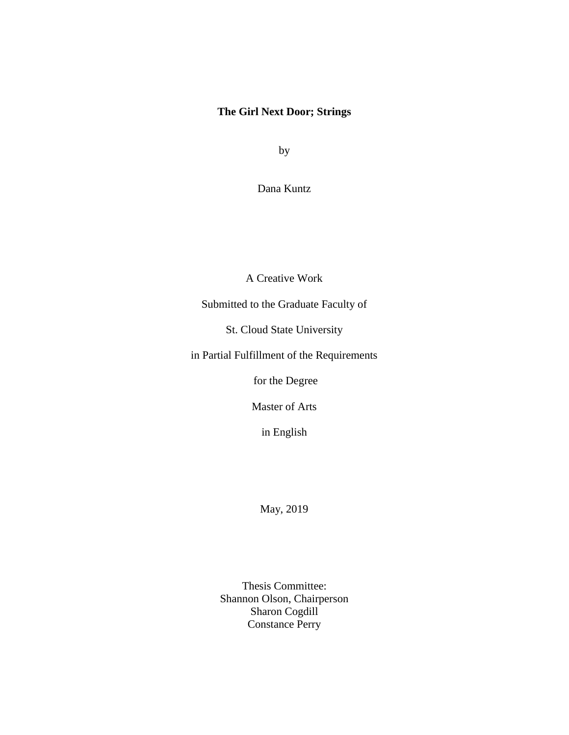### **The Girl Next Door; Strings**

by

Dana Kuntz

A Creative Work

Submitted to the Graduate Faculty of

St. Cloud State University

in Partial Fulfillment of the Requirements

for the Degree

Master of Arts

in English

May, 2019

Thesis Committee: Shannon Olson, Chairperson Sharon Cogdill Constance Perry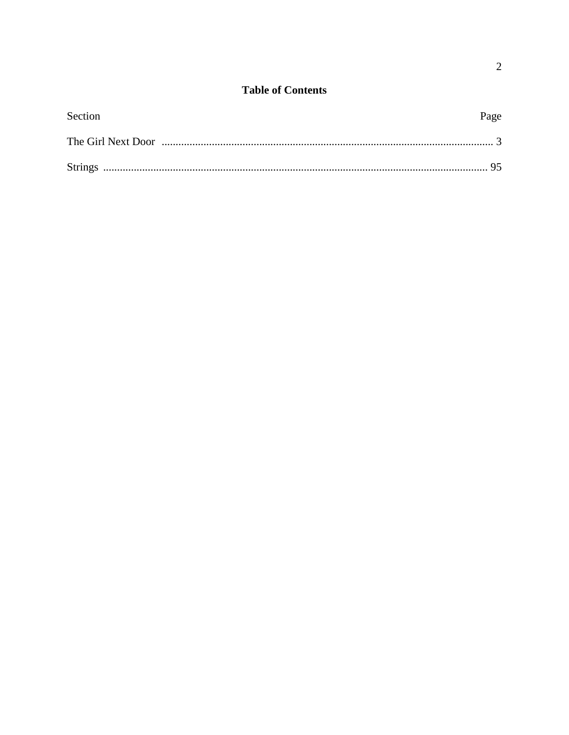| Section | Page |
|---------|------|
|         |      |
|         |      |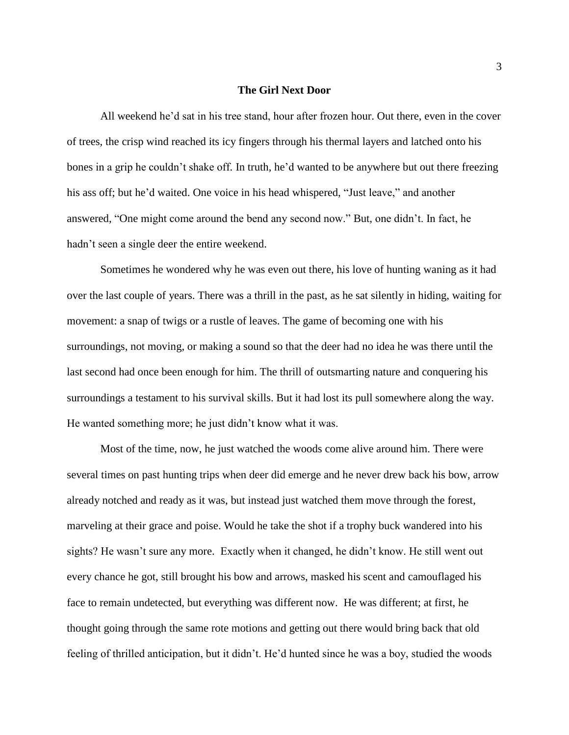#### **The Girl Next Door**

All weekend he'd sat in his tree stand, hour after frozen hour. Out there, even in the cover of trees, the crisp wind reached its icy fingers through his thermal layers and latched onto his bones in a grip he couldn't shake off. In truth, he'd wanted to be anywhere but out there freezing his ass off; but he'd waited. One voice in his head whispered, "Just leave," and another answered, "One might come around the bend any second now." But, one didn't. In fact, he hadn't seen a single deer the entire weekend.

Sometimes he wondered why he was even out there, his love of hunting waning as it had over the last couple of years. There was a thrill in the past, as he sat silently in hiding, waiting for movement: a snap of twigs or a rustle of leaves. The game of becoming one with his surroundings, not moving, or making a sound so that the deer had no idea he was there until the last second had once been enough for him. The thrill of outsmarting nature and conquering his surroundings a testament to his survival skills. But it had lost its pull somewhere along the way. He wanted something more; he just didn't know what it was.

Most of the time, now, he just watched the woods come alive around him. There were several times on past hunting trips when deer did emerge and he never drew back his bow, arrow already notched and ready as it was, but instead just watched them move through the forest, marveling at their grace and poise. Would he take the shot if a trophy buck wandered into his sights? He wasn't sure any more. Exactly when it changed, he didn't know. He still went out every chance he got, still brought his bow and arrows, masked his scent and camouflaged his face to remain undetected, but everything was different now. He was different; at first, he thought going through the same rote motions and getting out there would bring back that old feeling of thrilled anticipation, but it didn't. He'd hunted since he was a boy, studied the woods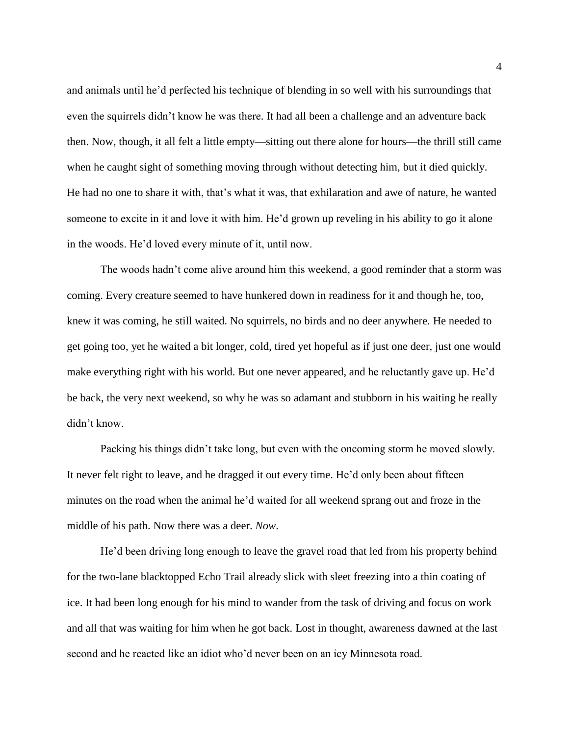and animals until he'd perfected his technique of blending in so well with his surroundings that even the squirrels didn't know he was there. It had all been a challenge and an adventure back then. Now, though, it all felt a little empty—sitting out there alone for hours—the thrill still came when he caught sight of something moving through without detecting him, but it died quickly. He had no one to share it with, that's what it was, that exhilaration and awe of nature, he wanted someone to excite in it and love it with him. He'd grown up reveling in his ability to go it alone in the woods. He'd loved every minute of it, until now.

The woods hadn't come alive around him this weekend, a good reminder that a storm was coming. Every creature seemed to have hunkered down in readiness for it and though he, too, knew it was coming, he still waited. No squirrels, no birds and no deer anywhere. He needed to get going too, yet he waited a bit longer, cold, tired yet hopeful as if just one deer, just one would make everything right with his world. But one never appeared, and he reluctantly gave up. He'd be back, the very next weekend, so why he was so adamant and stubborn in his waiting he really didn't know.

Packing his things didn't take long, but even with the oncoming storm he moved slowly. It never felt right to leave, and he dragged it out every time. He'd only been about fifteen minutes on the road when the animal he'd waited for all weekend sprang out and froze in the middle of his path. Now there was a deer. *Now*.

He'd been driving long enough to leave the gravel road that led from his property behind for the two-lane blacktopped Echo Trail already slick with sleet freezing into a thin coating of ice. It had been long enough for his mind to wander from the task of driving and focus on work and all that was waiting for him when he got back. Lost in thought, awareness dawned at the last second and he reacted like an idiot who'd never been on an icy Minnesota road.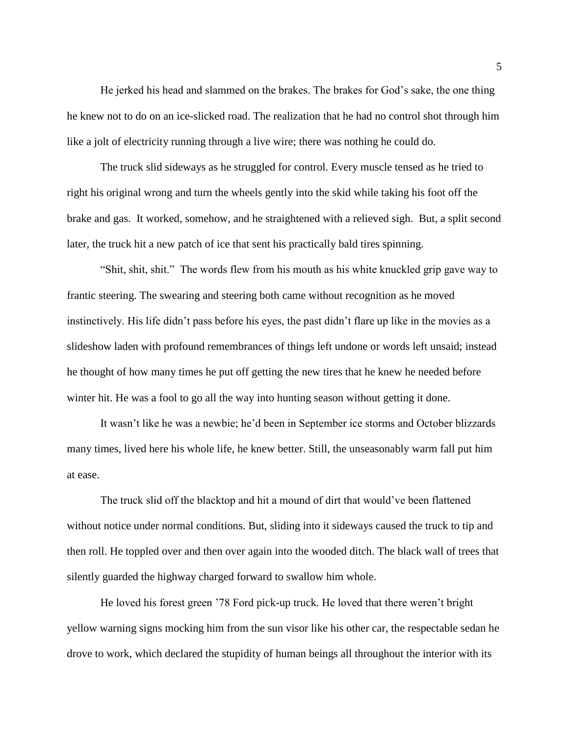He jerked his head and slammed on the brakes. The brakes for God's sake, the one thing he knew not to do on an ice-slicked road. The realization that he had no control shot through him like a jolt of electricity running through a live wire; there was nothing he could do.

The truck slid sideways as he struggled for control. Every muscle tensed as he tried to right his original wrong and turn the wheels gently into the skid while taking his foot off the brake and gas. It worked, somehow, and he straightened with a relieved sigh. But, a split second later, the truck hit a new patch of ice that sent his practically bald tires spinning.

"Shit, shit, shit." The words flew from his mouth as his white knuckled grip gave way to frantic steering. The swearing and steering both came without recognition as he moved instinctively. His life didn't pass before his eyes, the past didn't flare up like in the movies as a slideshow laden with profound remembrances of things left undone or words left unsaid; instead he thought of how many times he put off getting the new tires that he knew he needed before winter hit. He was a fool to go all the way into hunting season without getting it done.

It wasn't like he was a newbie; he'd been in September ice storms and October blizzards many times, lived here his whole life, he knew better. Still, the unseasonably warm fall put him at ease.

The truck slid off the blacktop and hit a mound of dirt that would've been flattened without notice under normal conditions. But, sliding into it sideways caused the truck to tip and then roll. He toppled over and then over again into the wooded ditch. The black wall of trees that silently guarded the highway charged forward to swallow him whole.

He loved his forest green '78 Ford pick-up truck. He loved that there weren't bright yellow warning signs mocking him from the sun visor like his other car, the respectable sedan he drove to work, which declared the stupidity of human beings all throughout the interior with its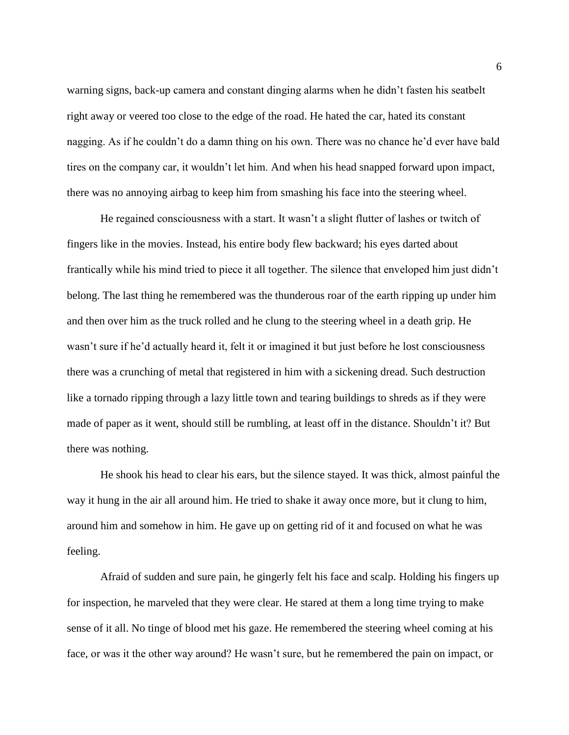warning signs, back-up camera and constant dinging alarms when he didn't fasten his seatbelt right away or veered too close to the edge of the road. He hated the car, hated its constant nagging. As if he couldn't do a damn thing on his own. There was no chance he'd ever have bald tires on the company car, it wouldn't let him. And when his head snapped forward upon impact, there was no annoying airbag to keep him from smashing his face into the steering wheel.

He regained consciousness with a start. It wasn't a slight flutter of lashes or twitch of fingers like in the movies. Instead, his entire body flew backward; his eyes darted about frantically while his mind tried to piece it all together. The silence that enveloped him just didn't belong. The last thing he remembered was the thunderous roar of the earth ripping up under him and then over him as the truck rolled and he clung to the steering wheel in a death grip. He wasn't sure if he'd actually heard it, felt it or imagined it but just before he lost consciousness there was a crunching of metal that registered in him with a sickening dread. Such destruction like a tornado ripping through a lazy little town and tearing buildings to shreds as if they were made of paper as it went, should still be rumbling, at least off in the distance. Shouldn't it? But there was nothing.

He shook his head to clear his ears, but the silence stayed. It was thick, almost painful the way it hung in the air all around him. He tried to shake it away once more, but it clung to him, around him and somehow in him. He gave up on getting rid of it and focused on what he was feeling.

Afraid of sudden and sure pain, he gingerly felt his face and scalp. Holding his fingers up for inspection, he marveled that they were clear. He stared at them a long time trying to make sense of it all. No tinge of blood met his gaze. He remembered the steering wheel coming at his face, or was it the other way around? He wasn't sure, but he remembered the pain on impact, or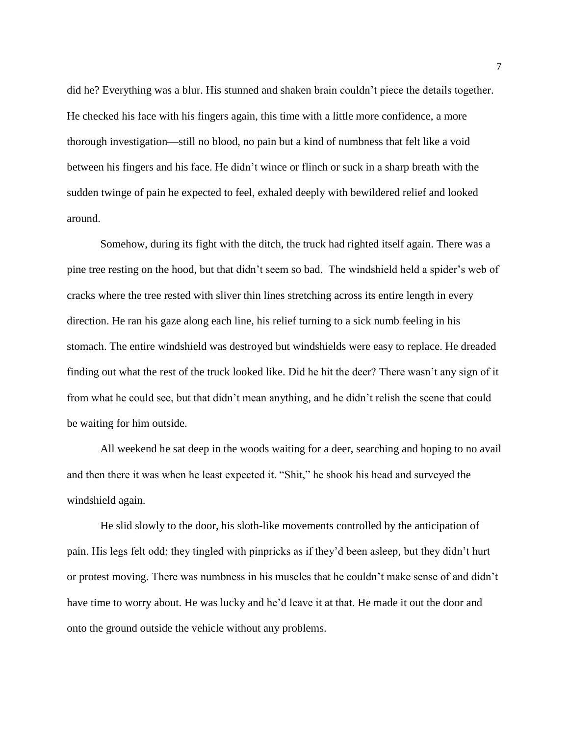did he? Everything was a blur. His stunned and shaken brain couldn't piece the details together. He checked his face with his fingers again, this time with a little more confidence, a more thorough investigation—still no blood, no pain but a kind of numbness that felt like a void between his fingers and his face. He didn't wince or flinch or suck in a sharp breath with the sudden twinge of pain he expected to feel, exhaled deeply with bewildered relief and looked around.

Somehow, during its fight with the ditch, the truck had righted itself again. There was a pine tree resting on the hood, but that didn't seem so bad. The windshield held a spider's web of cracks where the tree rested with sliver thin lines stretching across its entire length in every direction. He ran his gaze along each line, his relief turning to a sick numb feeling in his stomach. The entire windshield was destroyed but windshields were easy to replace. He dreaded finding out what the rest of the truck looked like. Did he hit the deer? There wasn't any sign of it from what he could see, but that didn't mean anything, and he didn't relish the scene that could be waiting for him outside.

All weekend he sat deep in the woods waiting for a deer, searching and hoping to no avail and then there it was when he least expected it. "Shit," he shook his head and surveyed the windshield again.

He slid slowly to the door, his sloth-like movements controlled by the anticipation of pain. His legs felt odd; they tingled with pinpricks as if they'd been asleep, but they didn't hurt or protest moving. There was numbness in his muscles that he couldn't make sense of and didn't have time to worry about. He was lucky and he'd leave it at that. He made it out the door and onto the ground outside the vehicle without any problems.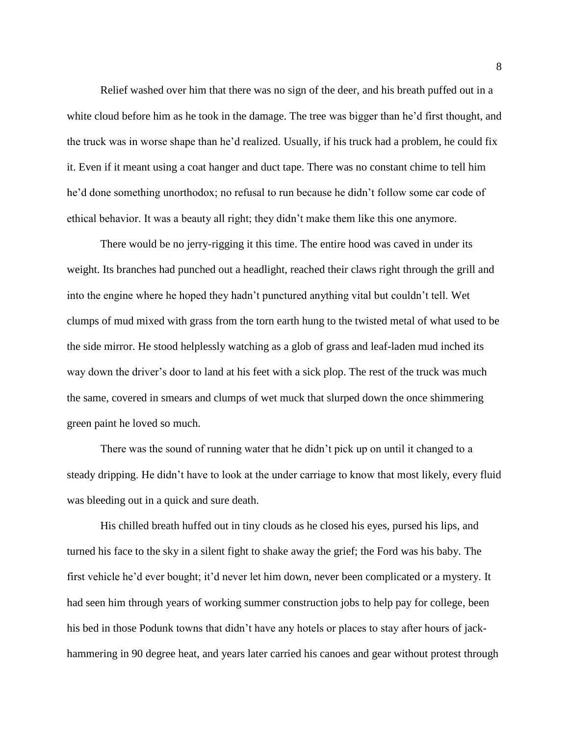Relief washed over him that there was no sign of the deer, and his breath puffed out in a white cloud before him as he took in the damage. The tree was bigger than he'd first thought, and the truck was in worse shape than he'd realized. Usually, if his truck had a problem, he could fix it. Even if it meant using a coat hanger and duct tape. There was no constant chime to tell him he'd done something unorthodox; no refusal to run because he didn't follow some car code of ethical behavior. It was a beauty all right; they didn't make them like this one anymore.

There would be no jerry-rigging it this time. The entire hood was caved in under its weight. Its branches had punched out a headlight, reached their claws right through the grill and into the engine where he hoped they hadn't punctured anything vital but couldn't tell. Wet clumps of mud mixed with grass from the torn earth hung to the twisted metal of what used to be the side mirror. He stood helplessly watching as a glob of grass and leaf-laden mud inched its way down the driver's door to land at his feet with a sick plop. The rest of the truck was much the same, covered in smears and clumps of wet muck that slurped down the once shimmering green paint he loved so much.

There was the sound of running water that he didn't pick up on until it changed to a steady dripping. He didn't have to look at the under carriage to know that most likely, every fluid was bleeding out in a quick and sure death.

His chilled breath huffed out in tiny clouds as he closed his eyes, pursed his lips, and turned his face to the sky in a silent fight to shake away the grief; the Ford was his baby. The first vehicle he'd ever bought; it'd never let him down, never been complicated or a mystery. It had seen him through years of working summer construction jobs to help pay for college, been his bed in those Podunk towns that didn't have any hotels or places to stay after hours of jackhammering in 90 degree heat, and years later carried his canoes and gear without protest through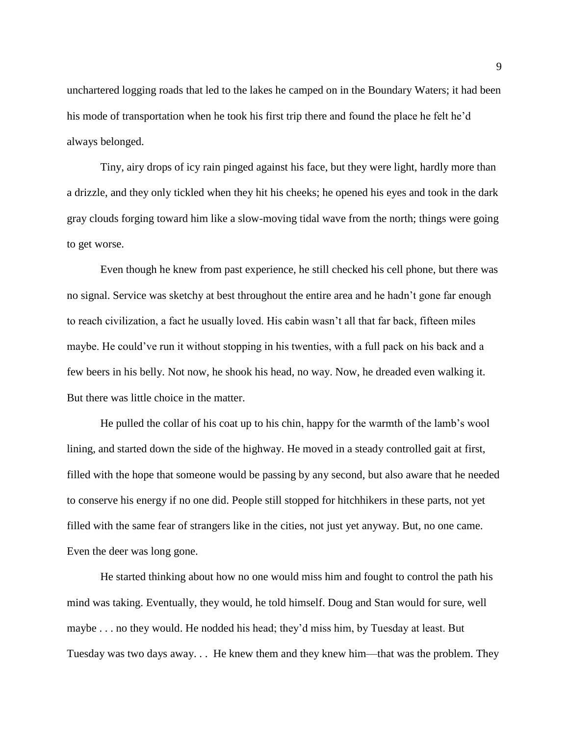unchartered logging roads that led to the lakes he camped on in the Boundary Waters; it had been his mode of transportation when he took his first trip there and found the place he felt he'd always belonged.

Tiny, airy drops of icy rain pinged against his face, but they were light, hardly more than a drizzle, and they only tickled when they hit his cheeks; he opened his eyes and took in the dark gray clouds forging toward him like a slow-moving tidal wave from the north; things were going to get worse.

Even though he knew from past experience, he still checked his cell phone, but there was no signal. Service was sketchy at best throughout the entire area and he hadn't gone far enough to reach civilization, a fact he usually loved. His cabin wasn't all that far back, fifteen miles maybe. He could've run it without stopping in his twenties, with a full pack on his back and a few beers in his belly. Not now, he shook his head, no way. Now, he dreaded even walking it. But there was little choice in the matter.

He pulled the collar of his coat up to his chin, happy for the warmth of the lamb's wool lining, and started down the side of the highway. He moved in a steady controlled gait at first, filled with the hope that someone would be passing by any second, but also aware that he needed to conserve his energy if no one did. People still stopped for hitchhikers in these parts, not yet filled with the same fear of strangers like in the cities, not just yet anyway. But, no one came. Even the deer was long gone.

He started thinking about how no one would miss him and fought to control the path his mind was taking. Eventually, they would, he told himself. Doug and Stan would for sure, well maybe . . . no they would. He nodded his head; they'd miss him, by Tuesday at least. But Tuesday was two days away. . . He knew them and they knew him—that was the problem. They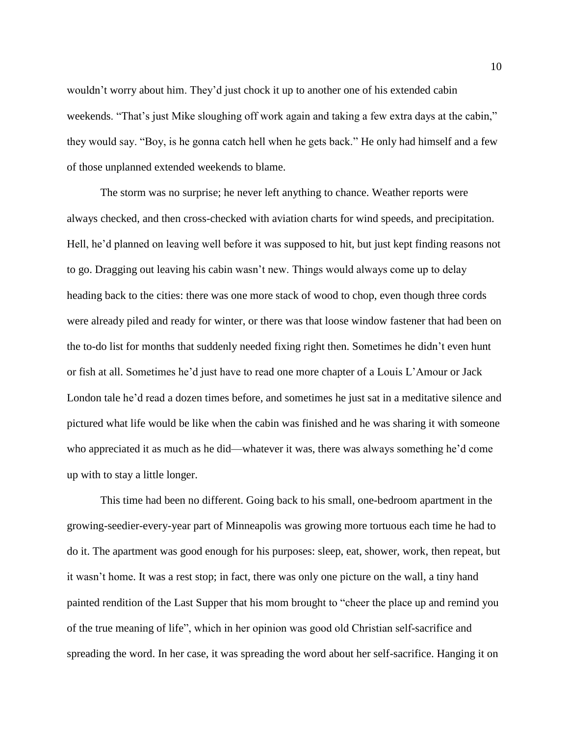wouldn't worry about him. They'd just chock it up to another one of his extended cabin weekends. "That's just Mike sloughing off work again and taking a few extra days at the cabin," they would say. "Boy, is he gonna catch hell when he gets back." He only had himself and a few of those unplanned extended weekends to blame.

The storm was no surprise; he never left anything to chance. Weather reports were always checked, and then cross-checked with aviation charts for wind speeds, and precipitation. Hell, he'd planned on leaving well before it was supposed to hit, but just kept finding reasons not to go. Dragging out leaving his cabin wasn't new. Things would always come up to delay heading back to the cities: there was one more stack of wood to chop, even though three cords were already piled and ready for winter, or there was that loose window fastener that had been on the to-do list for months that suddenly needed fixing right then. Sometimes he didn't even hunt or fish at all. Sometimes he'd just have to read one more chapter of a Louis L'Amour or Jack London tale he'd read a dozen times before, and sometimes he just sat in a meditative silence and pictured what life would be like when the cabin was finished and he was sharing it with someone who appreciated it as much as he did—whatever it was, there was always something he'd come up with to stay a little longer.

This time had been no different. Going back to his small, one-bedroom apartment in the growing-seedier-every-year part of Minneapolis was growing more tortuous each time he had to do it. The apartment was good enough for his purposes: sleep, eat, shower, work, then repeat, but it wasn't home. It was a rest stop; in fact, there was only one picture on the wall, a tiny hand painted rendition of the Last Supper that his mom brought to "cheer the place up and remind you of the true meaning of life", which in her opinion was good old Christian self-sacrifice and spreading the word. In her case, it was spreading the word about her self-sacrifice. Hanging it on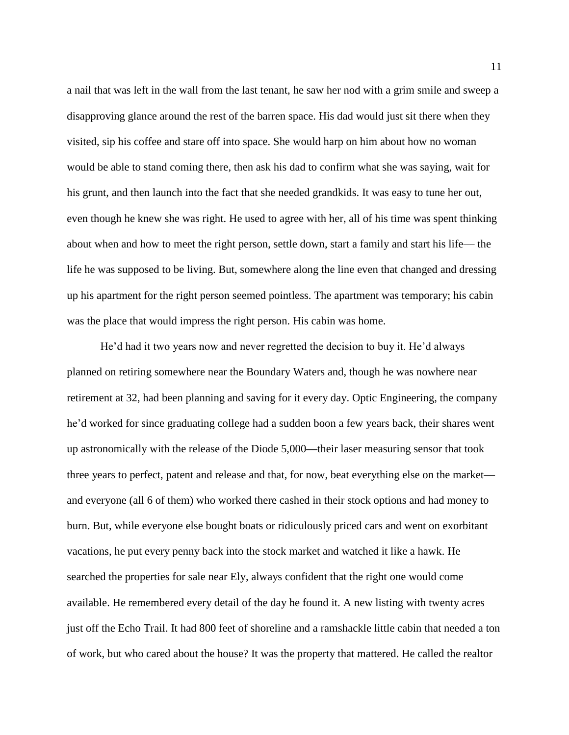a nail that was left in the wall from the last tenant, he saw her nod with a grim smile and sweep a disapproving glance around the rest of the barren space. His dad would just sit there when they visited, sip his coffee and stare off into space. She would harp on him about how no woman would be able to stand coming there, then ask his dad to confirm what she was saying, wait for his grunt, and then launch into the fact that she needed grandkids. It was easy to tune her out, even though he knew she was right. He used to agree with her, all of his time was spent thinking about when and how to meet the right person, settle down, start a family and start his life— the life he was supposed to be living. But, somewhere along the line even that changed and dressing up his apartment for the right person seemed pointless. The apartment was temporary; his cabin was the place that would impress the right person. His cabin was home.

He'd had it two years now and never regretted the decision to buy it. He'd always planned on retiring somewhere near the Boundary Waters and, though he was nowhere near retirement at 32, had been planning and saving for it every day. Optic Engineering, the company he'd worked for since graduating college had a sudden boon a few years back, their shares went up astronomically with the release of the Diode 5,000**—**their laser measuring sensor that took three years to perfect, patent and release and that, for now, beat everything else on the market and everyone (all 6 of them) who worked there cashed in their stock options and had money to burn. But, while everyone else bought boats or ridiculously priced cars and went on exorbitant vacations, he put every penny back into the stock market and watched it like a hawk. He searched the properties for sale near Ely, always confident that the right one would come available. He remembered every detail of the day he found it. A new listing with twenty acres just off the Echo Trail. It had 800 feet of shoreline and a ramshackle little cabin that needed a ton of work, but who cared about the house? It was the property that mattered. He called the realtor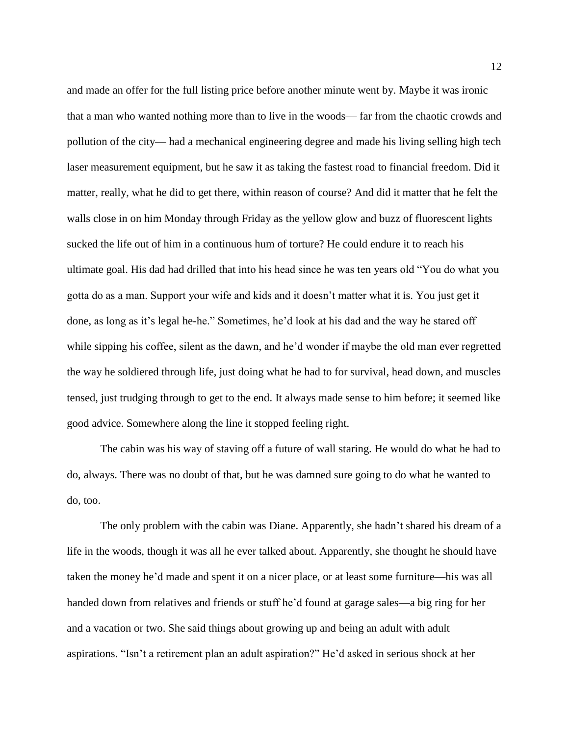and made an offer for the full listing price before another minute went by. Maybe it was ironic that a man who wanted nothing more than to live in the woods— far from the chaotic crowds and pollution of the city— had a mechanical engineering degree and made his living selling high tech laser measurement equipment, but he saw it as taking the fastest road to financial freedom. Did it matter, really, what he did to get there, within reason of course? And did it matter that he felt the walls close in on him Monday through Friday as the yellow glow and buzz of fluorescent lights sucked the life out of him in a continuous hum of torture? He could endure it to reach his ultimate goal. His dad had drilled that into his head since he was ten years old "You do what you gotta do as a man. Support your wife and kids and it doesn't matter what it is. You just get it done, as long as it's legal he-he." Sometimes, he'd look at his dad and the way he stared off while sipping his coffee, silent as the dawn, and he'd wonder if maybe the old man ever regretted the way he soldiered through life, just doing what he had to for survival, head down, and muscles tensed, just trudging through to get to the end. It always made sense to him before; it seemed like good advice. Somewhere along the line it stopped feeling right.

The cabin was his way of staving off a future of wall staring. He would do what he had to do, always. There was no doubt of that, but he was damned sure going to do what he wanted to do, too.

The only problem with the cabin was Diane. Apparently, she hadn't shared his dream of a life in the woods, though it was all he ever talked about. Apparently, she thought he should have taken the money he'd made and spent it on a nicer place, or at least some furniture—his was all handed down from relatives and friends or stuff he'd found at garage sales—a big ring for her and a vacation or two. She said things about growing up and being an adult with adult aspirations. "Isn't a retirement plan an adult aspiration?" He'd asked in serious shock at her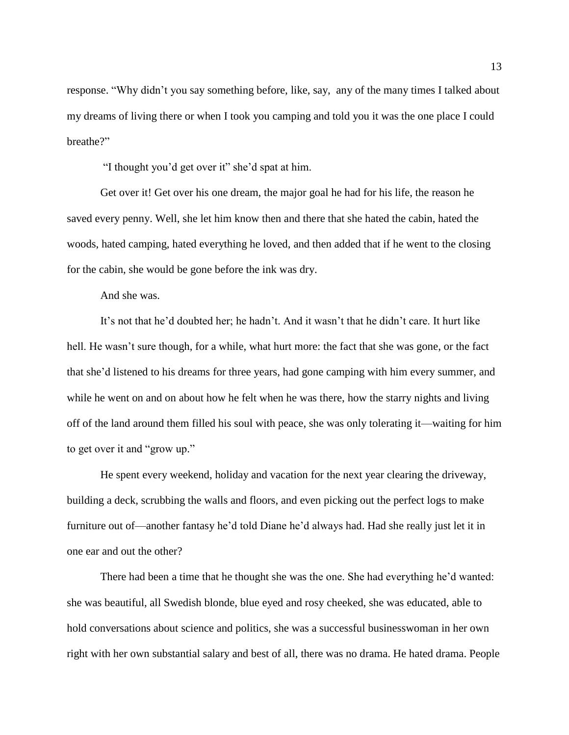response. "Why didn't you say something before, like, say, any of the many times I talked about my dreams of living there or when I took you camping and told you it was the one place I could breathe?"

"I thought you'd get over it" she'd spat at him.

Get over it! Get over his one dream, the major goal he had for his life, the reason he saved every penny. Well, she let him know then and there that she hated the cabin, hated the woods, hated camping, hated everything he loved, and then added that if he went to the closing for the cabin, she would be gone before the ink was dry.

And she was.

It's not that he'd doubted her; he hadn't. And it wasn't that he didn't care. It hurt like hell. He wasn't sure though, for a while, what hurt more: the fact that she was gone, or the fact that she'd listened to his dreams for three years, had gone camping with him every summer, and while he went on and on about how he felt when he was there, how the starry nights and living off of the land around them filled his soul with peace, she was only tolerating it—waiting for him to get over it and "grow up."

He spent every weekend, holiday and vacation for the next year clearing the driveway, building a deck, scrubbing the walls and floors, and even picking out the perfect logs to make furniture out of—another fantasy he'd told Diane he'd always had. Had she really just let it in one ear and out the other?

There had been a time that he thought she was the one. She had everything he'd wanted: she was beautiful, all Swedish blonde, blue eyed and rosy cheeked, she was educated, able to hold conversations about science and politics, she was a successful businesswoman in her own right with her own substantial salary and best of all, there was no drama. He hated drama. People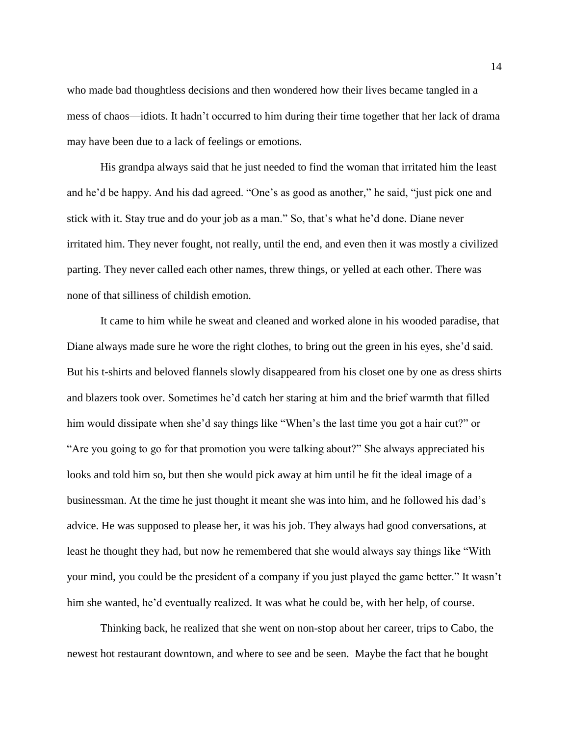who made bad thoughtless decisions and then wondered how their lives became tangled in a mess of chaos—idiots. It hadn't occurred to him during their time together that her lack of drama may have been due to a lack of feelings or emotions.

His grandpa always said that he just needed to find the woman that irritated him the least and he'd be happy. And his dad agreed. "One's as good as another," he said, "just pick one and stick with it. Stay true and do your job as a man." So, that's what he'd done. Diane never irritated him. They never fought, not really, until the end, and even then it was mostly a civilized parting. They never called each other names, threw things, or yelled at each other. There was none of that silliness of childish emotion.

It came to him while he sweat and cleaned and worked alone in his wooded paradise, that Diane always made sure he wore the right clothes, to bring out the green in his eyes, she'd said. But his t-shirts and beloved flannels slowly disappeared from his closet one by one as dress shirts and blazers took over. Sometimes he'd catch her staring at him and the brief warmth that filled him would dissipate when she'd say things like "When's the last time you got a hair cut?" or "Are you going to go for that promotion you were talking about?" She always appreciated his looks and told him so, but then she would pick away at him until he fit the ideal image of a businessman. At the time he just thought it meant she was into him, and he followed his dad's advice. He was supposed to please her, it was his job. They always had good conversations, at least he thought they had, but now he remembered that she would always say things like "With your mind, you could be the president of a company if you just played the game better." It wasn't him she wanted, he'd eventually realized. It was what he could be, with her help, of course.

Thinking back, he realized that she went on non-stop about her career, trips to Cabo, the newest hot restaurant downtown, and where to see and be seen. Maybe the fact that he bought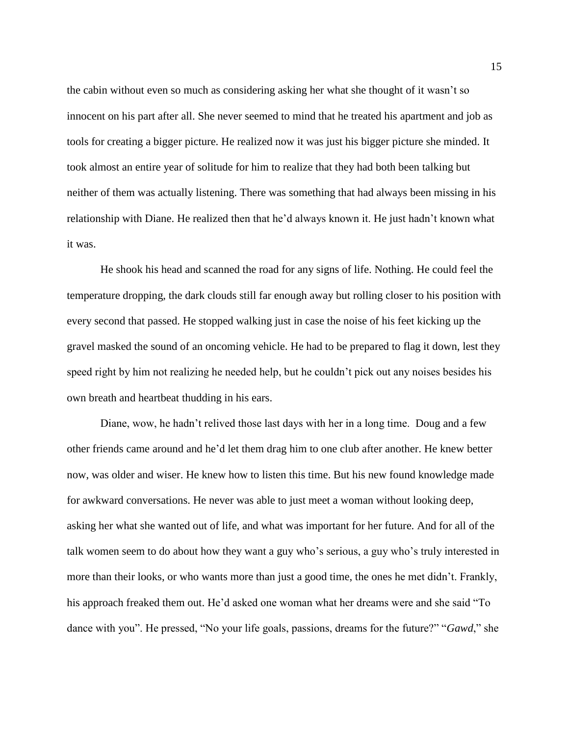the cabin without even so much as considering asking her what she thought of it wasn't so innocent on his part after all. She never seemed to mind that he treated his apartment and job as tools for creating a bigger picture. He realized now it was just his bigger picture she minded. It took almost an entire year of solitude for him to realize that they had both been talking but neither of them was actually listening. There was something that had always been missing in his relationship with Diane. He realized then that he'd always known it. He just hadn't known what it was.

He shook his head and scanned the road for any signs of life. Nothing. He could feel the temperature dropping, the dark clouds still far enough away but rolling closer to his position with every second that passed. He stopped walking just in case the noise of his feet kicking up the gravel masked the sound of an oncoming vehicle. He had to be prepared to flag it down, lest they speed right by him not realizing he needed help, but he couldn't pick out any noises besides his own breath and heartbeat thudding in his ears.

Diane, wow, he hadn't relived those last days with her in a long time. Doug and a few other friends came around and he'd let them drag him to one club after another. He knew better now, was older and wiser. He knew how to listen this time. But his new found knowledge made for awkward conversations. He never was able to just meet a woman without looking deep, asking her what she wanted out of life, and what was important for her future. And for all of the talk women seem to do about how they want a guy who's serious, a guy who's truly interested in more than their looks, or who wants more than just a good time, the ones he met didn't. Frankly, his approach freaked them out. He'd asked one woman what her dreams were and she said "To dance with you". He pressed, "No your life goals, passions, dreams for the future?" "*Gawd*," she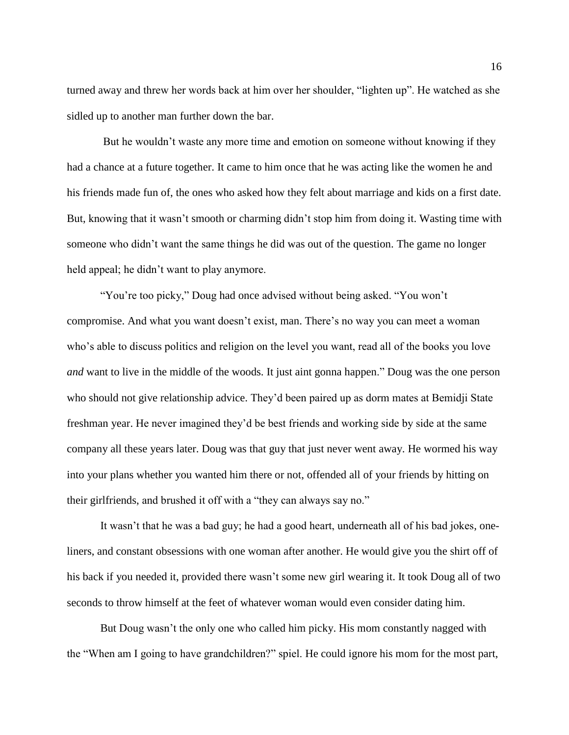turned away and threw her words back at him over her shoulder, "lighten up". He watched as she sidled up to another man further down the bar.

But he wouldn't waste any more time and emotion on someone without knowing if they had a chance at a future together. It came to him once that he was acting like the women he and his friends made fun of, the ones who asked how they felt about marriage and kids on a first date. But, knowing that it wasn't smooth or charming didn't stop him from doing it. Wasting time with someone who didn't want the same things he did was out of the question. The game no longer held appeal; he didn't want to play anymore.

"You're too picky," Doug had once advised without being asked. "You won't compromise. And what you want doesn't exist, man. There's no way you can meet a woman who's able to discuss politics and religion on the level you want, read all of the books you love *and* want to live in the middle of the woods. It just aint gonna happen." Doug was the one person who should not give relationship advice. They'd been paired up as dorm mates at Bemidji State freshman year. He never imagined they'd be best friends and working side by side at the same company all these years later. Doug was that guy that just never went away. He wormed his way into your plans whether you wanted him there or not, offended all of your friends by hitting on their girlfriends, and brushed it off with a "they can always say no."

It wasn't that he was a bad guy; he had a good heart, underneath all of his bad jokes, oneliners, and constant obsessions with one woman after another. He would give you the shirt off of his back if you needed it, provided there wasn't some new girl wearing it. It took Doug all of two seconds to throw himself at the feet of whatever woman would even consider dating him.

But Doug wasn't the only one who called him picky. His mom constantly nagged with the "When am I going to have grandchildren?" spiel. He could ignore his mom for the most part,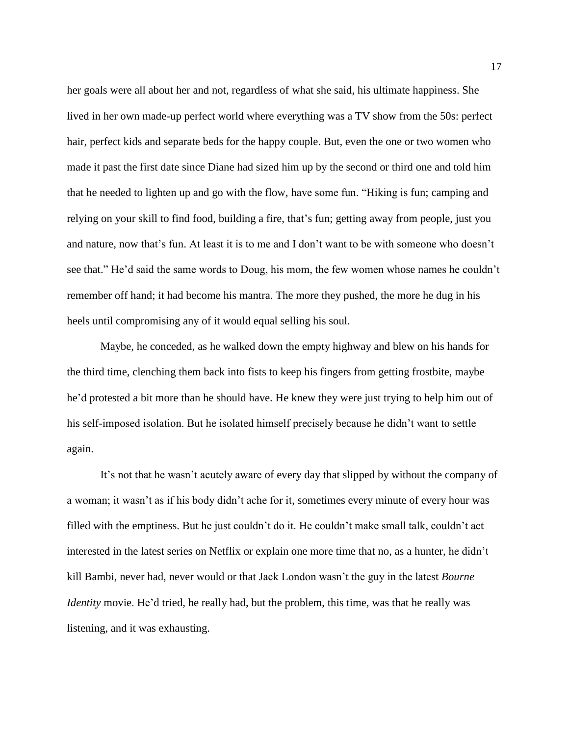her goals were all about her and not, regardless of what she said, his ultimate happiness. She lived in her own made-up perfect world where everything was a TV show from the 50s: perfect hair, perfect kids and separate beds for the happy couple. But, even the one or two women who made it past the first date since Diane had sized him up by the second or third one and told him that he needed to lighten up and go with the flow, have some fun. "Hiking is fun; camping and relying on your skill to find food, building a fire, that's fun; getting away from people, just you and nature, now that's fun. At least it is to me and I don't want to be with someone who doesn't see that." He'd said the same words to Doug, his mom, the few women whose names he couldn't remember off hand; it had become his mantra. The more they pushed, the more he dug in his heels until compromising any of it would equal selling his soul.

Maybe, he conceded, as he walked down the empty highway and blew on his hands for the third time, clenching them back into fists to keep his fingers from getting frostbite, maybe he'd protested a bit more than he should have. He knew they were just trying to help him out of his self-imposed isolation. But he isolated himself precisely because he didn't want to settle again.

It's not that he wasn't acutely aware of every day that slipped by without the company of a woman; it wasn't as if his body didn't ache for it, sometimes every minute of every hour was filled with the emptiness. But he just couldn't do it. He couldn't make small talk, couldn't act interested in the latest series on Netflix or explain one more time that no, as a hunter, he didn't kill Bambi, never had, never would or that Jack London wasn't the guy in the latest *Bourne Identity* movie. He'd tried, he really had, but the problem, this time, was that he really was listening, and it was exhausting.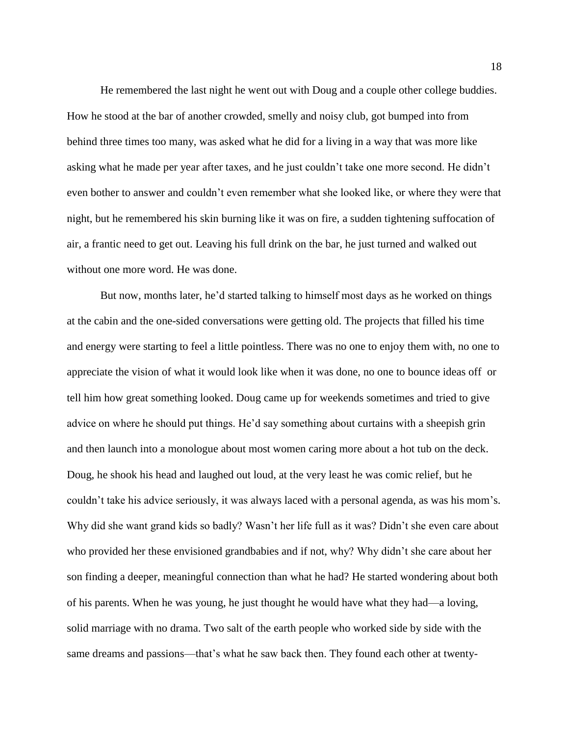He remembered the last night he went out with Doug and a couple other college buddies. How he stood at the bar of another crowded, smelly and noisy club, got bumped into from behind three times too many, was asked what he did for a living in a way that was more like asking what he made per year after taxes, and he just couldn't take one more second. He didn't even bother to answer and couldn't even remember what she looked like, or where they were that night, but he remembered his skin burning like it was on fire, a sudden tightening suffocation of air, a frantic need to get out. Leaving his full drink on the bar, he just turned and walked out without one more word. He was done.

But now, months later, he'd started talking to himself most days as he worked on things at the cabin and the one-sided conversations were getting old. The projects that filled his time and energy were starting to feel a little pointless. There was no one to enjoy them with, no one to appreciate the vision of what it would look like when it was done, no one to bounce ideas off or tell him how great something looked. Doug came up for weekends sometimes and tried to give advice on where he should put things. He'd say something about curtains with a sheepish grin and then launch into a monologue about most women caring more about a hot tub on the deck. Doug, he shook his head and laughed out loud, at the very least he was comic relief, but he couldn't take his advice seriously, it was always laced with a personal agenda, as was his mom's. Why did she want grand kids so badly? Wasn't her life full as it was? Didn't she even care about who provided her these envisioned grandbabies and if not, why? Why didn't she care about her son finding a deeper, meaningful connection than what he had? He started wondering about both of his parents. When he was young, he just thought he would have what they had—a loving, solid marriage with no drama. Two salt of the earth people who worked side by side with the same dreams and passions—that's what he saw back then. They found each other at twenty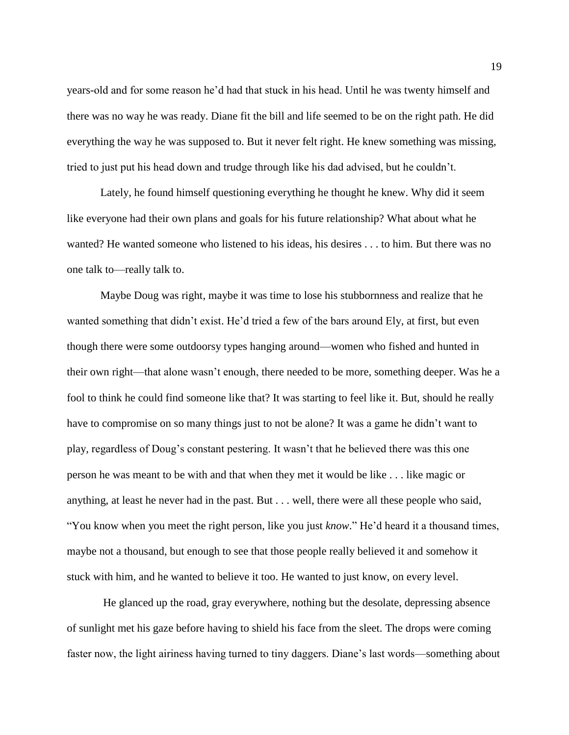years-old and for some reason he'd had that stuck in his head. Until he was twenty himself and there was no way he was ready. Diane fit the bill and life seemed to be on the right path. He did everything the way he was supposed to. But it never felt right. He knew something was missing, tried to just put his head down and trudge through like his dad advised, but he couldn't.

Lately, he found himself questioning everything he thought he knew. Why did it seem like everyone had their own plans and goals for his future relationship? What about what he wanted? He wanted someone who listened to his ideas, his desires . . . to him. But there was no one talk to—really talk to.

Maybe Doug was right, maybe it was time to lose his stubbornness and realize that he wanted something that didn't exist. He'd tried a few of the bars around Ely, at first, but even though there were some outdoorsy types hanging around—women who fished and hunted in their own right—that alone wasn't enough, there needed to be more, something deeper. Was he a fool to think he could find someone like that? It was starting to feel like it. But, should he really have to compromise on so many things just to not be alone? It was a game he didn't want to play, regardless of Doug's constant pestering. It wasn't that he believed there was this one person he was meant to be with and that when they met it would be like . . . like magic or anything, at least he never had in the past. But . . . well, there were all these people who said, "You know when you meet the right person, like you just *know*." He'd heard it a thousand times, maybe not a thousand, but enough to see that those people really believed it and somehow it stuck with him, and he wanted to believe it too. He wanted to just know, on every level.

He glanced up the road, gray everywhere, nothing but the desolate, depressing absence of sunlight met his gaze before having to shield his face from the sleet. The drops were coming faster now, the light airiness having turned to tiny daggers. Diane's last words—something about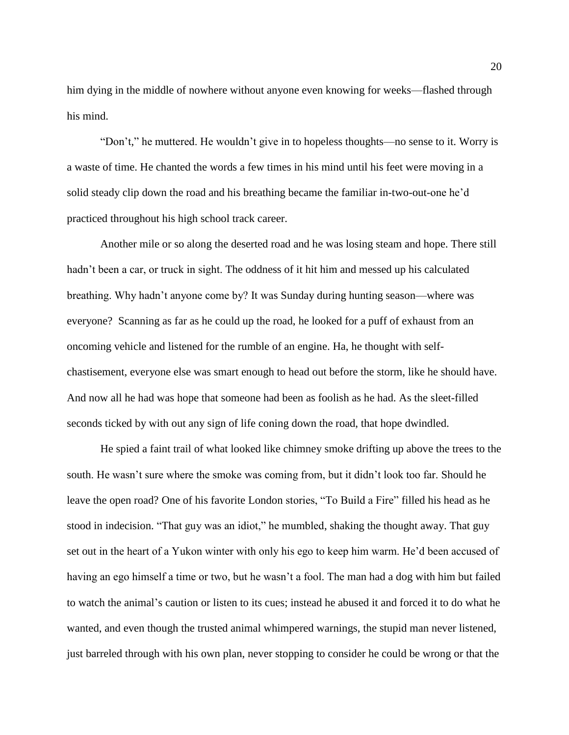him dying in the middle of nowhere without anyone even knowing for weeks—flashed through his mind.

"Don't," he muttered. He wouldn't give in to hopeless thoughts—no sense to it. Worry is a waste of time. He chanted the words a few times in his mind until his feet were moving in a solid steady clip down the road and his breathing became the familiar in-two-out-one he'd practiced throughout his high school track career.

Another mile or so along the deserted road and he was losing steam and hope. There still hadn't been a car, or truck in sight. The oddness of it hit him and messed up his calculated breathing. Why hadn't anyone come by? It was Sunday during hunting season—where was everyone? Scanning as far as he could up the road, he looked for a puff of exhaust from an oncoming vehicle and listened for the rumble of an engine. Ha, he thought with selfchastisement, everyone else was smart enough to head out before the storm, like he should have. And now all he had was hope that someone had been as foolish as he had. As the sleet-filled seconds ticked by with out any sign of life coning down the road, that hope dwindled.

He spied a faint trail of what looked like chimney smoke drifting up above the trees to the south. He wasn't sure where the smoke was coming from, but it didn't look too far. Should he leave the open road? One of his favorite London stories, "To Build a Fire" filled his head as he stood in indecision. "That guy was an idiot," he mumbled, shaking the thought away. That guy set out in the heart of a Yukon winter with only his ego to keep him warm. He'd been accused of having an ego himself a time or two, but he wasn't a fool. The man had a dog with him but failed to watch the animal's caution or listen to its cues; instead he abused it and forced it to do what he wanted, and even though the trusted animal whimpered warnings, the stupid man never listened, just barreled through with his own plan, never stopping to consider he could be wrong or that the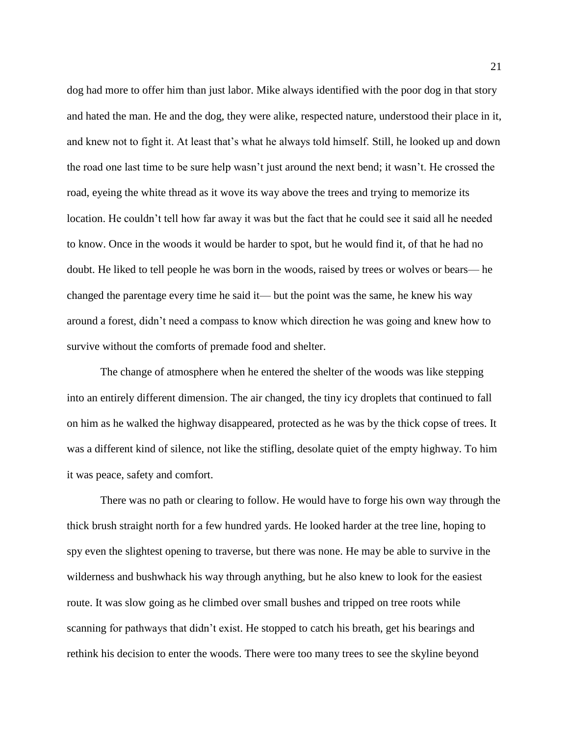dog had more to offer him than just labor. Mike always identified with the poor dog in that story and hated the man. He and the dog, they were alike, respected nature, understood their place in it, and knew not to fight it. At least that's what he always told himself. Still, he looked up and down the road one last time to be sure help wasn't just around the next bend; it wasn't. He crossed the road, eyeing the white thread as it wove its way above the trees and trying to memorize its location. He couldn't tell how far away it was but the fact that he could see it said all he needed to know. Once in the woods it would be harder to spot, but he would find it, of that he had no doubt. He liked to tell people he was born in the woods, raised by trees or wolves or bears— he changed the parentage every time he said it— but the point was the same, he knew his way around a forest, didn't need a compass to know which direction he was going and knew how to survive without the comforts of premade food and shelter.

The change of atmosphere when he entered the shelter of the woods was like stepping into an entirely different dimension. The air changed, the tiny icy droplets that continued to fall on him as he walked the highway disappeared, protected as he was by the thick copse of trees. It was a different kind of silence, not like the stifling, desolate quiet of the empty highway. To him it was peace, safety and comfort.

There was no path or clearing to follow. He would have to forge his own way through the thick brush straight north for a few hundred yards. He looked harder at the tree line, hoping to spy even the slightest opening to traverse, but there was none. He may be able to survive in the wilderness and bushwhack his way through anything, but he also knew to look for the easiest route. It was slow going as he climbed over small bushes and tripped on tree roots while scanning for pathways that didn't exist. He stopped to catch his breath, get his bearings and rethink his decision to enter the woods. There were too many trees to see the skyline beyond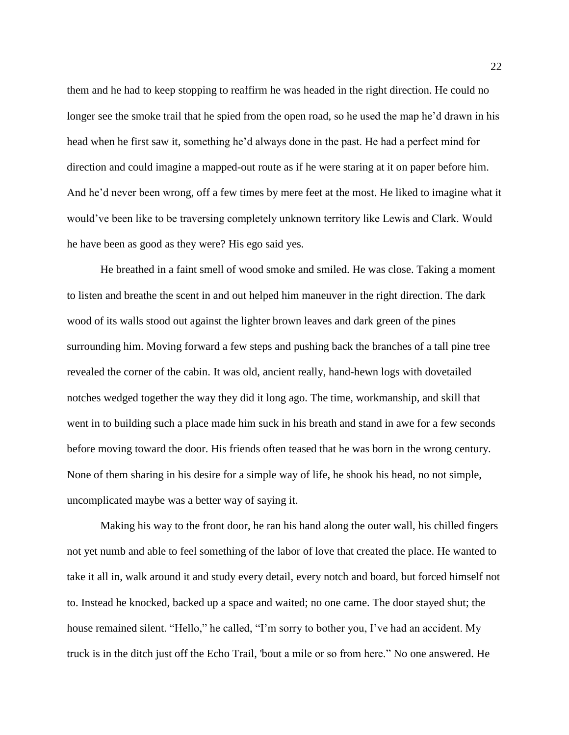them and he had to keep stopping to reaffirm he was headed in the right direction. He could no longer see the smoke trail that he spied from the open road, so he used the map he'd drawn in his head when he first saw it, something he'd always done in the past. He had a perfect mind for direction and could imagine a mapped-out route as if he were staring at it on paper before him. And he'd never been wrong, off a few times by mere feet at the most. He liked to imagine what it would've been like to be traversing completely unknown territory like Lewis and Clark. Would he have been as good as they were? His ego said yes.

He breathed in a faint smell of wood smoke and smiled. He was close. Taking a moment to listen and breathe the scent in and out helped him maneuver in the right direction. The dark wood of its walls stood out against the lighter brown leaves and dark green of the pines surrounding him. Moving forward a few steps and pushing back the branches of a tall pine tree revealed the corner of the cabin. It was old, ancient really, hand-hewn logs with dovetailed notches wedged together the way they did it long ago. The time, workmanship, and skill that went in to building such a place made him suck in his breath and stand in awe for a few seconds before moving toward the door. His friends often teased that he was born in the wrong century. None of them sharing in his desire for a simple way of life, he shook his head, no not simple, uncomplicated maybe was a better way of saying it.

Making his way to the front door, he ran his hand along the outer wall, his chilled fingers not yet numb and able to feel something of the labor of love that created the place. He wanted to take it all in, walk around it and study every detail, every notch and board, but forced himself not to. Instead he knocked, backed up a space and waited; no one came. The door stayed shut; the house remained silent. "Hello," he called, "I'm sorry to bother you, I've had an accident. My truck is in the ditch just off the Echo Trail, 'bout a mile or so from here." No one answered. He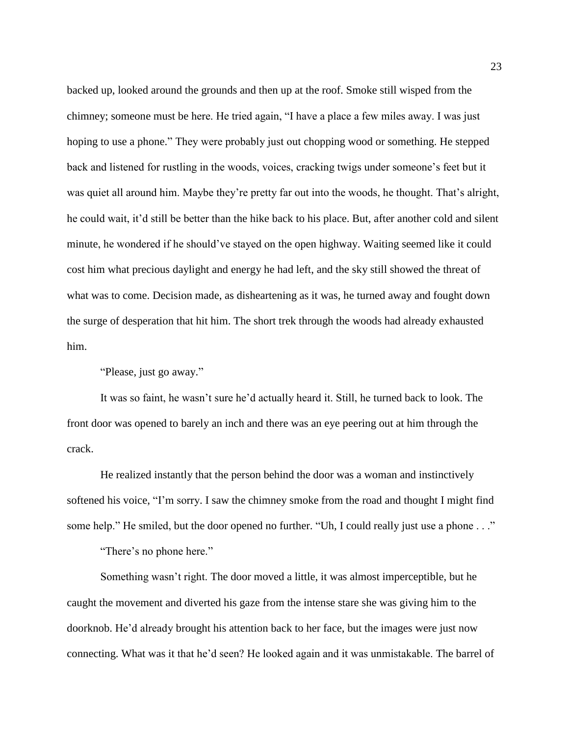backed up, looked around the grounds and then up at the roof. Smoke still wisped from the chimney; someone must be here. He tried again, "I have a place a few miles away. I was just hoping to use a phone." They were probably just out chopping wood or something. He stepped back and listened for rustling in the woods, voices, cracking twigs under someone's feet but it was quiet all around him. Maybe they're pretty far out into the woods, he thought. That's alright, he could wait, it'd still be better than the hike back to his place. But, after another cold and silent minute, he wondered if he should've stayed on the open highway. Waiting seemed like it could cost him what precious daylight and energy he had left, and the sky still showed the threat of what was to come. Decision made, as disheartening as it was, he turned away and fought down the surge of desperation that hit him. The short trek through the woods had already exhausted him.

"Please, just go away."

It was so faint, he wasn't sure he'd actually heard it. Still, he turned back to look. The front door was opened to barely an inch and there was an eye peering out at him through the crack.

He realized instantly that the person behind the door was a woman and instinctively softened his voice, "I'm sorry. I saw the chimney smoke from the road and thought I might find some help." He smiled, but the door opened no further. "Uh, I could really just use a phone . . ."

"There's no phone here."

Something wasn't right. The door moved a little, it was almost imperceptible, but he caught the movement and diverted his gaze from the intense stare she was giving him to the doorknob. He'd already brought his attention back to her face, but the images were just now connecting. What was it that he'd seen? He looked again and it was unmistakable. The barrel of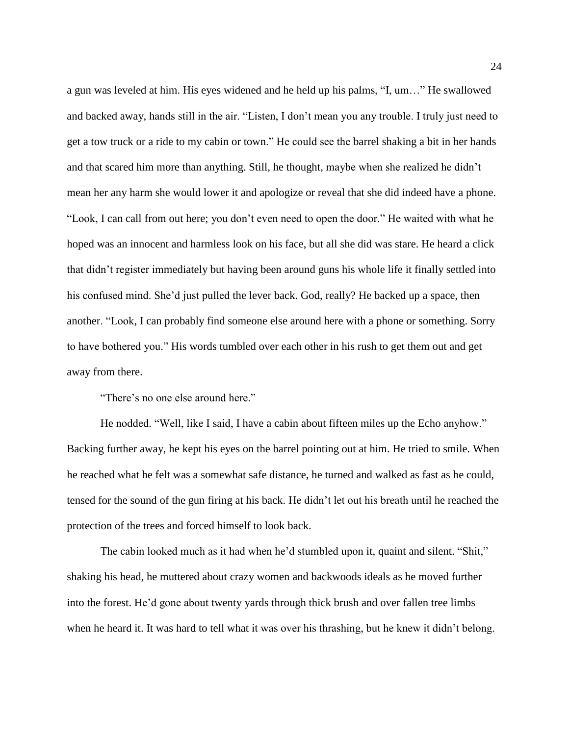a gun was leveled at him. His eyes widened and he held up his palms, "I, um…" He swallowed and backed away, hands still in the air. "Listen, I don't mean you any trouble. I truly just need to get a tow truck or a ride to my cabin or town." He could see the barrel shaking a bit in her hands and that scared him more than anything. Still, he thought, maybe when she realized he didn't mean her any harm she would lower it and apologize or reveal that she did indeed have a phone. "Look, I can call from out here; you don't even need to open the door." He waited with what he hoped was an innocent and harmless look on his face, but all she did was stare. He heard a click that didn't register immediately but having been around guns his whole life it finally settled into his confused mind. She'd just pulled the lever back. God, really? He backed up a space, then another. "Look, I can probably find someone else around here with a phone or something. Sorry to have bothered you." His words tumbled over each other in his rush to get them out and get away from there.

"There's no one else around here."

He nodded. "Well, like I said, I have a cabin about fifteen miles up the Echo anyhow." Backing further away, he kept his eyes on the barrel pointing out at him. He tried to smile. When he reached what he felt was a somewhat safe distance, he turned and walked as fast as he could, tensed for the sound of the gun firing at his back. He didn't let out his breath until he reached the protection of the trees and forced himself to look back.

The cabin looked much as it had when he'd stumbled upon it, quaint and silent. "Shit," shaking his head, he muttered about crazy women and backwoods ideals as he moved further into the forest. He'd gone about twenty yards through thick brush and over fallen tree limbs when he heard it. It was hard to tell what it was over his thrashing, but he knew it didn't belong.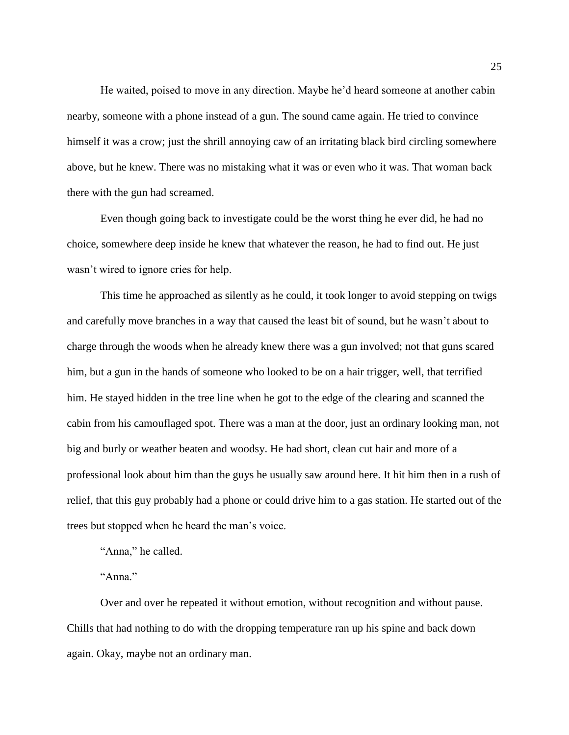He waited, poised to move in any direction. Maybe he'd heard someone at another cabin nearby, someone with a phone instead of a gun. The sound came again. He tried to convince himself it was a crow; just the shrill annoying caw of an irritating black bird circling somewhere above, but he knew. There was no mistaking what it was or even who it was. That woman back there with the gun had screamed.

Even though going back to investigate could be the worst thing he ever did, he had no choice, somewhere deep inside he knew that whatever the reason, he had to find out. He just wasn't wired to ignore cries for help.

This time he approached as silently as he could, it took longer to avoid stepping on twigs and carefully move branches in a way that caused the least bit of sound, but he wasn't about to charge through the woods when he already knew there was a gun involved; not that guns scared him, but a gun in the hands of someone who looked to be on a hair trigger, well, that terrified him. He stayed hidden in the tree line when he got to the edge of the clearing and scanned the cabin from his camouflaged spot. There was a man at the door, just an ordinary looking man, not big and burly or weather beaten and woodsy. He had short, clean cut hair and more of a professional look about him than the guys he usually saw around here. It hit him then in a rush of relief, that this guy probably had a phone or could drive him to a gas station. He started out of the trees but stopped when he heard the man's voice.

"Anna," he called.

"Anna."

Over and over he repeated it without emotion, without recognition and without pause. Chills that had nothing to do with the dropping temperature ran up his spine and back down again. Okay, maybe not an ordinary man.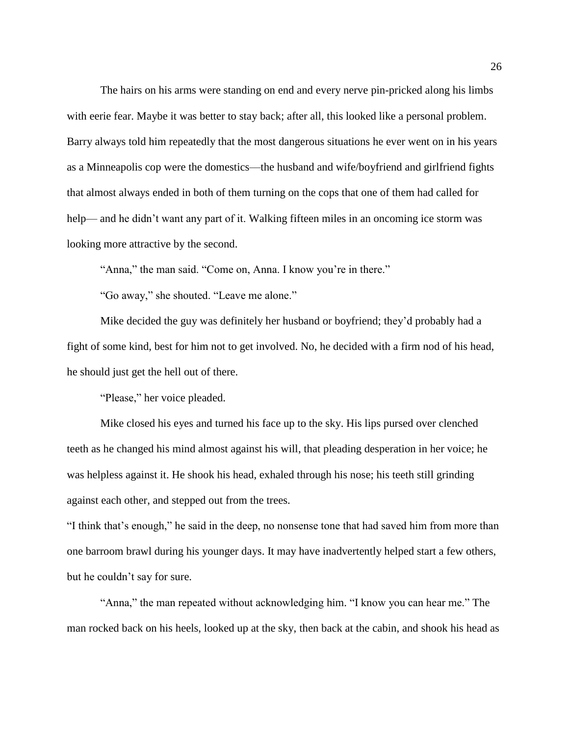The hairs on his arms were standing on end and every nerve pin-pricked along his limbs with eerie fear. Maybe it was better to stay back; after all, this looked like a personal problem. Barry always told him repeatedly that the most dangerous situations he ever went on in his years as a Minneapolis cop were the domestics—the husband and wife/boyfriend and girlfriend fights that almost always ended in both of them turning on the cops that one of them had called for help— and he didn't want any part of it. Walking fifteen miles in an oncoming ice storm was looking more attractive by the second.

"Anna," the man said. "Come on, Anna. I know you're in there."

"Go away," she shouted. "Leave me alone."

Mike decided the guy was definitely her husband or boyfriend; they'd probably had a fight of some kind, best for him not to get involved. No, he decided with a firm nod of his head, he should just get the hell out of there.

"Please," her voice pleaded.

Mike closed his eyes and turned his face up to the sky. His lips pursed over clenched teeth as he changed his mind almost against his will, that pleading desperation in her voice; he was helpless against it. He shook his head, exhaled through his nose; his teeth still grinding against each other, and stepped out from the trees.

"I think that's enough," he said in the deep, no nonsense tone that had saved him from more than one barroom brawl during his younger days. It may have inadvertently helped start a few others, but he couldn't say for sure.

"Anna," the man repeated without acknowledging him. "I know you can hear me." The man rocked back on his heels, looked up at the sky, then back at the cabin, and shook his head as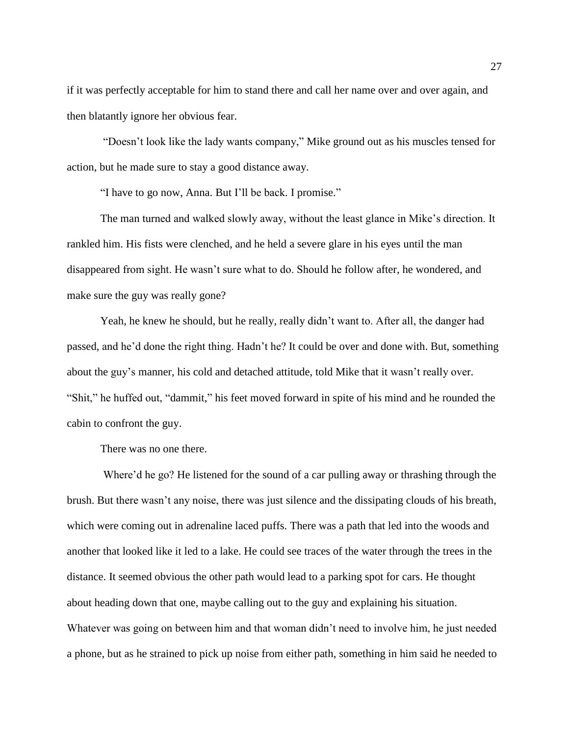if it was perfectly acceptable for him to stand there and call her name over and over again, and then blatantly ignore her obvious fear.

"Doesn't look like the lady wants company," Mike ground out as his muscles tensed for action, but he made sure to stay a good distance away.

"I have to go now, Anna. But I'll be back. I promise."

The man turned and walked slowly away, without the least glance in Mike's direction. It rankled him. His fists were clenched, and he held a severe glare in his eyes until the man disappeared from sight. He wasn't sure what to do. Should he follow after, he wondered, and make sure the guy was really gone?

Yeah, he knew he should, but he really, really didn't want to. After all, the danger had passed, and he'd done the right thing. Hadn't he? It could be over and done with. But, something about the guy's manner, his cold and detached attitude, told Mike that it wasn't really over. "Shit," he huffed out, "dammit," his feet moved forward in spite of his mind and he rounded the cabin to confront the guy.

There was no one there.

Where'd he go? He listened for the sound of a car pulling away or thrashing through the brush. But there wasn't any noise, there was just silence and the dissipating clouds of his breath, which were coming out in adrenaline laced puffs. There was a path that led into the woods and another that looked like it led to a lake. He could see traces of the water through the trees in the distance. It seemed obvious the other path would lead to a parking spot for cars. He thought about heading down that one, maybe calling out to the guy and explaining his situation. Whatever was going on between him and that woman didn't need to involve him, he just needed a phone, but as he strained to pick up noise from either path, something in him said he needed to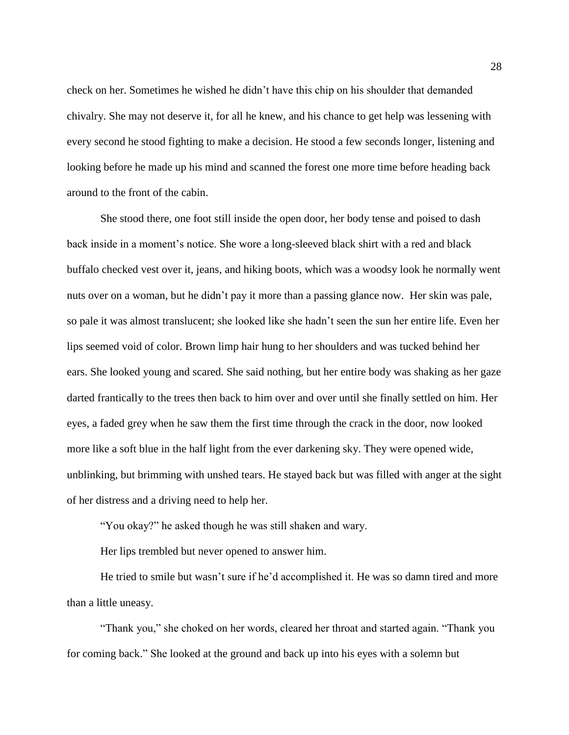check on her. Sometimes he wished he didn't have this chip on his shoulder that demanded chivalry. She may not deserve it, for all he knew, and his chance to get help was lessening with every second he stood fighting to make a decision. He stood a few seconds longer, listening and looking before he made up his mind and scanned the forest one more time before heading back around to the front of the cabin.

She stood there, one foot still inside the open door, her body tense and poised to dash back inside in a moment's notice. She wore a long-sleeved black shirt with a red and black buffalo checked vest over it, jeans, and hiking boots, which was a woodsy look he normally went nuts over on a woman, but he didn't pay it more than a passing glance now. Her skin was pale, so pale it was almost translucent; she looked like she hadn't seen the sun her entire life. Even her lips seemed void of color. Brown limp hair hung to her shoulders and was tucked behind her ears. She looked young and scared. She said nothing, but her entire body was shaking as her gaze darted frantically to the trees then back to him over and over until she finally settled on him. Her eyes, a faded grey when he saw them the first time through the crack in the door, now looked more like a soft blue in the half light from the ever darkening sky. They were opened wide, unblinking, but brimming with unshed tears. He stayed back but was filled with anger at the sight of her distress and a driving need to help her.

"You okay?" he asked though he was still shaken and wary.

Her lips trembled but never opened to answer him.

He tried to smile but wasn't sure if he'd accomplished it. He was so damn tired and more than a little uneasy.

"Thank you," she choked on her words, cleared her throat and started again. "Thank you for coming back." She looked at the ground and back up into his eyes with a solemn but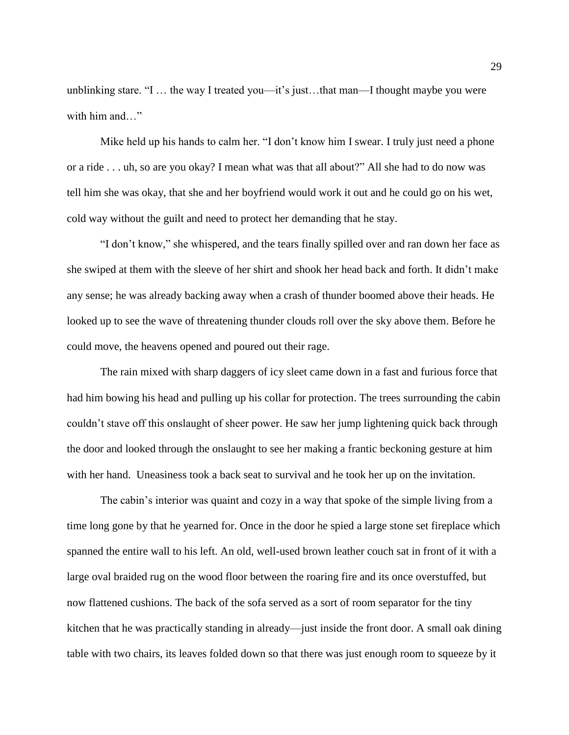unblinking stare. "I … the way I treated you—it's just…that man—I thought maybe you were with him and…"

Mike held up his hands to calm her. "I don't know him I swear. I truly just need a phone or a ride . . . uh, so are you okay? I mean what was that all about?" All she had to do now was tell him she was okay, that she and her boyfriend would work it out and he could go on his wet, cold way without the guilt and need to protect her demanding that he stay.

"I don't know," she whispered, and the tears finally spilled over and ran down her face as she swiped at them with the sleeve of her shirt and shook her head back and forth. It didn't make any sense; he was already backing away when a crash of thunder boomed above their heads. He looked up to see the wave of threatening thunder clouds roll over the sky above them. Before he could move, the heavens opened and poured out their rage.

The rain mixed with sharp daggers of icy sleet came down in a fast and furious force that had him bowing his head and pulling up his collar for protection. The trees surrounding the cabin couldn't stave off this onslaught of sheer power. He saw her jump lightening quick back through the door and looked through the onslaught to see her making a frantic beckoning gesture at him with her hand. Uneasiness took a back seat to survival and he took her up on the invitation.

The cabin's interior was quaint and cozy in a way that spoke of the simple living from a time long gone by that he yearned for. Once in the door he spied a large stone set fireplace which spanned the entire wall to his left. An old, well-used brown leather couch sat in front of it with a large oval braided rug on the wood floor between the roaring fire and its once overstuffed, but now flattened cushions. The back of the sofa served as a sort of room separator for the tiny kitchen that he was practically standing in already—just inside the front door. A small oak dining table with two chairs, its leaves folded down so that there was just enough room to squeeze by it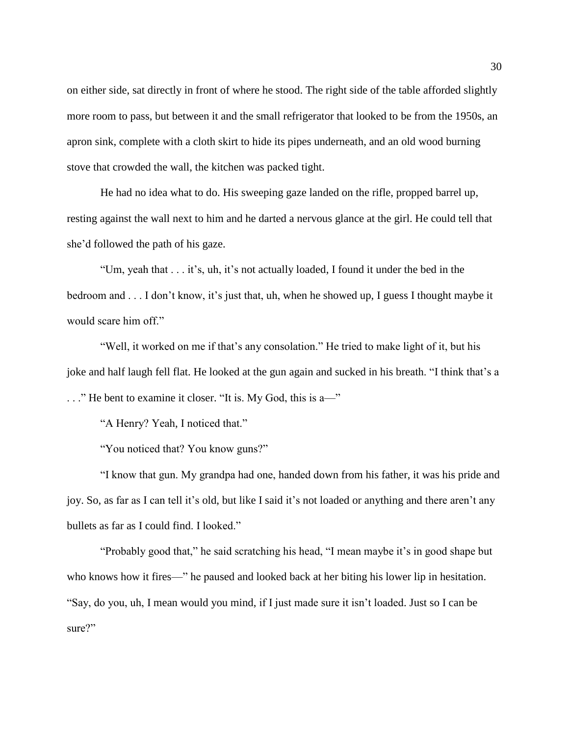on either side, sat directly in front of where he stood. The right side of the table afforded slightly more room to pass, but between it and the small refrigerator that looked to be from the 1950s, an apron sink, complete with a cloth skirt to hide its pipes underneath, and an old wood burning stove that crowded the wall, the kitchen was packed tight.

He had no idea what to do. His sweeping gaze landed on the rifle, propped barrel up, resting against the wall next to him and he darted a nervous glance at the girl. He could tell that she'd followed the path of his gaze.

"Um, yeah that . . . it's, uh, it's not actually loaded, I found it under the bed in the bedroom and . . . I don't know, it's just that, uh, when he showed up, I guess I thought maybe it would scare him off."

"Well, it worked on me if that's any consolation." He tried to make light of it, but his joke and half laugh fell flat. He looked at the gun again and sucked in his breath. "I think that's a . . ." He bent to examine it closer. "It is. My God, this is a—"

"A Henry? Yeah, I noticed that."

"You noticed that? You know guns?"

"I know that gun. My grandpa had one, handed down from his father, it was his pride and joy. So, as far as I can tell it's old, but like I said it's not loaded or anything and there aren't any bullets as far as I could find. I looked."

"Probably good that," he said scratching his head, "I mean maybe it's in good shape but who knows how it fires—" he paused and looked back at her biting his lower lip in hesitation. "Say, do you, uh, I mean would you mind, if I just made sure it isn't loaded. Just so I can be sure?"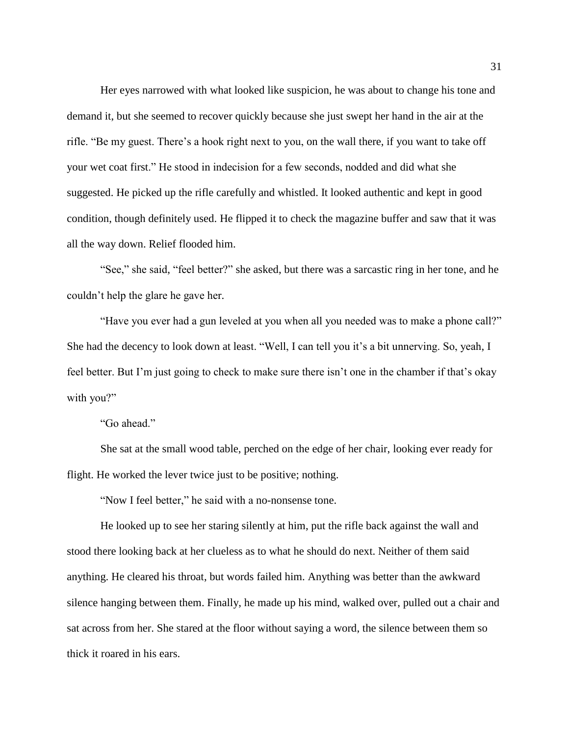Her eyes narrowed with what looked like suspicion, he was about to change his tone and demand it, but she seemed to recover quickly because she just swept her hand in the air at the rifle. "Be my guest. There's a hook right next to you, on the wall there, if you want to take off your wet coat first." He stood in indecision for a few seconds, nodded and did what she suggested. He picked up the rifle carefully and whistled. It looked authentic and kept in good condition, though definitely used. He flipped it to check the magazine buffer and saw that it was all the way down. Relief flooded him.

"See," she said, "feel better?" she asked, but there was a sarcastic ring in her tone, and he couldn't help the glare he gave her.

"Have you ever had a gun leveled at you when all you needed was to make a phone call?" She had the decency to look down at least. "Well, I can tell you it's a bit unnerving. So, yeah, I feel better. But I'm just going to check to make sure there isn't one in the chamber if that's okay with you?"

"Go ahead."

She sat at the small wood table, perched on the edge of her chair, looking ever ready for flight. He worked the lever twice just to be positive; nothing.

"Now I feel better," he said with a no-nonsense tone.

He looked up to see her staring silently at him, put the rifle back against the wall and stood there looking back at her clueless as to what he should do next. Neither of them said anything. He cleared his throat, but words failed him. Anything was better than the awkward silence hanging between them. Finally, he made up his mind, walked over, pulled out a chair and sat across from her. She stared at the floor without saying a word, the silence between them so thick it roared in his ears.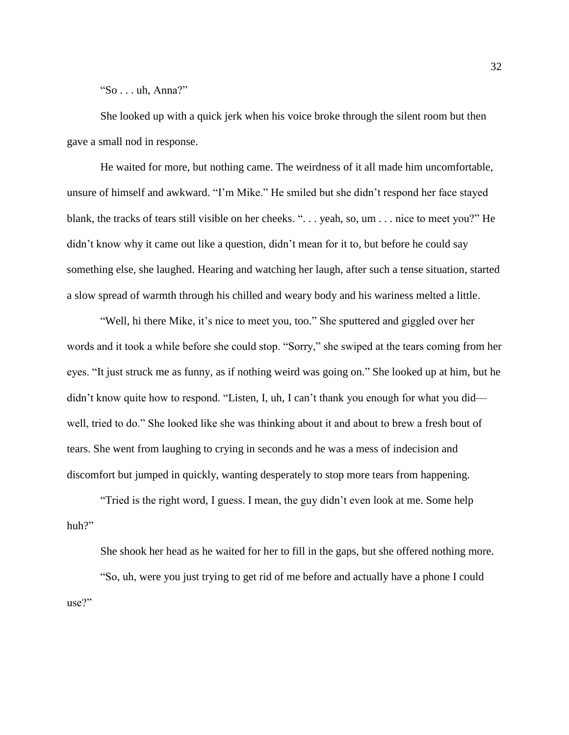"So . . . uh, Anna?"

She looked up with a quick jerk when his voice broke through the silent room but then gave a small nod in response.

He waited for more, but nothing came. The weirdness of it all made him uncomfortable, unsure of himself and awkward. "I'm Mike." He smiled but she didn't respond her face stayed blank, the tracks of tears still visible on her cheeks. ". . . yeah, so, um . . . nice to meet you?" He didn't know why it came out like a question, didn't mean for it to, but before he could say something else, she laughed. Hearing and watching her laugh, after such a tense situation, started a slow spread of warmth through his chilled and weary body and his wariness melted a little.

"Well, hi there Mike, it's nice to meet you, too." She sputtered and giggled over her words and it took a while before she could stop. "Sorry," she swiped at the tears coming from her eyes. "It just struck me as funny, as if nothing weird was going on." She looked up at him, but he didn't know quite how to respond. "Listen, I, uh, I can't thank you enough for what you did well, tried to do." She looked like she was thinking about it and about to brew a fresh bout of tears. She went from laughing to crying in seconds and he was a mess of indecision and discomfort but jumped in quickly, wanting desperately to stop more tears from happening.

"Tried is the right word, I guess. I mean, the guy didn't even look at me. Some help huh?"

She shook her head as he waited for her to fill in the gaps, but she offered nothing more. "So, uh, were you just trying to get rid of me before and actually have a phone I could use?"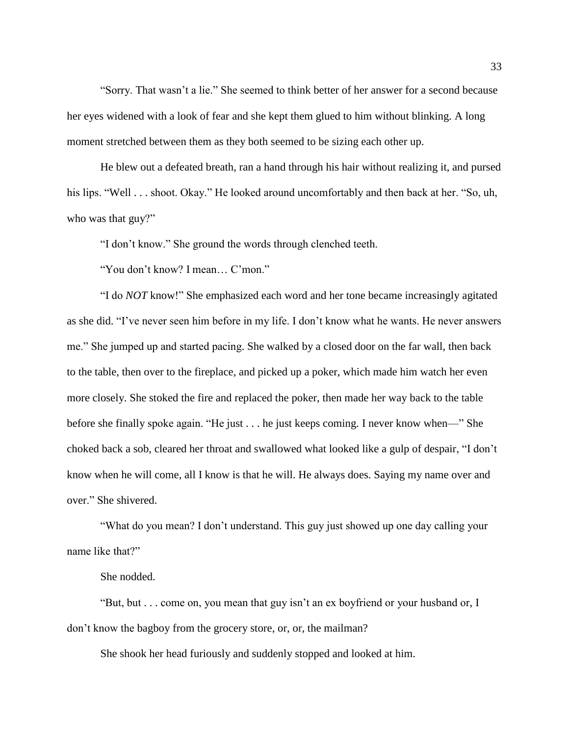"Sorry. That wasn't a lie." She seemed to think better of her answer for a second because her eyes widened with a look of fear and she kept them glued to him without blinking. A long moment stretched between them as they both seemed to be sizing each other up.

He blew out a defeated breath, ran a hand through his hair without realizing it, and pursed his lips. "Well . . . shoot. Okay." He looked around uncomfortably and then back at her. "So, uh, who was that guy?"

"I don't know." She ground the words through clenched teeth.

"You don't know? I mean… C'mon."

"I do *NOT* know!" She emphasized each word and her tone became increasingly agitated as she did. "I've never seen him before in my life. I don't know what he wants. He never answers me." She jumped up and started pacing. She walked by a closed door on the far wall, then back to the table, then over to the fireplace, and picked up a poker, which made him watch her even more closely. She stoked the fire and replaced the poker, then made her way back to the table before she finally spoke again. "He just . . . he just keeps coming. I never know when—" She choked back a sob, cleared her throat and swallowed what looked like a gulp of despair, "I don't know when he will come, all I know is that he will. He always does. Saying my name over and over." She shivered.

"What do you mean? I don't understand. This guy just showed up one day calling your name like that?"

She nodded.

"But, but . . . come on, you mean that guy isn't an ex boyfriend or your husband or, I don't know the bagboy from the grocery store, or, or, the mailman?

She shook her head furiously and suddenly stopped and looked at him.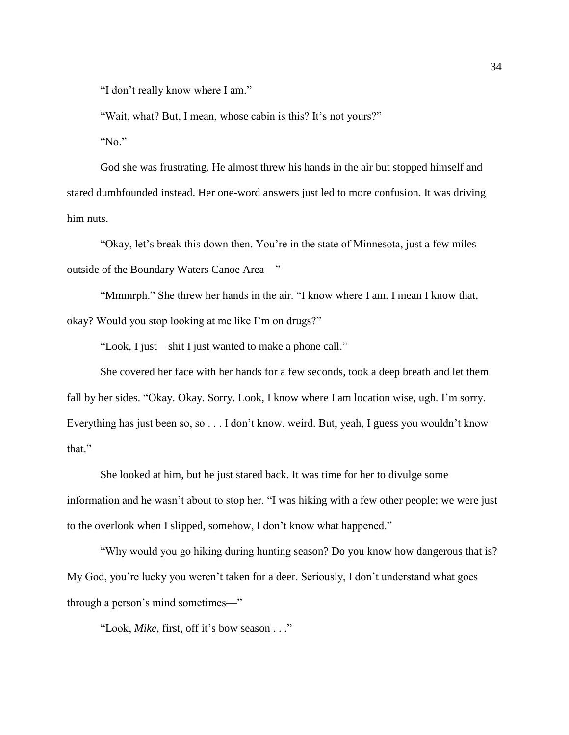"I don't really know where I am."

"Wait, what? But, I mean, whose cabin is this? It's not yours?"

"No."

God she was frustrating. He almost threw his hands in the air but stopped himself and stared dumbfounded instead. Her one-word answers just led to more confusion. It was driving him nuts.

"Okay, let's break this down then. You're in the state of Minnesota, just a few miles outside of the Boundary Waters Canoe Area—"

"Mmmrph." She threw her hands in the air. "I know where I am. I mean I know that, okay? Would you stop looking at me like I'm on drugs?"

"Look, I just—shit I just wanted to make a phone call."

She covered her face with her hands for a few seconds, took a deep breath and let them fall by her sides. "Okay. Okay. Sorry. Look, I know where I am location wise, ugh. I'm sorry. Everything has just been so, so . . . I don't know, weird. But, yeah, I guess you wouldn't know that."

She looked at him, but he just stared back. It was time for her to divulge some information and he wasn't about to stop her. "I was hiking with a few other people; we were just to the overlook when I slipped, somehow, I don't know what happened."

"Why would you go hiking during hunting season? Do you know how dangerous that is? My God, you're lucky you weren't taken for a deer. Seriously, I don't understand what goes through a person's mind sometimes—"

"Look, *Mike*, first, off it's bow season . . ."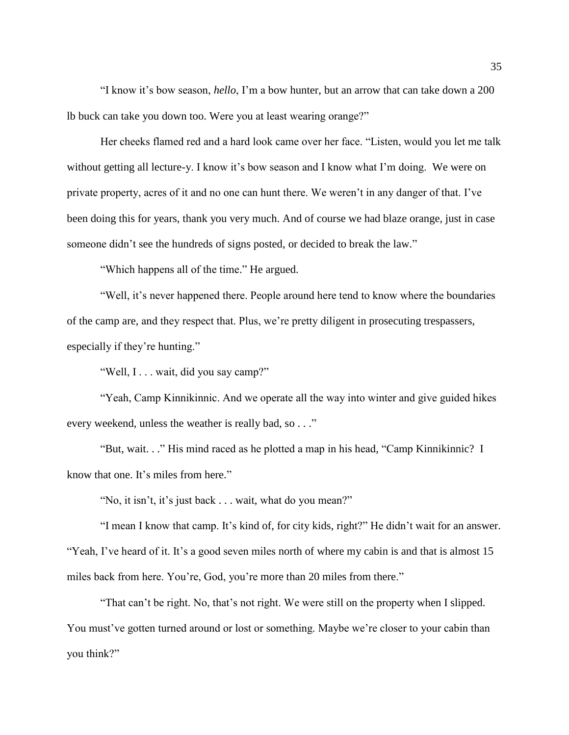"I know it's bow season, *hello*, I'm a bow hunter, but an arrow that can take down a 200 lb buck can take you down too. Were you at least wearing orange?"

Her cheeks flamed red and a hard look came over her face. "Listen, would you let me talk without getting all lecture-y. I know it's bow season and I know what I'm doing. We were on private property, acres of it and no one can hunt there. We weren't in any danger of that. I've been doing this for years, thank you very much. And of course we had blaze orange, just in case someone didn't see the hundreds of signs posted, or decided to break the law."

"Which happens all of the time." He argued.

"Well, it's never happened there. People around here tend to know where the boundaries of the camp are, and they respect that. Plus, we're pretty diligent in prosecuting trespassers, especially if they're hunting."

"Well, I . . . wait, did you say camp?"

"Yeah, Camp Kinnikinnic. And we operate all the way into winter and give guided hikes every weekend, unless the weather is really bad, so . . ."

"But, wait. . ." His mind raced as he plotted a map in his head, "Camp Kinnikinnic? I know that one. It's miles from here."

"No, it isn't, it's just back . . . wait, what do you mean?"

"I mean I know that camp. It's kind of, for city kids, right?" He didn't wait for an answer. "Yeah, I've heard of it. It's a good seven miles north of where my cabin is and that is almost 15 miles back from here. You're, God, you're more than 20 miles from there."

"That can't be right. No, that's not right. We were still on the property when I slipped. You must've gotten turned around or lost or something. Maybe we're closer to your cabin than you think?"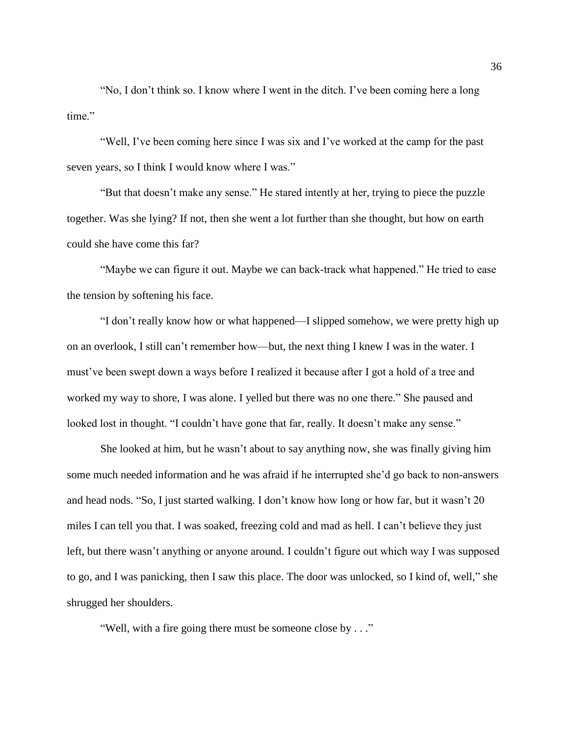"No, I don't think so. I know where I went in the ditch. I've been coming here a long time."

"Well, I've been coming here since I was six and I've worked at the camp for the past seven years, so I think I would know where I was."

"But that doesn't make any sense." He stared intently at her, trying to piece the puzzle together. Was she lying? If not, then she went a lot further than she thought, but how on earth could she have come this far?

"Maybe we can figure it out. Maybe we can back-track what happened." He tried to ease the tension by softening his face.

"I don't really know how or what happened—I slipped somehow, we were pretty high up on an overlook, I still can't remember how—but, the next thing I knew I was in the water. I must've been swept down a ways before I realized it because after I got a hold of a tree and worked my way to shore, I was alone. I yelled but there was no one there." She paused and looked lost in thought. "I couldn't have gone that far, really. It doesn't make any sense."

She looked at him, but he wasn't about to say anything now, she was finally giving him some much needed information and he was afraid if he interrupted she'd go back to non-answers and head nods. "So, I just started walking. I don't know how long or how far, but it wasn't 20 miles I can tell you that. I was soaked, freezing cold and mad as hell. I can't believe they just left, but there wasn't anything or anyone around. I couldn't figure out which way I was supposed to go, and I was panicking, then I saw this place. The door was unlocked, so I kind of, well," she shrugged her shoulders.

"Well, with a fire going there must be someone close by . . ."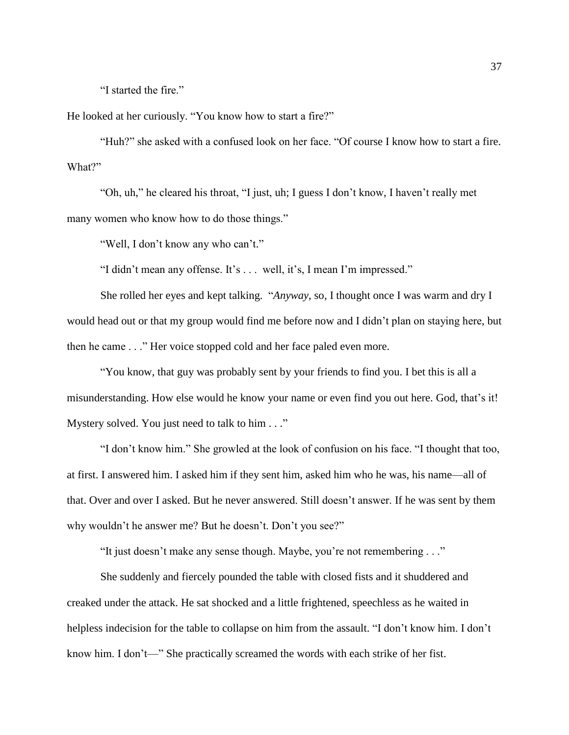"I started the fire."

He looked at her curiously. "You know how to start a fire?"

"Huh?" she asked with a confused look on her face. "Of course I know how to start a fire. What?"

"Oh, uh," he cleared his throat, "I just, uh; I guess I don't know, I haven't really met many women who know how to do those things."

"Well, I don't know any who can't."

"I didn't mean any offense. It's . . . well, it's, I mean I'm impressed."

She rolled her eyes and kept talking. "*Anyway*, so, I thought once I was warm and dry I would head out or that my group would find me before now and I didn't plan on staying here, but then he came . . ." Her voice stopped cold and her face paled even more.

"You know, that guy was probably sent by your friends to find you. I bet this is all a misunderstanding. How else would he know your name or even find you out here. God, that's it! Mystery solved. You just need to talk to him . . ."

"I don't know him." She growled at the look of confusion on his face. "I thought that too, at first. I answered him. I asked him if they sent him, asked him who he was, his name—all of that. Over and over I asked. But he never answered. Still doesn't answer. If he was sent by them why wouldn't he answer me? But he doesn't. Don't you see?"

"It just doesn't make any sense though. Maybe, you're not remembering . . ."

She suddenly and fiercely pounded the table with closed fists and it shuddered and creaked under the attack. He sat shocked and a little frightened, speechless as he waited in helpless indecision for the table to collapse on him from the assault. "I don't know him. I don't know him. I don't—" She practically screamed the words with each strike of her fist.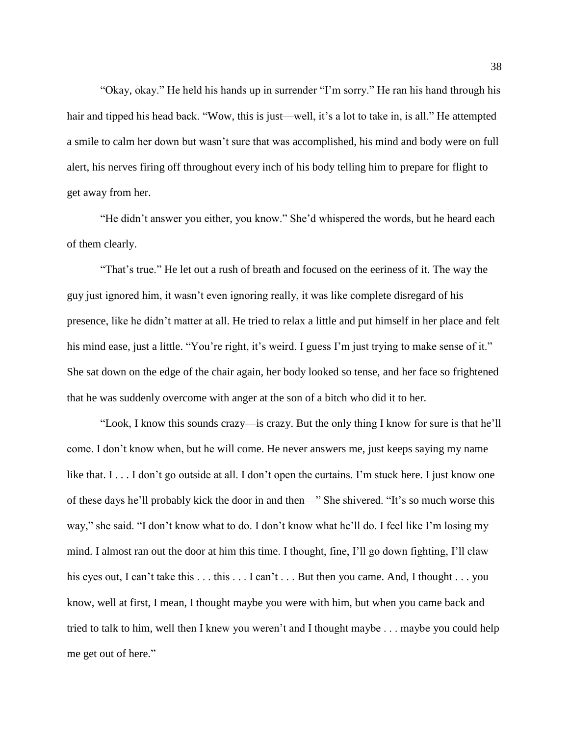"Okay, okay." He held his hands up in surrender "I'm sorry." He ran his hand through his hair and tipped his head back. "Wow, this is just—well, it's a lot to take in, is all." He attempted a smile to calm her down but wasn't sure that was accomplished, his mind and body were on full alert, his nerves firing off throughout every inch of his body telling him to prepare for flight to get away from her.

"He didn't answer you either, you know." She'd whispered the words, but he heard each of them clearly.

"That's true." He let out a rush of breath and focused on the eeriness of it. The way the guy just ignored him, it wasn't even ignoring really, it was like complete disregard of his presence, like he didn't matter at all. He tried to relax a little and put himself in her place and felt his mind ease, just a little. "You're right, it's weird. I guess I'm just trying to make sense of it." She sat down on the edge of the chair again, her body looked so tense, and her face so frightened that he was suddenly overcome with anger at the son of a bitch who did it to her.

"Look, I know this sounds crazy—is crazy. But the only thing I know for sure is that he'll come. I don't know when, but he will come. He never answers me, just keeps saying my name like that. I . . . I don't go outside at all. I don't open the curtains. I'm stuck here. I just know one of these days he'll probably kick the door in and then—" She shivered. "It's so much worse this way," she said. "I don't know what to do. I don't know what he'll do. I feel like I'm losing my mind. I almost ran out the door at him this time. I thought, fine, I'll go down fighting, I'll claw his eyes out, I can't take this . . . this . . . I can't . . . But then you came. And, I thought . . . you know, well at first, I mean, I thought maybe you were with him, but when you came back and tried to talk to him, well then I knew you weren't and I thought maybe . . . maybe you could help me get out of here."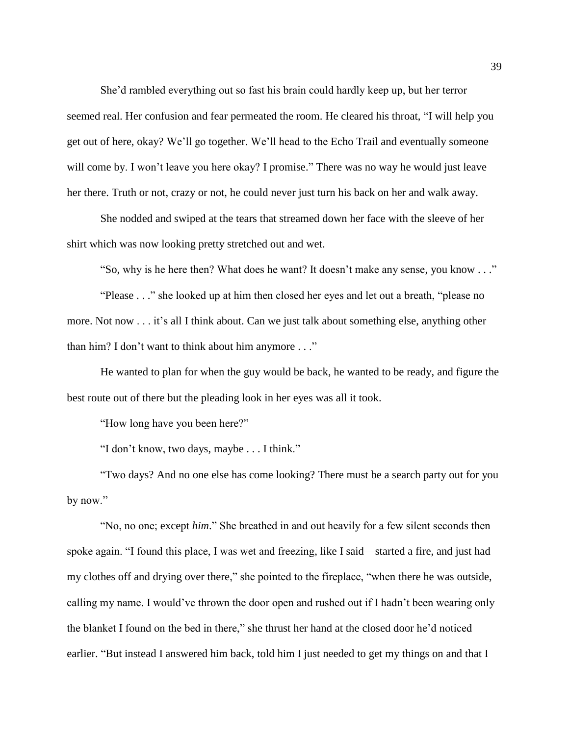She'd rambled everything out so fast his brain could hardly keep up, but her terror seemed real. Her confusion and fear permeated the room. He cleared his throat, "I will help you get out of here, okay? We'll go together. We'll head to the Echo Trail and eventually someone will come by. I won't leave you here okay? I promise." There was no way he would just leave her there. Truth or not, crazy or not, he could never just turn his back on her and walk away.

She nodded and swiped at the tears that streamed down her face with the sleeve of her shirt which was now looking pretty stretched out and wet.

"So, why is he here then? What does he want? It doesn't make any sense, you know . . ."

"Please . . ." she looked up at him then closed her eyes and let out a breath, "please no more. Not now . . . it's all I think about. Can we just talk about something else, anything other than him? I don't want to think about him anymore . . ."

He wanted to plan for when the guy would be back, he wanted to be ready, and figure the best route out of there but the pleading look in her eyes was all it took.

"How long have you been here?"

"I don't know, two days, maybe . . . I think."

"Two days? And no one else has come looking? There must be a search party out for you by now."

"No, no one; except *him*." She breathed in and out heavily for a few silent seconds then spoke again. "I found this place, I was wet and freezing, like I said—started a fire, and just had my clothes off and drying over there," she pointed to the fireplace, "when there he was outside, calling my name. I would've thrown the door open and rushed out if I hadn't been wearing only the blanket I found on the bed in there," she thrust her hand at the closed door he'd noticed earlier. "But instead I answered him back, told him I just needed to get my things on and that I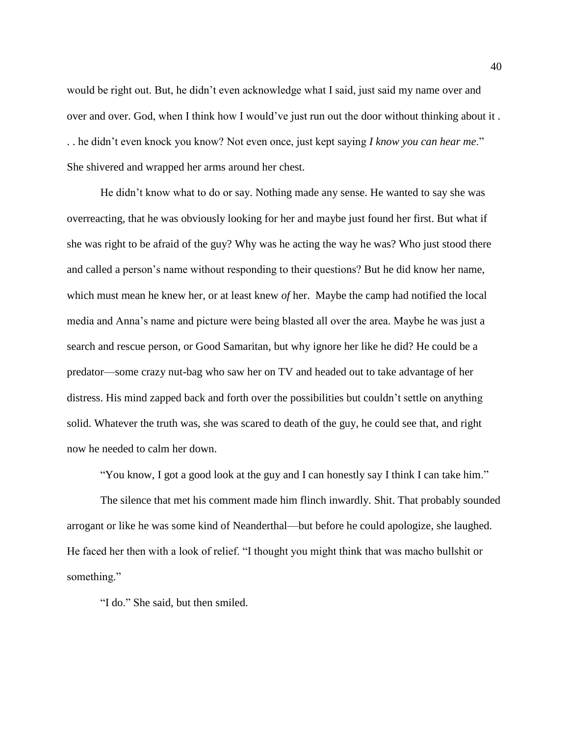would be right out. But, he didn't even acknowledge what I said, just said my name over and over and over. God, when I think how I would've just run out the door without thinking about it . . . he didn't even knock you know? Not even once, just kept saying *I know you can hear me*." She shivered and wrapped her arms around her chest.

He didn't know what to do or say. Nothing made any sense. He wanted to say she was overreacting, that he was obviously looking for her and maybe just found her first. But what if she was right to be afraid of the guy? Why was he acting the way he was? Who just stood there and called a person's name without responding to their questions? But he did know her name, which must mean he knew her, or at least knew *of* her. Maybe the camp had notified the local media and Anna's name and picture were being blasted all over the area. Maybe he was just a search and rescue person, or Good Samaritan, but why ignore her like he did? He could be a predator—some crazy nut-bag who saw her on TV and headed out to take advantage of her distress. His mind zapped back and forth over the possibilities but couldn't settle on anything solid. Whatever the truth was, she was scared to death of the guy, he could see that, and right now he needed to calm her down.

"You know, I got a good look at the guy and I can honestly say I think I can take him."

The silence that met his comment made him flinch inwardly. Shit. That probably sounded arrogant or like he was some kind of Neanderthal—but before he could apologize, she laughed. He faced her then with a look of relief. "I thought you might think that was macho bullshit or something."

"I do." She said, but then smiled.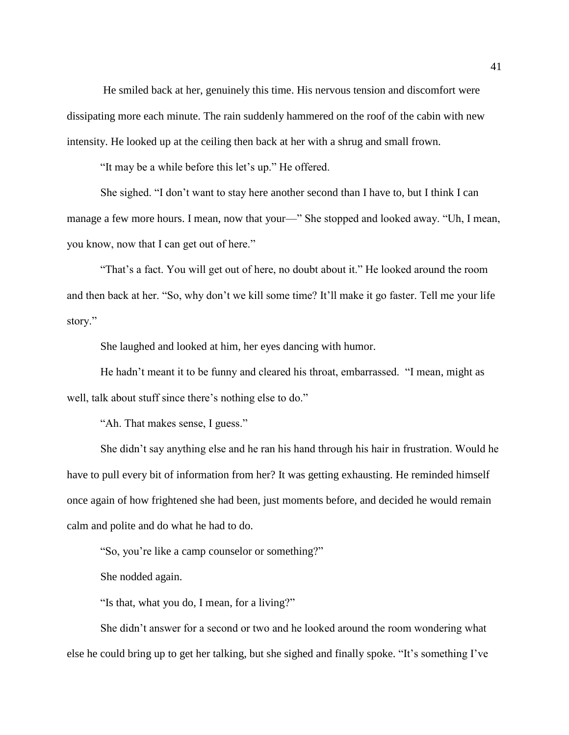He smiled back at her, genuinely this time. His nervous tension and discomfort were dissipating more each minute. The rain suddenly hammered on the roof of the cabin with new intensity. He looked up at the ceiling then back at her with a shrug and small frown.

"It may be a while before this let's up." He offered.

She sighed. "I don't want to stay here another second than I have to, but I think I can manage a few more hours. I mean, now that your—" She stopped and looked away. "Uh, I mean, you know, now that I can get out of here."

"That's a fact. You will get out of here, no doubt about it." He looked around the room and then back at her. "So, why don't we kill some time? It'll make it go faster. Tell me your life story."

She laughed and looked at him, her eyes dancing with humor.

He hadn't meant it to be funny and cleared his throat, embarrassed. "I mean, might as well, talk about stuff since there's nothing else to do."

"Ah. That makes sense, I guess."

She didn't say anything else and he ran his hand through his hair in frustration. Would he have to pull every bit of information from her? It was getting exhausting. He reminded himself once again of how frightened she had been, just moments before, and decided he would remain calm and polite and do what he had to do.

"So, you're like a camp counselor or something?"

She nodded again.

"Is that, what you do, I mean, for a living?"

She didn't answer for a second or two and he looked around the room wondering what else he could bring up to get her talking, but she sighed and finally spoke. "It's something I've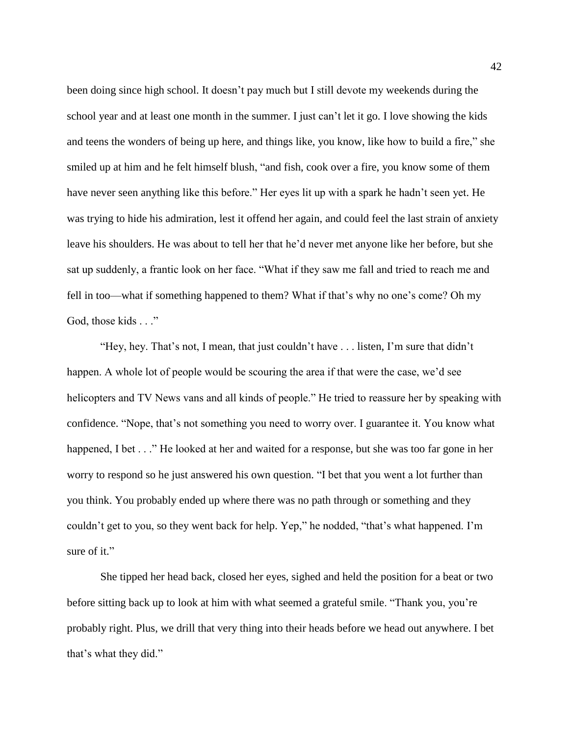been doing since high school. It doesn't pay much but I still devote my weekends during the school year and at least one month in the summer. I just can't let it go. I love showing the kids and teens the wonders of being up here, and things like, you know, like how to build a fire," she smiled up at him and he felt himself blush, "and fish, cook over a fire, you know some of them have never seen anything like this before." Her eyes lit up with a spark he hadn't seen yet. He was trying to hide his admiration, lest it offend her again, and could feel the last strain of anxiety leave his shoulders. He was about to tell her that he'd never met anyone like her before, but she sat up suddenly, a frantic look on her face. "What if they saw me fall and tried to reach me and fell in too—what if something happened to them? What if that's why no one's come? Oh my God, those kids . . ."

"Hey, hey. That's not, I mean, that just couldn't have . . . listen, I'm sure that didn't happen. A whole lot of people would be scouring the area if that were the case, we'd see helicopters and TV News vans and all kinds of people." He tried to reassure her by speaking with confidence. "Nope, that's not something you need to worry over. I guarantee it. You know what happened, I bet . . ." He looked at her and waited for a response, but she was too far gone in her worry to respond so he just answered his own question. "I bet that you went a lot further than you think. You probably ended up where there was no path through or something and they couldn't get to you, so they went back for help. Yep," he nodded, "that's what happened. I'm sure of it."

She tipped her head back, closed her eyes, sighed and held the position for a beat or two before sitting back up to look at him with what seemed a grateful smile. "Thank you, you're probably right. Plus, we drill that very thing into their heads before we head out anywhere. I bet that's what they did."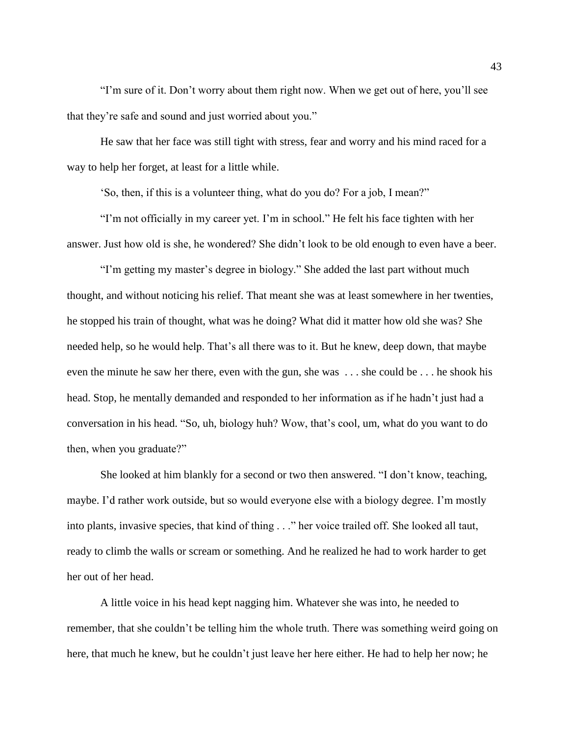"I'm sure of it. Don't worry about them right now. When we get out of here, you'll see that they're safe and sound and just worried about you."

He saw that her face was still tight with stress, fear and worry and his mind raced for a way to help her forget, at least for a little while.

'So, then, if this is a volunteer thing, what do you do? For a job, I mean?"

"I'm not officially in my career yet. I'm in school." He felt his face tighten with her answer. Just how old is she, he wondered? She didn't look to be old enough to even have a beer.

"I'm getting my master's degree in biology." She added the last part without much thought, and without noticing his relief. That meant she was at least somewhere in her twenties, he stopped his train of thought, what was he doing? What did it matter how old she was? She needed help, so he would help. That's all there was to it. But he knew, deep down, that maybe even the minute he saw her there, even with the gun, she was . . . she could be . . . he shook his head. Stop, he mentally demanded and responded to her information as if he hadn't just had a conversation in his head. "So, uh, biology huh? Wow, that's cool, um, what do you want to do then, when you graduate?"

She looked at him blankly for a second or two then answered. "I don't know, teaching, maybe. I'd rather work outside, but so would everyone else with a biology degree. I'm mostly into plants, invasive species, that kind of thing . . ." her voice trailed off. She looked all taut, ready to climb the walls or scream or something. And he realized he had to work harder to get her out of her head.

A little voice in his head kept nagging him. Whatever she was into, he needed to remember, that she couldn't be telling him the whole truth. There was something weird going on here, that much he knew, but he couldn't just leave her here either. He had to help her now; he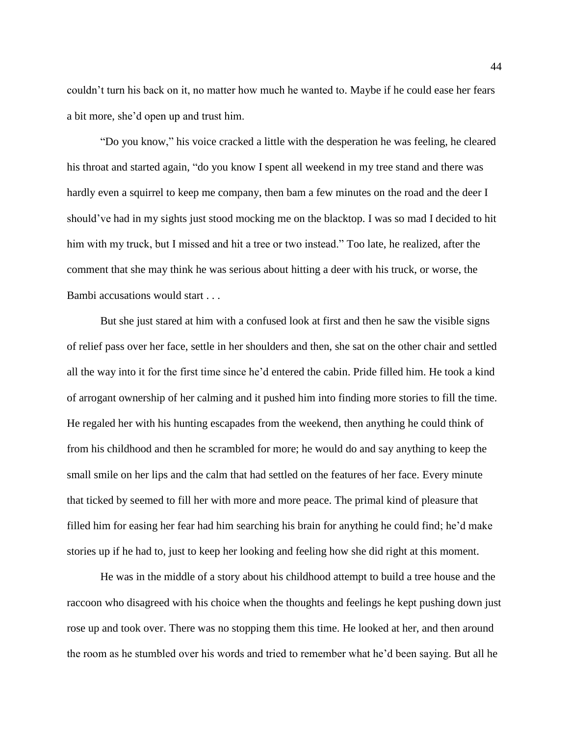couldn't turn his back on it, no matter how much he wanted to. Maybe if he could ease her fears a bit more, she'd open up and trust him.

"Do you know," his voice cracked a little with the desperation he was feeling, he cleared his throat and started again, "do you know I spent all weekend in my tree stand and there was hardly even a squirrel to keep me company, then bam a few minutes on the road and the deer I should've had in my sights just stood mocking me on the blacktop. I was so mad I decided to hit him with my truck, but I missed and hit a tree or two instead." Too late, he realized, after the comment that she may think he was serious about hitting a deer with his truck, or worse, the Bambi accusations would start . . .

But she just stared at him with a confused look at first and then he saw the visible signs of relief pass over her face, settle in her shoulders and then, she sat on the other chair and settled all the way into it for the first time since he'd entered the cabin. Pride filled him. He took a kind of arrogant ownership of her calming and it pushed him into finding more stories to fill the time. He regaled her with his hunting escapades from the weekend, then anything he could think of from his childhood and then he scrambled for more; he would do and say anything to keep the small smile on her lips and the calm that had settled on the features of her face. Every minute that ticked by seemed to fill her with more and more peace. The primal kind of pleasure that filled him for easing her fear had him searching his brain for anything he could find; he'd make stories up if he had to, just to keep her looking and feeling how she did right at this moment.

He was in the middle of a story about his childhood attempt to build a tree house and the raccoon who disagreed with his choice when the thoughts and feelings he kept pushing down just rose up and took over. There was no stopping them this time. He looked at her, and then around the room as he stumbled over his words and tried to remember what he'd been saying. But all he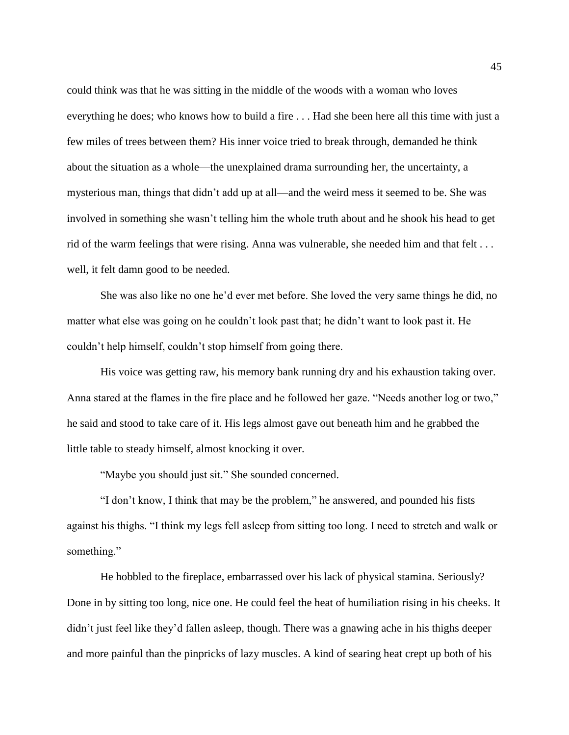could think was that he was sitting in the middle of the woods with a woman who loves everything he does; who knows how to build a fire . . . Had she been here all this time with just a few miles of trees between them? His inner voice tried to break through, demanded he think about the situation as a whole—the unexplained drama surrounding her, the uncertainty, a mysterious man, things that didn't add up at all—and the weird mess it seemed to be. She was involved in something she wasn't telling him the whole truth about and he shook his head to get rid of the warm feelings that were rising. Anna was vulnerable, she needed him and that felt . . . well, it felt damn good to be needed.

She was also like no one he'd ever met before. She loved the very same things he did, no matter what else was going on he couldn't look past that; he didn't want to look past it. He couldn't help himself, couldn't stop himself from going there.

His voice was getting raw, his memory bank running dry and his exhaustion taking over. Anna stared at the flames in the fire place and he followed her gaze. "Needs another log or two," he said and stood to take care of it. His legs almost gave out beneath him and he grabbed the little table to steady himself, almost knocking it over.

"Maybe you should just sit." She sounded concerned.

"I don't know, I think that may be the problem," he answered, and pounded his fists against his thighs. "I think my legs fell asleep from sitting too long. I need to stretch and walk or something."

He hobbled to the fireplace, embarrassed over his lack of physical stamina. Seriously? Done in by sitting too long, nice one. He could feel the heat of humiliation rising in his cheeks. It didn't just feel like they'd fallen asleep, though. There was a gnawing ache in his thighs deeper and more painful than the pinpricks of lazy muscles. A kind of searing heat crept up both of his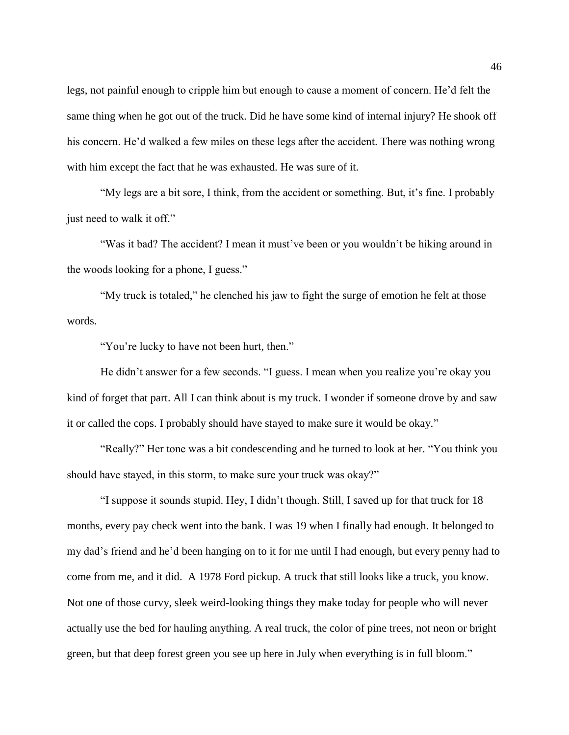legs, not painful enough to cripple him but enough to cause a moment of concern. He'd felt the same thing when he got out of the truck. Did he have some kind of internal injury? He shook off his concern. He'd walked a few miles on these legs after the accident. There was nothing wrong with him except the fact that he was exhausted. He was sure of it.

"My legs are a bit sore, I think, from the accident or something. But, it's fine. I probably just need to walk it off."

"Was it bad? The accident? I mean it must've been or you wouldn't be hiking around in the woods looking for a phone, I guess."

"My truck is totaled," he clenched his jaw to fight the surge of emotion he felt at those words.

"You're lucky to have not been hurt, then."

He didn't answer for a few seconds. "I guess. I mean when you realize you're okay you kind of forget that part. All I can think about is my truck. I wonder if someone drove by and saw it or called the cops. I probably should have stayed to make sure it would be okay."

"Really?" Her tone was a bit condescending and he turned to look at her. "You think you should have stayed, in this storm, to make sure your truck was okay?"

"I suppose it sounds stupid. Hey, I didn't though. Still, I saved up for that truck for 18 months, every pay check went into the bank. I was 19 when I finally had enough. It belonged to my dad's friend and he'd been hanging on to it for me until I had enough, but every penny had to come from me, and it did. A 1978 Ford pickup. A truck that still looks like a truck, you know. Not one of those curvy, sleek weird-looking things they make today for people who will never actually use the bed for hauling anything. A real truck, the color of pine trees, not neon or bright green, but that deep forest green you see up here in July when everything is in full bloom."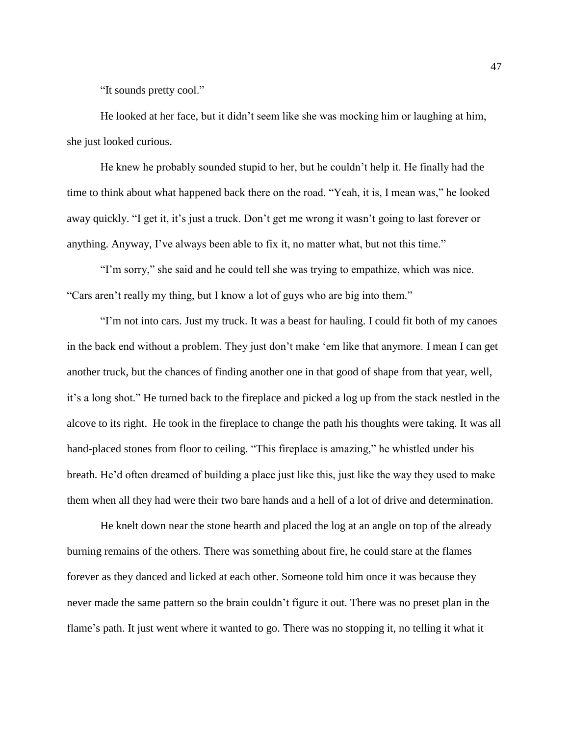"It sounds pretty cool."

He looked at her face, but it didn't seem like she was mocking him or laughing at him, she just looked curious.

He knew he probably sounded stupid to her, but he couldn't help it. He finally had the time to think about what happened back there on the road. "Yeah, it is, I mean was," he looked away quickly. "I get it, it's just a truck. Don't get me wrong it wasn't going to last forever or anything. Anyway, I've always been able to fix it, no matter what, but not this time."

"I'm sorry," she said and he could tell she was trying to empathize, which was nice. "Cars aren't really my thing, but I know a lot of guys who are big into them."

"I'm not into cars. Just my truck. It was a beast for hauling. I could fit both of my canoes in the back end without a problem. They just don't make 'em like that anymore. I mean I can get another truck, but the chances of finding another one in that good of shape from that year, well, it's a long shot." He turned back to the fireplace and picked a log up from the stack nestled in the alcove to its right. He took in the fireplace to change the path his thoughts were taking. It was all hand-placed stones from floor to ceiling. "This fireplace is amazing," he whistled under his breath. He'd often dreamed of building a place just like this, just like the way they used to make them when all they had were their two bare hands and a hell of a lot of drive and determination.

He knelt down near the stone hearth and placed the log at an angle on top of the already burning remains of the others. There was something about fire, he could stare at the flames forever as they danced and licked at each other. Someone told him once it was because they never made the same pattern so the brain couldn't figure it out. There was no preset plan in the flame's path. It just went where it wanted to go. There was no stopping it, no telling it what it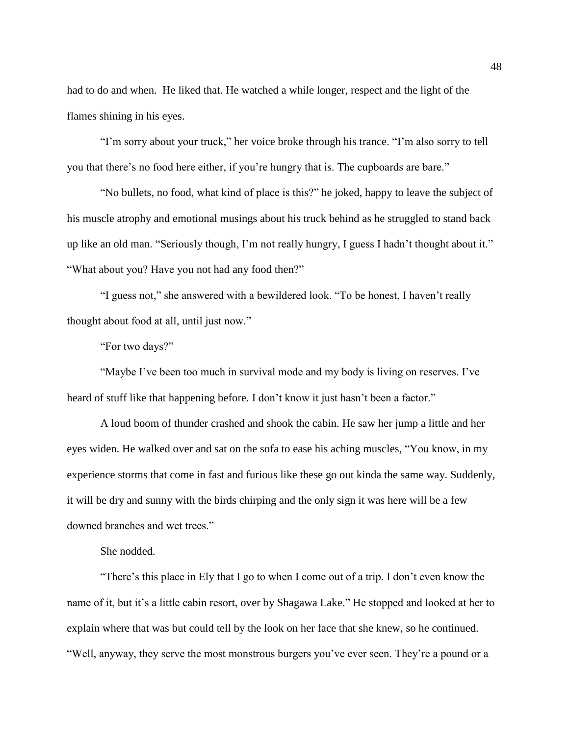had to do and when. He liked that. He watched a while longer, respect and the light of the flames shining in his eyes.

"I'm sorry about your truck," her voice broke through his trance. "I'm also sorry to tell you that there's no food here either, if you're hungry that is. The cupboards are bare."

"No bullets, no food, what kind of place is this?" he joked, happy to leave the subject of his muscle atrophy and emotional musings about his truck behind as he struggled to stand back up like an old man. "Seriously though, I'm not really hungry, I guess I hadn't thought about it." "What about you? Have you not had any food then?"

"I guess not," she answered with a bewildered look. "To be honest, I haven't really thought about food at all, until just now."

"For two days?"

"Maybe I've been too much in survival mode and my body is living on reserves. I've heard of stuff like that happening before. I don't know it just hasn't been a factor."

A loud boom of thunder crashed and shook the cabin. He saw her jump a little and her eyes widen. He walked over and sat on the sofa to ease his aching muscles, "You know, in my experience storms that come in fast and furious like these go out kinda the same way. Suddenly, it will be dry and sunny with the birds chirping and the only sign it was here will be a few downed branches and wet trees."

She nodded.

"There's this place in Ely that I go to when I come out of a trip. I don't even know the name of it, but it's a little cabin resort, over by Shagawa Lake." He stopped and looked at her to explain where that was but could tell by the look on her face that she knew, so he continued. "Well, anyway, they serve the most monstrous burgers you've ever seen. They're a pound or a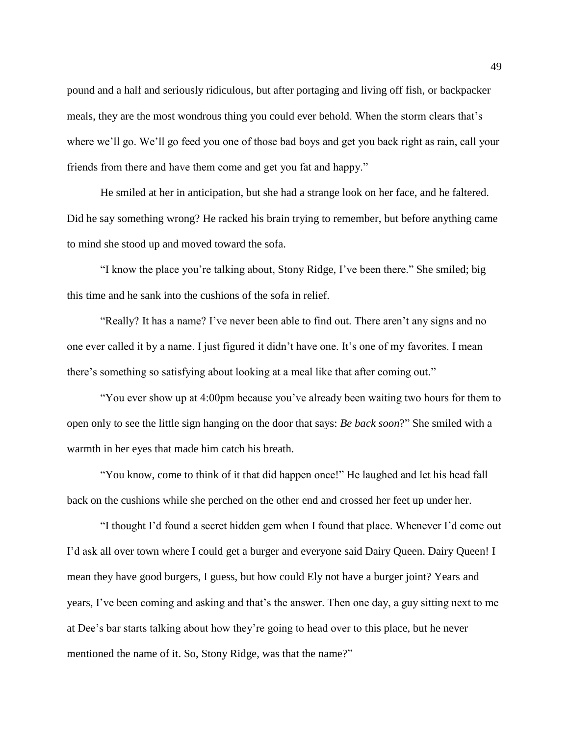pound and a half and seriously ridiculous, but after portaging and living off fish, or backpacker meals, they are the most wondrous thing you could ever behold. When the storm clears that's where we'll go. We'll go feed you one of those bad boys and get you back right as rain, call your friends from there and have them come and get you fat and happy."

He smiled at her in anticipation, but she had a strange look on her face, and he faltered. Did he say something wrong? He racked his brain trying to remember, but before anything came to mind she stood up and moved toward the sofa.

"I know the place you're talking about, Stony Ridge, I've been there." She smiled; big this time and he sank into the cushions of the sofa in relief.

"Really? It has a name? I've never been able to find out. There aren't any signs and no one ever called it by a name. I just figured it didn't have one. It's one of my favorites. I mean there's something so satisfying about looking at a meal like that after coming out."

"You ever show up at 4:00pm because you've already been waiting two hours for them to open only to see the little sign hanging on the door that says: *Be back soon*?" She smiled with a warmth in her eyes that made him catch his breath.

"You know, come to think of it that did happen once!" He laughed and let his head fall back on the cushions while she perched on the other end and crossed her feet up under her.

"I thought I'd found a secret hidden gem when I found that place. Whenever I'd come out I'd ask all over town where I could get a burger and everyone said Dairy Queen. Dairy Queen! I mean they have good burgers, I guess, but how could Ely not have a burger joint? Years and years, I've been coming and asking and that's the answer. Then one day, a guy sitting next to me at Dee's bar starts talking about how they're going to head over to this place, but he never mentioned the name of it. So, Stony Ridge, was that the name?"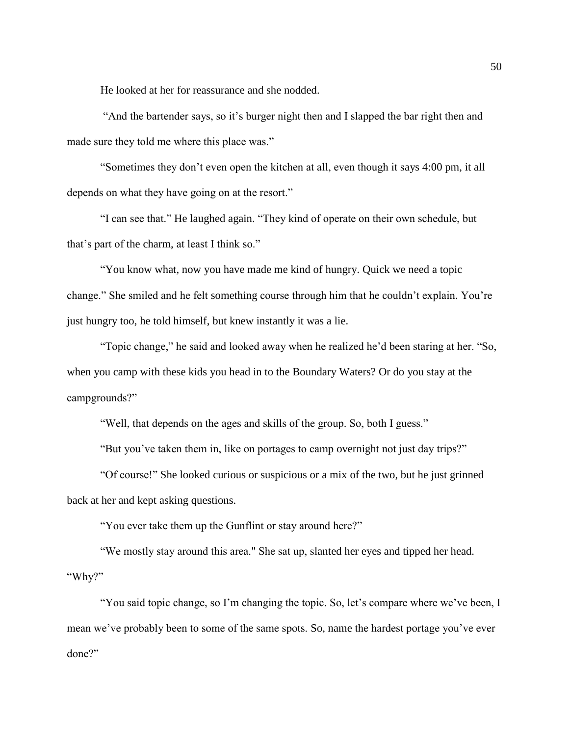He looked at her for reassurance and she nodded.

"And the bartender says, so it's burger night then and I slapped the bar right then and made sure they told me where this place was."

"Sometimes they don't even open the kitchen at all, even though it says 4:00 pm, it all depends on what they have going on at the resort."

"I can see that." He laughed again. "They kind of operate on their own schedule, but that's part of the charm, at least I think so."

"You know what, now you have made me kind of hungry. Quick we need a topic change." She smiled and he felt something course through him that he couldn't explain. You're just hungry too, he told himself, but knew instantly it was a lie.

"Topic change," he said and looked away when he realized he'd been staring at her. "So, when you camp with these kids you head in to the Boundary Waters? Or do you stay at the campgrounds?"

"Well, that depends on the ages and skills of the group. So, both I guess."

"But you've taken them in, like on portages to camp overnight not just day trips?"

"Of course!" She looked curious or suspicious or a mix of the two, but he just grinned back at her and kept asking questions.

"You ever take them up the Gunflint or stay around here?"

"We mostly stay around this area." She sat up, slanted her eyes and tipped her head. "Why?"

"You said topic change, so I'm changing the topic. So, let's compare where we've been, I mean we've probably been to some of the same spots. So, name the hardest portage you've ever done?"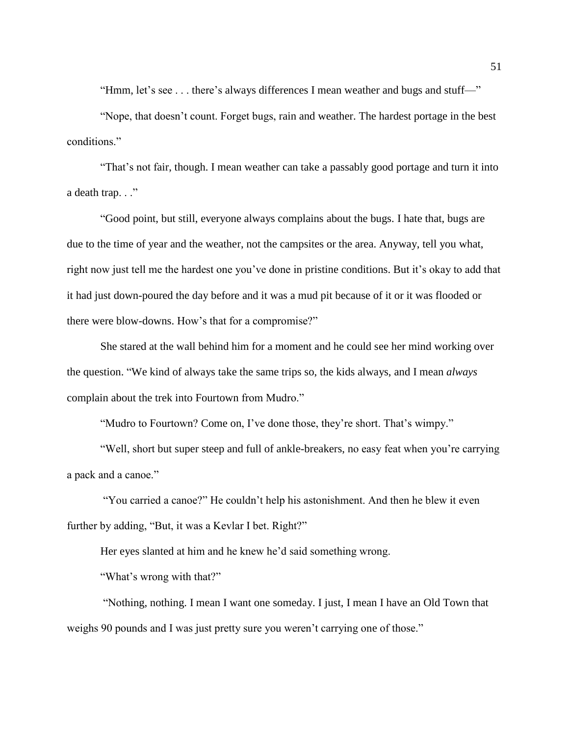"Hmm, let's see . . . there's always differences I mean weather and bugs and stuff—"

"Nope, that doesn't count. Forget bugs, rain and weather. The hardest portage in the best conditions."

"That's not fair, though. I mean weather can take a passably good portage and turn it into a death trap. . ."

"Good point, but still, everyone always complains about the bugs. I hate that, bugs are due to the time of year and the weather, not the campsites or the area. Anyway, tell you what, right now just tell me the hardest one you've done in pristine conditions. But it's okay to add that it had just down-poured the day before and it was a mud pit because of it or it was flooded or there were blow-downs. How's that for a compromise?"

She stared at the wall behind him for a moment and he could see her mind working over the question. "We kind of always take the same trips so, the kids always, and I mean *always* complain about the trek into Fourtown from Mudro."

"Mudro to Fourtown? Come on, I've done those, they're short. That's wimpy."

"Well, short but super steep and full of ankle-breakers, no easy feat when you're carrying a pack and a canoe."

"You carried a canoe?" He couldn't help his astonishment. And then he blew it even further by adding, "But, it was a Kevlar I bet. Right?"

Her eyes slanted at him and he knew he'd said something wrong.

"What's wrong with that?"

"Nothing, nothing. I mean I want one someday. I just, I mean I have an Old Town that weighs 90 pounds and I was just pretty sure you weren't carrying one of those."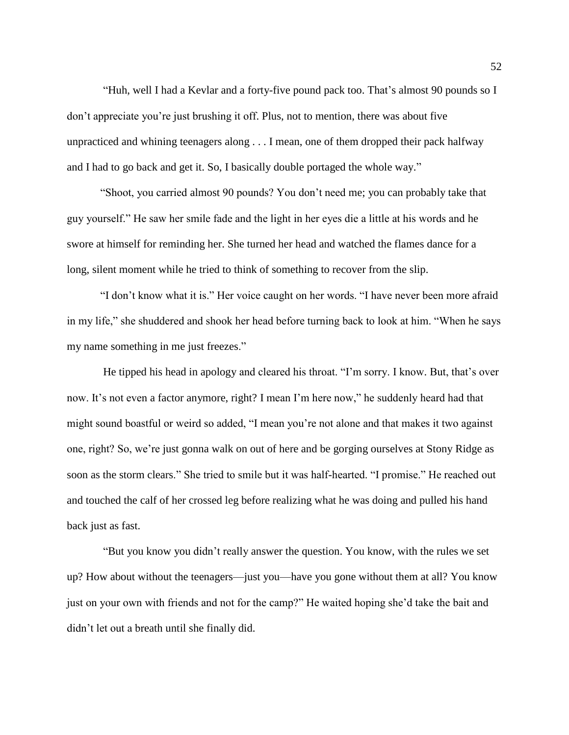"Huh, well I had a Kevlar and a forty-five pound pack too. That's almost 90 pounds so I don't appreciate you're just brushing it off. Plus, not to mention, there was about five unpracticed and whining teenagers along . . . I mean, one of them dropped their pack halfway and I had to go back and get it. So, I basically double portaged the whole way."

"Shoot, you carried almost 90 pounds? You don't need me; you can probably take that guy yourself." He saw her smile fade and the light in her eyes die a little at his words and he swore at himself for reminding her. She turned her head and watched the flames dance for a long, silent moment while he tried to think of something to recover from the slip.

"I don't know what it is." Her voice caught on her words. "I have never been more afraid in my life," she shuddered and shook her head before turning back to look at him. "When he says my name something in me just freezes."

He tipped his head in apology and cleared his throat. "I'm sorry. I know. But, that's over now. It's not even a factor anymore, right? I mean I'm here now," he suddenly heard had that might sound boastful or weird so added, "I mean you're not alone and that makes it two against one, right? So, we're just gonna walk on out of here and be gorging ourselves at Stony Ridge as soon as the storm clears." She tried to smile but it was half-hearted. "I promise." He reached out and touched the calf of her crossed leg before realizing what he was doing and pulled his hand back just as fast.

"But you know you didn't really answer the question. You know, with the rules we set up? How about without the teenagers—just you—have you gone without them at all? You know just on your own with friends and not for the camp?" He waited hoping she'd take the bait and didn't let out a breath until she finally did.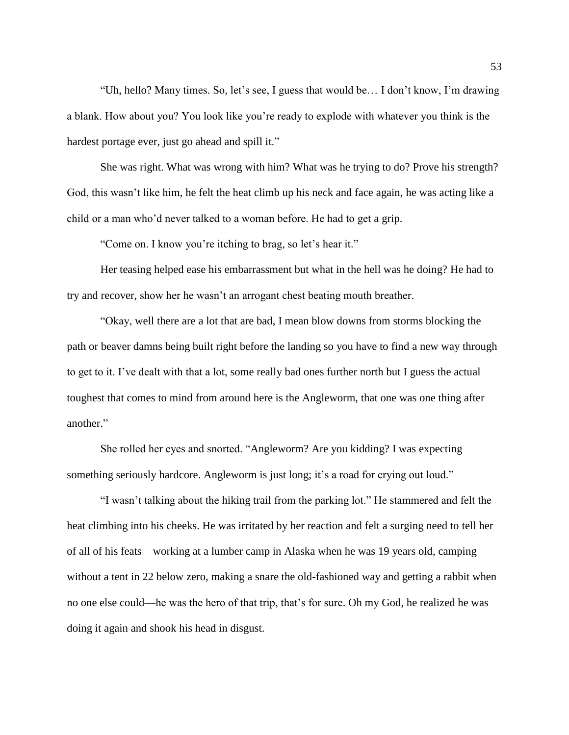"Uh, hello? Many times. So, let's see, I guess that would be… I don't know, I'm drawing a blank. How about you? You look like you're ready to explode with whatever you think is the hardest portage ever, just go ahead and spill it."

She was right. What was wrong with him? What was he trying to do? Prove his strength? God, this wasn't like him, he felt the heat climb up his neck and face again, he was acting like a child or a man who'd never talked to a woman before. He had to get a grip.

"Come on. I know you're itching to brag, so let's hear it."

Her teasing helped ease his embarrassment but what in the hell was he doing? He had to try and recover, show her he wasn't an arrogant chest beating mouth breather.

"Okay, well there are a lot that are bad, I mean blow downs from storms blocking the path or beaver damns being built right before the landing so you have to find a new way through to get to it. I've dealt with that a lot, some really bad ones further north but I guess the actual toughest that comes to mind from around here is the Angleworm, that one was one thing after another."

She rolled her eyes and snorted. "Angleworm? Are you kidding? I was expecting something seriously hardcore. Angleworm is just long; it's a road for crying out loud."

"I wasn't talking about the hiking trail from the parking lot." He stammered and felt the heat climbing into his cheeks. He was irritated by her reaction and felt a surging need to tell her of all of his feats—working at a lumber camp in Alaska when he was 19 years old, camping without a tent in 22 below zero, making a snare the old-fashioned way and getting a rabbit when no one else could—he was the hero of that trip, that's for sure. Oh my God, he realized he was doing it again and shook his head in disgust.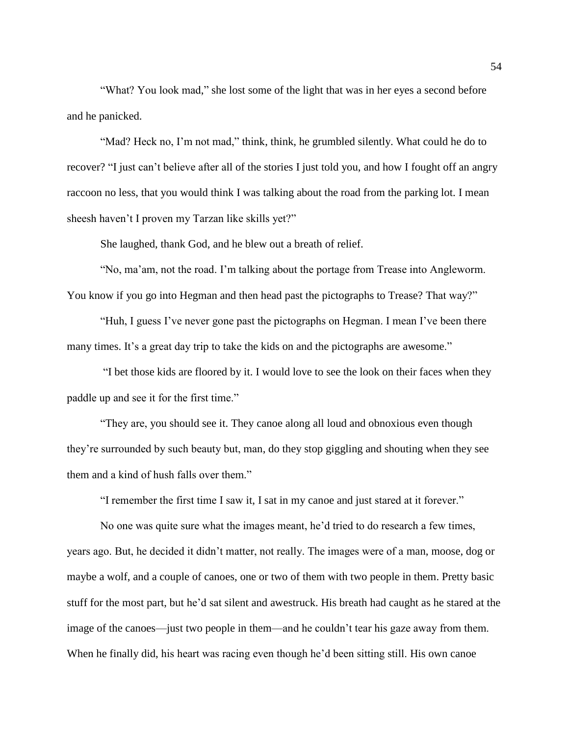"What? You look mad," she lost some of the light that was in her eyes a second before and he panicked.

"Mad? Heck no, I'm not mad," think, think, he grumbled silently. What could he do to recover? "I just can't believe after all of the stories I just told you, and how I fought off an angry raccoon no less, that you would think I was talking about the road from the parking lot. I mean sheesh haven't I proven my Tarzan like skills yet?"

She laughed, thank God, and he blew out a breath of relief.

"No, ma'am, not the road. I'm talking about the portage from Trease into Angleworm. You know if you go into Hegman and then head past the pictographs to Trease? That way?"

"Huh, I guess I've never gone past the pictographs on Hegman. I mean I've been there many times. It's a great day trip to take the kids on and the pictographs are awesome."

"I bet those kids are floored by it. I would love to see the look on their faces when they paddle up and see it for the first time."

"They are, you should see it. They canoe along all loud and obnoxious even though they're surrounded by such beauty but, man, do they stop giggling and shouting when they see them and a kind of hush falls over them."

"I remember the first time I saw it, I sat in my canoe and just stared at it forever."

No one was quite sure what the images meant, he'd tried to do research a few times, years ago. But, he decided it didn't matter, not really. The images were of a man, moose, dog or maybe a wolf, and a couple of canoes, one or two of them with two people in them. Pretty basic stuff for the most part, but he'd sat silent and awestruck. His breath had caught as he stared at the image of the canoes—just two people in them—and he couldn't tear his gaze away from them. When he finally did, his heart was racing even though he'd been sitting still. His own canoe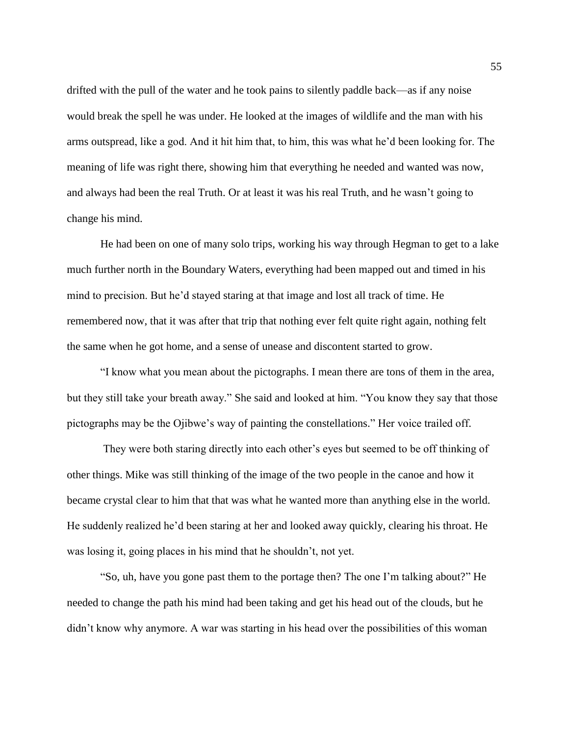drifted with the pull of the water and he took pains to silently paddle back—as if any noise would break the spell he was under. He looked at the images of wildlife and the man with his arms outspread, like a god. And it hit him that, to him, this was what he'd been looking for. The meaning of life was right there, showing him that everything he needed and wanted was now, and always had been the real Truth. Or at least it was his real Truth, and he wasn't going to change his mind.

He had been on one of many solo trips, working his way through Hegman to get to a lake much further north in the Boundary Waters, everything had been mapped out and timed in his mind to precision. But he'd stayed staring at that image and lost all track of time. He remembered now, that it was after that trip that nothing ever felt quite right again, nothing felt the same when he got home, and a sense of unease and discontent started to grow.

"I know what you mean about the pictographs. I mean there are tons of them in the area, but they still take your breath away." She said and looked at him. "You know they say that those pictographs may be the Ojibwe's way of painting the constellations." Her voice trailed off.

They were both staring directly into each other's eyes but seemed to be off thinking of other things. Mike was still thinking of the image of the two people in the canoe and how it became crystal clear to him that that was what he wanted more than anything else in the world. He suddenly realized he'd been staring at her and looked away quickly, clearing his throat. He was losing it, going places in his mind that he shouldn't, not yet.

"So, uh, have you gone past them to the portage then? The one I'm talking about?" He needed to change the path his mind had been taking and get his head out of the clouds, but he didn't know why anymore. A war was starting in his head over the possibilities of this woman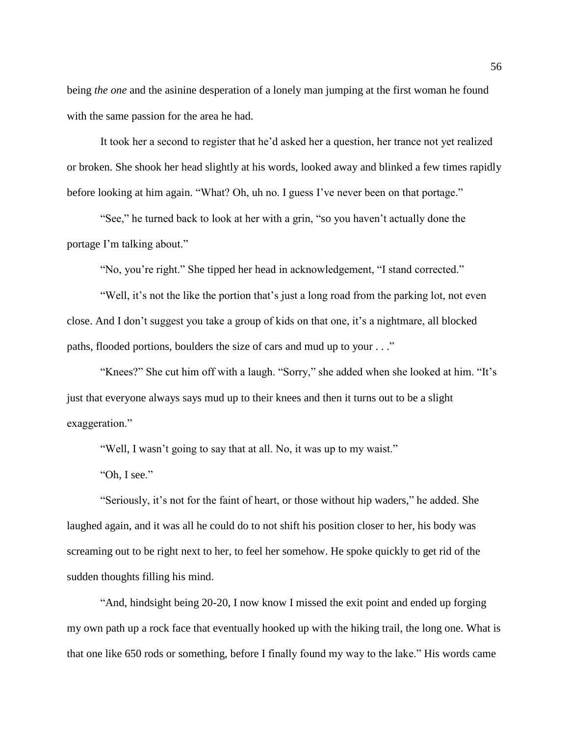being *the one* and the asinine desperation of a lonely man jumping at the first woman he found with the same passion for the area he had.

It took her a second to register that he'd asked her a question, her trance not yet realized or broken. She shook her head slightly at his words, looked away and blinked a few times rapidly before looking at him again. "What? Oh, uh no. I guess I've never been on that portage."

"See," he turned back to look at her with a grin, "so you haven't actually done the portage I'm talking about."

"No, you're right." She tipped her head in acknowledgement, "I stand corrected."

"Well, it's not the like the portion that's just a long road from the parking lot, not even close. And I don't suggest you take a group of kids on that one, it's a nightmare, all blocked paths, flooded portions, boulders the size of cars and mud up to your . . ."

"Knees?" She cut him off with a laugh. "Sorry," she added when she looked at him. "It's just that everyone always says mud up to their knees and then it turns out to be a slight exaggeration."

"Well, I wasn't going to say that at all. No, it was up to my waist."

"Oh, I see."

"Seriously, it's not for the faint of heart, or those without hip waders," he added. She laughed again, and it was all he could do to not shift his position closer to her, his body was screaming out to be right next to her, to feel her somehow. He spoke quickly to get rid of the sudden thoughts filling his mind.

"And, hindsight being 20-20, I now know I missed the exit point and ended up forging my own path up a rock face that eventually hooked up with the hiking trail, the long one. What is that one like 650 rods or something, before I finally found my way to the lake." His words came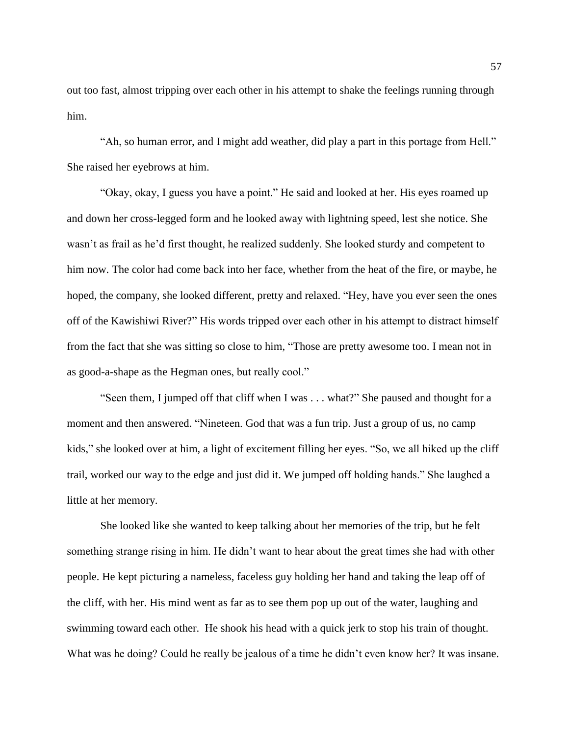out too fast, almost tripping over each other in his attempt to shake the feelings running through him.

"Ah, so human error, and I might add weather, did play a part in this portage from Hell." She raised her eyebrows at him.

"Okay, okay, I guess you have a point." He said and looked at her. His eyes roamed up and down her cross-legged form and he looked away with lightning speed, lest she notice. She wasn't as frail as he'd first thought, he realized suddenly. She looked sturdy and competent to him now. The color had come back into her face, whether from the heat of the fire, or maybe, he hoped, the company, she looked different, pretty and relaxed. "Hey, have you ever seen the ones off of the Kawishiwi River?" His words tripped over each other in his attempt to distract himself from the fact that she was sitting so close to him, "Those are pretty awesome too. I mean not in as good-a-shape as the Hegman ones, but really cool."

"Seen them, I jumped off that cliff when I was . . . what?" She paused and thought for a moment and then answered. "Nineteen. God that was a fun trip. Just a group of us, no camp kids," she looked over at him, a light of excitement filling her eyes. "So, we all hiked up the cliff trail, worked our way to the edge and just did it. We jumped off holding hands." She laughed a little at her memory.

She looked like she wanted to keep talking about her memories of the trip, but he felt something strange rising in him. He didn't want to hear about the great times she had with other people. He kept picturing a nameless, faceless guy holding her hand and taking the leap off of the cliff, with her. His mind went as far as to see them pop up out of the water, laughing and swimming toward each other. He shook his head with a quick jerk to stop his train of thought. What was he doing? Could he really be jealous of a time he didn't even know her? It was insane.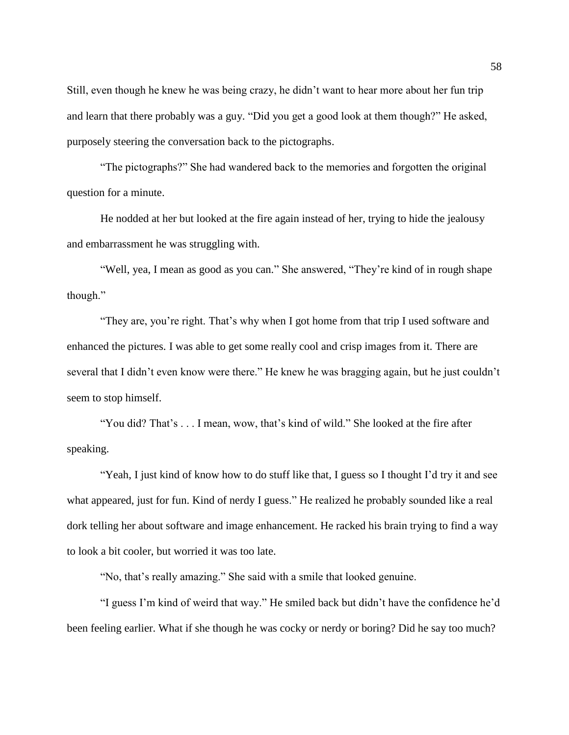Still, even though he knew he was being crazy, he didn't want to hear more about her fun trip and learn that there probably was a guy. "Did you get a good look at them though?" He asked, purposely steering the conversation back to the pictographs.

"The pictographs?" She had wandered back to the memories and forgotten the original question for a minute.

He nodded at her but looked at the fire again instead of her, trying to hide the jealousy and embarrassment he was struggling with.

"Well, yea, I mean as good as you can." She answered, "They're kind of in rough shape though."

"They are, you're right. That's why when I got home from that trip I used software and enhanced the pictures. I was able to get some really cool and crisp images from it. There are several that I didn't even know were there." He knew he was bragging again, but he just couldn't seem to stop himself.

"You did? That's . . . I mean, wow, that's kind of wild." She looked at the fire after speaking.

"Yeah, I just kind of know how to do stuff like that, I guess so I thought I'd try it and see what appeared, just for fun. Kind of nerdy I guess." He realized he probably sounded like a real dork telling her about software and image enhancement. He racked his brain trying to find a way to look a bit cooler, but worried it was too late.

"No, that's really amazing." She said with a smile that looked genuine.

"I guess I'm kind of weird that way." He smiled back but didn't have the confidence he'd been feeling earlier. What if she though he was cocky or nerdy or boring? Did he say too much?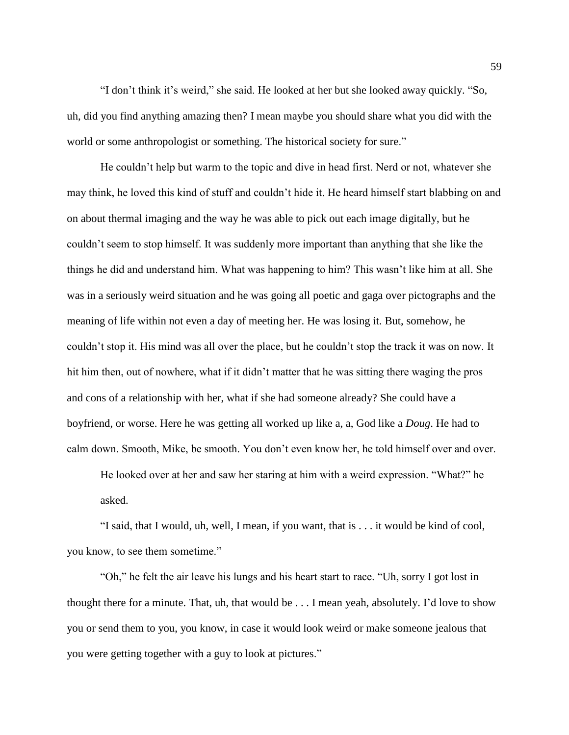"I don't think it's weird," she said. He looked at her but she looked away quickly. "So, uh, did you find anything amazing then? I mean maybe you should share what you did with the world or some anthropologist or something. The historical society for sure."

He couldn't help but warm to the topic and dive in head first. Nerd or not, whatever she may think, he loved this kind of stuff and couldn't hide it. He heard himself start blabbing on and on about thermal imaging and the way he was able to pick out each image digitally, but he couldn't seem to stop himself. It was suddenly more important than anything that she like the things he did and understand him. What was happening to him? This wasn't like him at all. She was in a seriously weird situation and he was going all poetic and gaga over pictographs and the meaning of life within not even a day of meeting her. He was losing it. But, somehow, he couldn't stop it. His mind was all over the place, but he couldn't stop the track it was on now. It hit him then, out of nowhere, what if it didn't matter that he was sitting there waging the pros and cons of a relationship with her, what if she had someone already? She could have a boyfriend, or worse. Here he was getting all worked up like a, a, God like a *Doug*. He had to calm down. Smooth, Mike, be smooth. You don't even know her, he told himself over and over.

He looked over at her and saw her staring at him with a weird expression. "What?" he asked.

"I said, that I would, uh, well, I mean, if you want, that is . . . it would be kind of cool, you know, to see them sometime."

"Oh," he felt the air leave his lungs and his heart start to race. "Uh, sorry I got lost in thought there for a minute. That, uh, that would be . . . I mean yeah, absolutely. I'd love to show you or send them to you, you know, in case it would look weird or make someone jealous that you were getting together with a guy to look at pictures."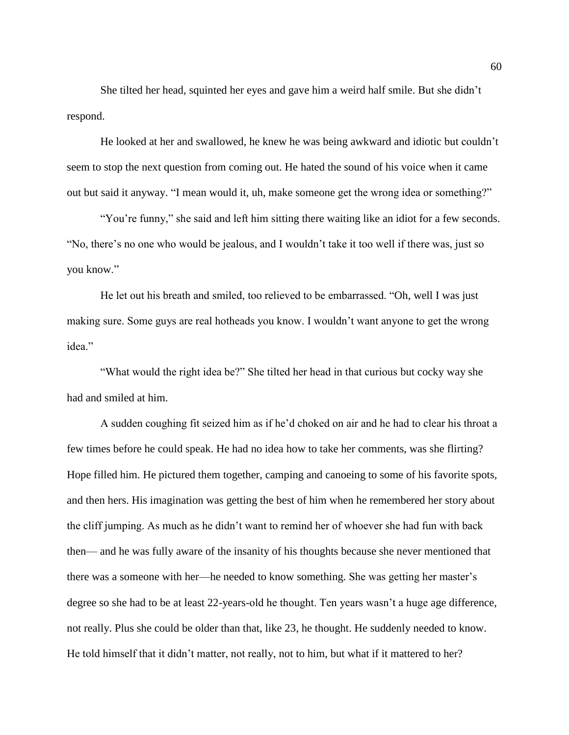She tilted her head, squinted her eyes and gave him a weird half smile. But she didn't respond.

He looked at her and swallowed, he knew he was being awkward and idiotic but couldn't seem to stop the next question from coming out. He hated the sound of his voice when it came out but said it anyway. "I mean would it, uh, make someone get the wrong idea or something?"

"You're funny," she said and left him sitting there waiting like an idiot for a few seconds. "No, there's no one who would be jealous, and I wouldn't take it too well if there was, just so you know."

He let out his breath and smiled, too relieved to be embarrassed. "Oh, well I was just making sure. Some guys are real hotheads you know. I wouldn't want anyone to get the wrong idea."

"What would the right idea be?" She tilted her head in that curious but cocky way she had and smiled at him.

A sudden coughing fit seized him as if he'd choked on air and he had to clear his throat a few times before he could speak. He had no idea how to take her comments, was she flirting? Hope filled him. He pictured them together, camping and canoeing to some of his favorite spots, and then hers. His imagination was getting the best of him when he remembered her story about the cliff jumping. As much as he didn't want to remind her of whoever she had fun with back then— and he was fully aware of the insanity of his thoughts because she never mentioned that there was a someone with her—he needed to know something. She was getting her master's degree so she had to be at least 22-years-old he thought. Ten years wasn't a huge age difference, not really. Plus she could be older than that, like 23, he thought. He suddenly needed to know. He told himself that it didn't matter, not really, not to him, but what if it mattered to her?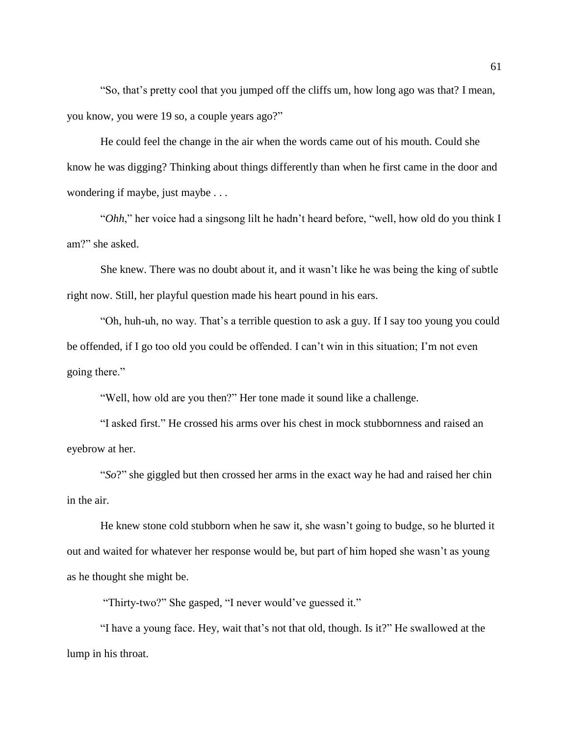"So, that's pretty cool that you jumped off the cliffs um, how long ago was that? I mean, you know, you were 19 so, a couple years ago?"

He could feel the change in the air when the words came out of his mouth. Could she know he was digging? Thinking about things differently than when he first came in the door and wondering if maybe, just maybe . . .

"*Ohh*," her voice had a singsong lilt he hadn't heard before, "well, how old do you think I am?" she asked.

She knew. There was no doubt about it, and it wasn't like he was being the king of subtle right now. Still, her playful question made his heart pound in his ears.

"Oh, huh-uh, no way. That's a terrible question to ask a guy. If I say too young you could be offended, if I go too old you could be offended. I can't win in this situation; I'm not even going there."

"Well, how old are you then?" Her tone made it sound like a challenge.

"I asked first." He crossed his arms over his chest in mock stubbornness and raised an eyebrow at her.

"*So*?" she giggled but then crossed her arms in the exact way he had and raised her chin in the air.

He knew stone cold stubborn when he saw it, she wasn't going to budge, so he blurted it out and waited for whatever her response would be, but part of him hoped she wasn't as young as he thought she might be.

"Thirty-two?" She gasped, "I never would've guessed it."

"I have a young face. Hey, wait that's not that old, though. Is it?" He swallowed at the lump in his throat.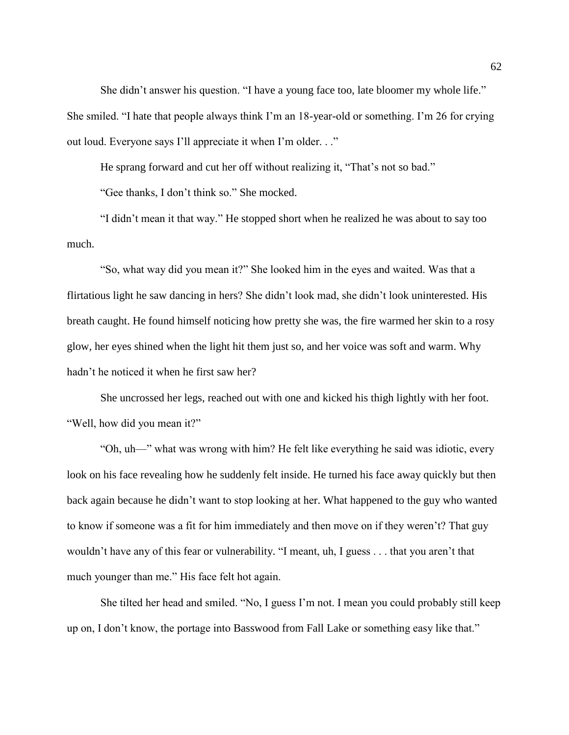She didn't answer his question. "I have a young face too, late bloomer my whole life." She smiled. "I hate that people always think I'm an 18-year-old or something. I'm 26 for crying out loud. Everyone says I'll appreciate it when I'm older. . ."

He sprang forward and cut her off without realizing it, "That's not so bad."

"Gee thanks, I don't think so." She mocked.

"I didn't mean it that way." He stopped short when he realized he was about to say too much.

"So, what way did you mean it?" She looked him in the eyes and waited. Was that a flirtatious light he saw dancing in hers? She didn't look mad, she didn't look uninterested. His breath caught. He found himself noticing how pretty she was, the fire warmed her skin to a rosy glow, her eyes shined when the light hit them just so, and her voice was soft and warm. Why hadn't he noticed it when he first saw her?

She uncrossed her legs, reached out with one and kicked his thigh lightly with her foot. "Well, how did you mean it?"

"Oh, uh—" what was wrong with him? He felt like everything he said was idiotic, every look on his face revealing how he suddenly felt inside. He turned his face away quickly but then back again because he didn't want to stop looking at her. What happened to the guy who wanted to know if someone was a fit for him immediately and then move on if they weren't? That guy wouldn't have any of this fear or vulnerability. "I meant, uh, I guess . . . that you aren't that much younger than me." His face felt hot again.

She tilted her head and smiled. "No, I guess I'm not. I mean you could probably still keep up on, I don't know, the portage into Basswood from Fall Lake or something easy like that."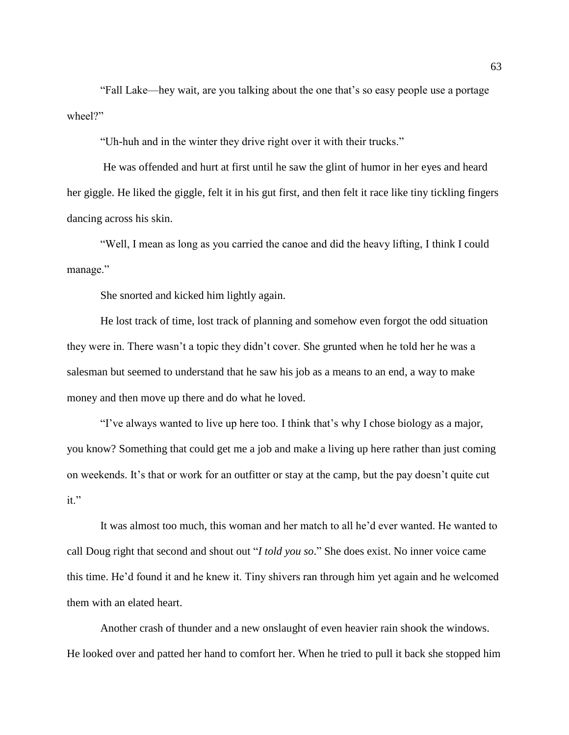"Fall Lake—hey wait, are you talking about the one that's so easy people use a portage wheel?"

"Uh-huh and in the winter they drive right over it with their trucks."

He was offended and hurt at first until he saw the glint of humor in her eyes and heard her giggle. He liked the giggle, felt it in his gut first, and then felt it race like tiny tickling fingers dancing across his skin.

"Well, I mean as long as you carried the canoe and did the heavy lifting, I think I could manage."

She snorted and kicked him lightly again.

He lost track of time, lost track of planning and somehow even forgot the odd situation they were in. There wasn't a topic they didn't cover. She grunted when he told her he was a salesman but seemed to understand that he saw his job as a means to an end, a way to make money and then move up there and do what he loved.

"I've always wanted to live up here too. I think that's why I chose biology as a major, you know? Something that could get me a job and make a living up here rather than just coming on weekends. It's that or work for an outfitter or stay at the camp, but the pay doesn't quite cut it."

It was almost too much, this woman and her match to all he'd ever wanted. He wanted to call Doug right that second and shout out "*I told you so*." She does exist. No inner voice came this time. He'd found it and he knew it. Tiny shivers ran through him yet again and he welcomed them with an elated heart.

Another crash of thunder and a new onslaught of even heavier rain shook the windows. He looked over and patted her hand to comfort her. When he tried to pull it back she stopped him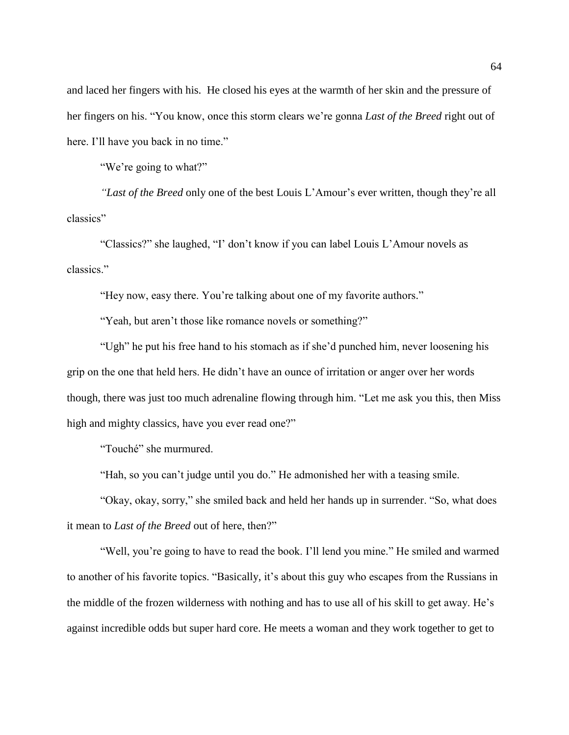and laced her fingers with his. He closed his eyes at the warmth of her skin and the pressure of her fingers on his. "You know, once this storm clears we're gonna *Last of the Breed* right out of here. I'll have you back in no time."

"We're going to what?"

*"Last of the Breed* only one of the best Louis L'Amour's ever written, though they're all classics"

"Classics?" she laughed, "I' don't know if you can label Louis L'Amour novels as classics."

"Hey now, easy there. You're talking about one of my favorite authors."

"Yeah, but aren't those like romance novels or something?"

"Ugh" he put his free hand to his stomach as if she'd punched him, never loosening his grip on the one that held hers. He didn't have an ounce of irritation or anger over her words though, there was just too much adrenaline flowing through him. "Let me ask you this, then Miss high and mighty classics, have you ever read one?"

"Touché" she murmured.

"Hah, so you can't judge until you do." He admonished her with a teasing smile.

"Okay, okay, sorry," she smiled back and held her hands up in surrender. "So, what does it mean to *Last of the Breed* out of here, then?"

"Well, you're going to have to read the book. I'll lend you mine." He smiled and warmed to another of his favorite topics. "Basically, it's about this guy who escapes from the Russians in the middle of the frozen wilderness with nothing and has to use all of his skill to get away. He's against incredible odds but super hard core. He meets a woman and they work together to get to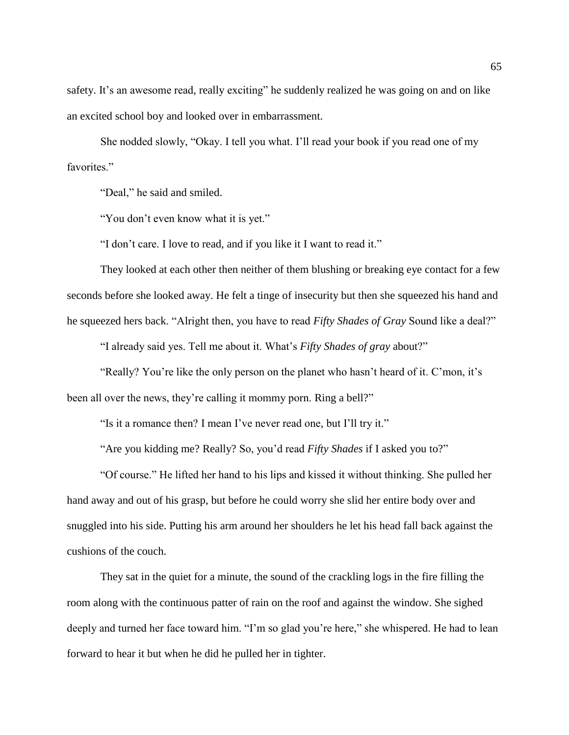safety. It's an awesome read, really exciting" he suddenly realized he was going on and on like an excited school boy and looked over in embarrassment.

She nodded slowly, "Okay. I tell you what. I'll read your book if you read one of my favorites."

"Deal," he said and smiled.

"You don't even know what it is yet."

"I don't care. I love to read, and if you like it I want to read it."

They looked at each other then neither of them blushing or breaking eye contact for a few seconds before she looked away. He felt a tinge of insecurity but then she squeezed his hand and he squeezed hers back. "Alright then, you have to read *Fifty Shades of Gray* Sound like a deal?"

"I already said yes. Tell me about it. What's *Fifty Shades of gray* about?"

"Really? You're like the only person on the planet who hasn't heard of it. C'mon, it's been all over the news, they're calling it mommy porn. Ring a bell?"

"Is it a romance then? I mean I've never read one, but I'll try it."

"Are you kidding me? Really? So, you'd read *Fifty Shades* if I asked you to?"

"Of course." He lifted her hand to his lips and kissed it without thinking. She pulled her hand away and out of his grasp, but before he could worry she slid her entire body over and snuggled into his side. Putting his arm around her shoulders he let his head fall back against the cushions of the couch.

They sat in the quiet for a minute, the sound of the crackling logs in the fire filling the room along with the continuous patter of rain on the roof and against the window. She sighed deeply and turned her face toward him. "I'm so glad you're here," she whispered. He had to lean forward to hear it but when he did he pulled her in tighter.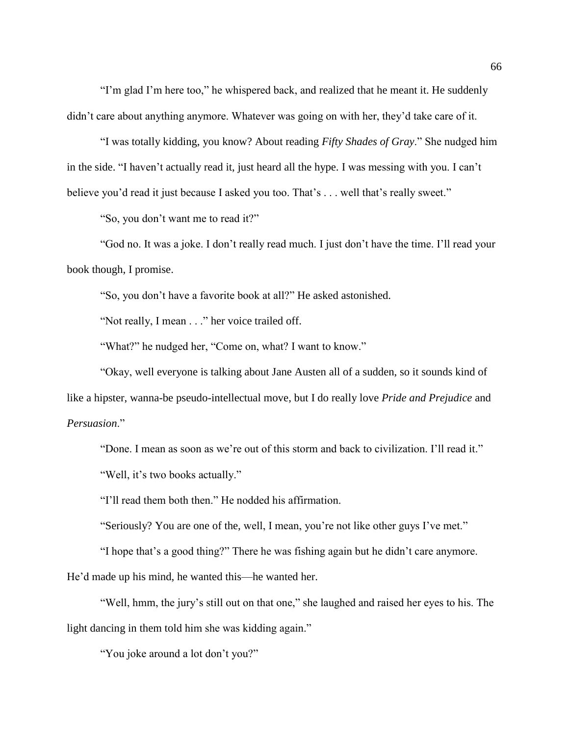"I'm glad I'm here too," he whispered back, and realized that he meant it. He suddenly didn't care about anything anymore. Whatever was going on with her, they'd take care of it.

"I was totally kidding, you know? About reading *Fifty Shades of Gray*." She nudged him in the side. "I haven't actually read it, just heard all the hype. I was messing with you. I can't believe you'd read it just because I asked you too. That's ... well that's really sweet."

"So, you don't want me to read it?"

"God no. It was a joke. I don't really read much. I just don't have the time. I'll read your book though, I promise.

"So, you don't have a favorite book at all?" He asked astonished.

"Not really, I mean . . ." her voice trailed off.

"What?" he nudged her, "Come on, what? I want to know."

"Okay, well everyone is talking about Jane Austen all of a sudden, so it sounds kind of like a hipster, wanna-be pseudo-intellectual move, but I do really love *Pride and Prejudice* and *Persuasion*."

"Done. I mean as soon as we're out of this storm and back to civilization. I'll read it."

"Well, it's two books actually."

"I'll read them both then." He nodded his affirmation.

"Seriously? You are one of the, well, I mean, you're not like other guys I've met."

"I hope that's a good thing?" There he was fishing again but he didn't care anymore.

He'd made up his mind, he wanted this—he wanted her.

"Well, hmm, the jury's still out on that one," she laughed and raised her eyes to his. The light dancing in them told him she was kidding again."

"You joke around a lot don't you?"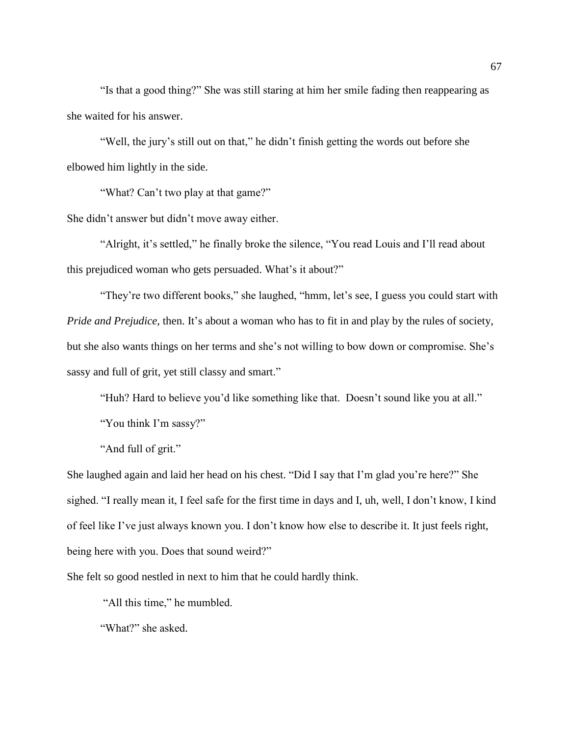"Is that a good thing?" She was still staring at him her smile fading then reappearing as she waited for his answer.

"Well, the jury's still out on that," he didn't finish getting the words out before she elbowed him lightly in the side.

"What? Can't two play at that game?"

She didn't answer but didn't move away either.

"Alright, it's settled," he finally broke the silence, "You read Louis and I'll read about this prejudiced woman who gets persuaded. What's it about?"

"They're two different books," she laughed, "hmm, let's see, I guess you could start with *Pride and Prejudice*, then. It's about a woman who has to fit in and play by the rules of society, but she also wants things on her terms and she's not willing to bow down or compromise. She's sassy and full of grit, yet still classy and smart."

"Huh? Hard to believe you'd like something like that. Doesn't sound like you at all."

"You think I'm sassy?"

"And full of grit."

She laughed again and laid her head on his chest. "Did I say that I'm glad you're here?" She sighed. "I really mean it, I feel safe for the first time in days and I, uh, well, I don't know, I kind of feel like I've just always known you. I don't know how else to describe it. It just feels right, being here with you. Does that sound weird?"

She felt so good nestled in next to him that he could hardly think.

"All this time," he mumbled.

"What?" she asked.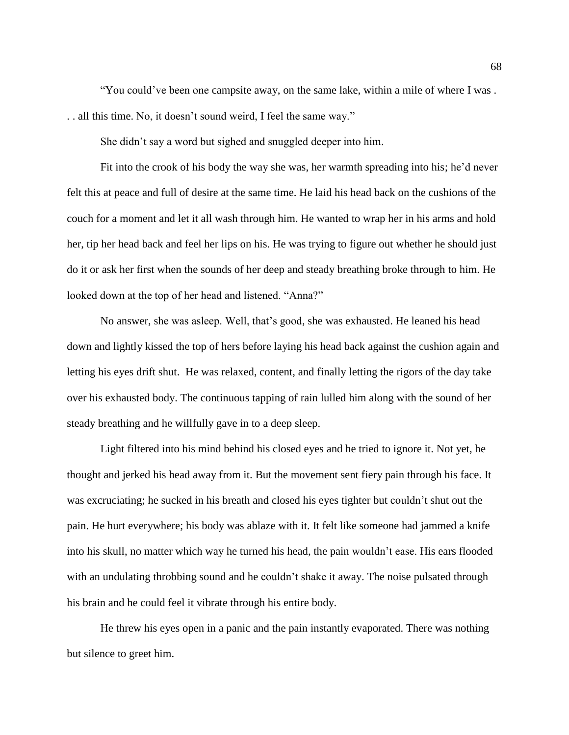"You could've been one campsite away, on the same lake, within a mile of where I was . . . all this time. No, it doesn't sound weird, I feel the same way."

She didn't say a word but sighed and snuggled deeper into him.

Fit into the crook of his body the way she was, her warmth spreading into his; he'd never felt this at peace and full of desire at the same time. He laid his head back on the cushions of the couch for a moment and let it all wash through him. He wanted to wrap her in his arms and hold her, tip her head back and feel her lips on his. He was trying to figure out whether he should just do it or ask her first when the sounds of her deep and steady breathing broke through to him. He looked down at the top of her head and listened. "Anna?"

No answer, she was asleep. Well, that's good, she was exhausted. He leaned his head down and lightly kissed the top of hers before laying his head back against the cushion again and letting his eyes drift shut. He was relaxed, content, and finally letting the rigors of the day take over his exhausted body. The continuous tapping of rain lulled him along with the sound of her steady breathing and he willfully gave in to a deep sleep.

Light filtered into his mind behind his closed eyes and he tried to ignore it. Not yet, he thought and jerked his head away from it. But the movement sent fiery pain through his face. It was excruciating; he sucked in his breath and closed his eyes tighter but couldn't shut out the pain. He hurt everywhere; his body was ablaze with it. It felt like someone had jammed a knife into his skull, no matter which way he turned his head, the pain wouldn't ease. His ears flooded with an undulating throbbing sound and he couldn't shake it away. The noise pulsated through his brain and he could feel it vibrate through his entire body.

He threw his eyes open in a panic and the pain instantly evaporated. There was nothing but silence to greet him.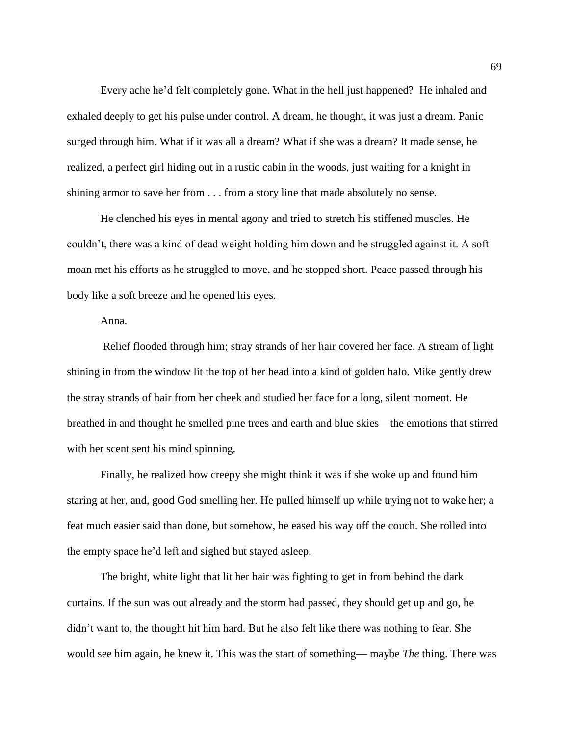Every ache he'd felt completely gone. What in the hell just happened? He inhaled and exhaled deeply to get his pulse under control. A dream, he thought, it was just a dream. Panic surged through him. What if it was all a dream? What if she was a dream? It made sense, he realized, a perfect girl hiding out in a rustic cabin in the woods, just waiting for a knight in shining armor to save her from . . . from a story line that made absolutely no sense.

He clenched his eyes in mental agony and tried to stretch his stiffened muscles. He couldn't, there was a kind of dead weight holding him down and he struggled against it. A soft moan met his efforts as he struggled to move, and he stopped short. Peace passed through his body like a soft breeze and he opened his eyes.

Anna.

Relief flooded through him; stray strands of her hair covered her face. A stream of light shining in from the window lit the top of her head into a kind of golden halo. Mike gently drew the stray strands of hair from her cheek and studied her face for a long, silent moment. He breathed in and thought he smelled pine trees and earth and blue skies—the emotions that stirred with her scent sent his mind spinning.

Finally, he realized how creepy she might think it was if she woke up and found him staring at her, and, good God smelling her. He pulled himself up while trying not to wake her; a feat much easier said than done, but somehow, he eased his way off the couch. She rolled into the empty space he'd left and sighed but stayed asleep.

The bright, white light that lit her hair was fighting to get in from behind the dark curtains. If the sun was out already and the storm had passed, they should get up and go, he didn't want to, the thought hit him hard. But he also felt like there was nothing to fear. She would see him again, he knew it. This was the start of something— maybe *The* thing. There was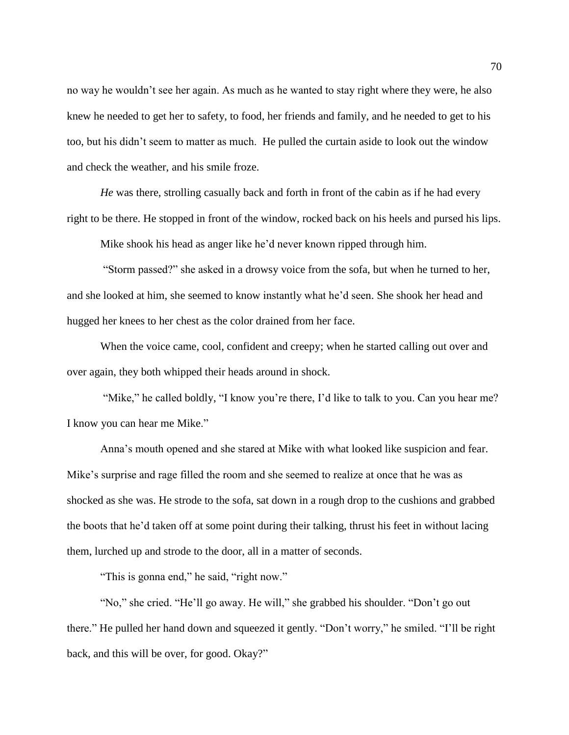no way he wouldn't see her again. As much as he wanted to stay right where they were, he also knew he needed to get her to safety, to food, her friends and family, and he needed to get to his too, but his didn't seem to matter as much. He pulled the curtain aside to look out the window and check the weather, and his smile froze.

*He* was there, strolling casually back and forth in front of the cabin as if he had every right to be there. He stopped in front of the window, rocked back on his heels and pursed his lips.

Mike shook his head as anger like he'd never known ripped through him.

"Storm passed?" she asked in a drowsy voice from the sofa, but when he turned to her, and she looked at him, she seemed to know instantly what he'd seen. She shook her head and hugged her knees to her chest as the color drained from her face.

When the voice came, cool, confident and creepy; when he started calling out over and over again, they both whipped their heads around in shock.

"Mike," he called boldly, "I know you're there, I'd like to talk to you. Can you hear me? I know you can hear me Mike."

Anna's mouth opened and she stared at Mike with what looked like suspicion and fear. Mike's surprise and rage filled the room and she seemed to realize at once that he was as shocked as she was. He strode to the sofa, sat down in a rough drop to the cushions and grabbed the boots that he'd taken off at some point during their talking, thrust his feet in without lacing them, lurched up and strode to the door, all in a matter of seconds.

"This is gonna end," he said, "right now."

"No," she cried. "He'll go away. He will," she grabbed his shoulder. "Don't go out there." He pulled her hand down and squeezed it gently. "Don't worry," he smiled. "I'll be right back, and this will be over, for good. Okay?"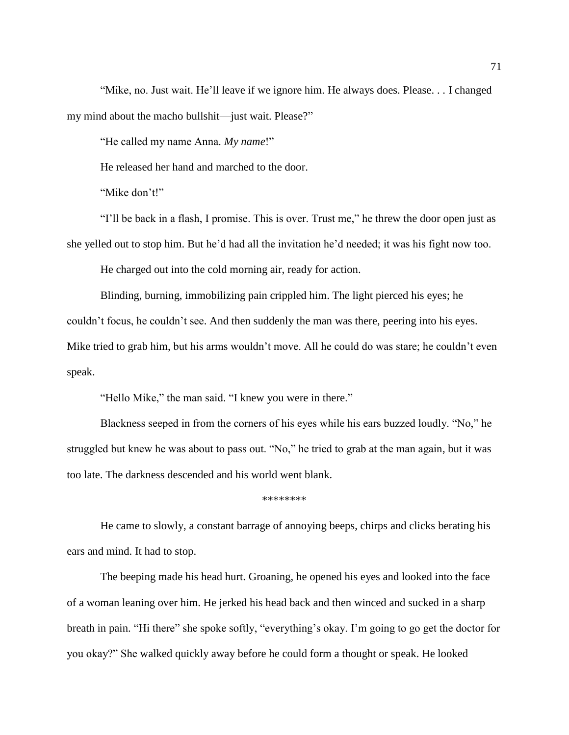"Mike, no. Just wait. He'll leave if we ignore him. He always does. Please. . . I changed my mind about the macho bullshit—just wait. Please?"

"He called my name Anna. *My name*!"

He released her hand and marched to the door.

"Mike don't!"

"I'll be back in a flash, I promise. This is over. Trust me," he threw the door open just as she yelled out to stop him. But he'd had all the invitation he'd needed; it was his fight now too.

He charged out into the cold morning air, ready for action.

Blinding, burning, immobilizing pain crippled him. The light pierced his eyes; he couldn't focus, he couldn't see. And then suddenly the man was there, peering into his eyes. Mike tried to grab him, but his arms wouldn't move. All he could do was stare; he couldn't even speak.

"Hello Mike," the man said. "I knew you were in there."

Blackness seeped in from the corners of his eyes while his ears buzzed loudly. "No," he struggled but knew he was about to pass out. "No," he tried to grab at the man again, but it was too late. The darkness descended and his world went blank.

\*\*\*\*\*\*\*\*

He came to slowly, a constant barrage of annoying beeps, chirps and clicks berating his ears and mind. It had to stop.

The beeping made his head hurt. Groaning, he opened his eyes and looked into the face of a woman leaning over him. He jerked his head back and then winced and sucked in a sharp breath in pain. "Hi there" she spoke softly, "everything's okay. I'm going to go get the doctor for you okay?" She walked quickly away before he could form a thought or speak. He looked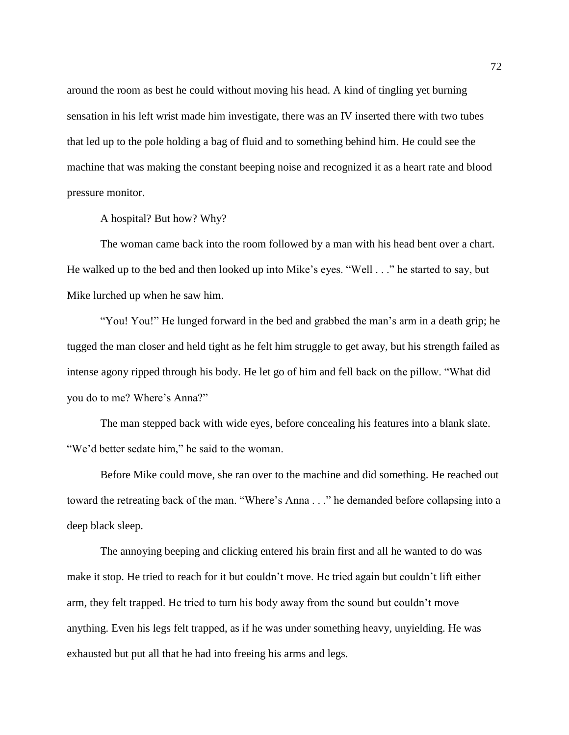around the room as best he could without moving his head. A kind of tingling yet burning sensation in his left wrist made him investigate, there was an IV inserted there with two tubes that led up to the pole holding a bag of fluid and to something behind him. He could see the machine that was making the constant beeping noise and recognized it as a heart rate and blood pressure monitor.

A hospital? But how? Why?

The woman came back into the room followed by a man with his head bent over a chart. He walked up to the bed and then looked up into Mike's eyes. "Well . . ." he started to say, but Mike lurched up when he saw him.

"You! You!" He lunged forward in the bed and grabbed the man's arm in a death grip; he tugged the man closer and held tight as he felt him struggle to get away, but his strength failed as intense agony ripped through his body. He let go of him and fell back on the pillow. "What did you do to me? Where's Anna?"

The man stepped back with wide eyes, before concealing his features into a blank slate. "We'd better sedate him," he said to the woman.

Before Mike could move, she ran over to the machine and did something. He reached out toward the retreating back of the man. "Where's Anna . . ." he demanded before collapsing into a deep black sleep.

The annoying beeping and clicking entered his brain first and all he wanted to do was make it stop. He tried to reach for it but couldn't move. He tried again but couldn't lift either arm, they felt trapped. He tried to turn his body away from the sound but couldn't move anything. Even his legs felt trapped, as if he was under something heavy, unyielding. He was exhausted but put all that he had into freeing his arms and legs.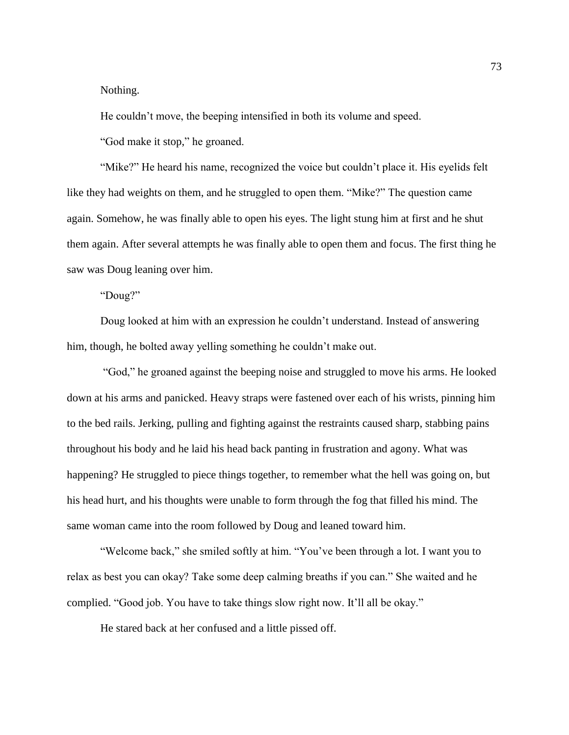Nothing.

He couldn't move, the beeping intensified in both its volume and speed.

"God make it stop," he groaned.

"Mike?" He heard his name, recognized the voice but couldn't place it. His eyelids felt like they had weights on them, and he struggled to open them. "Mike?" The question came again. Somehow, he was finally able to open his eyes. The light stung him at first and he shut them again. After several attempts he was finally able to open them and focus. The first thing he saw was Doug leaning over him.

"Doug?"

Doug looked at him with an expression he couldn't understand. Instead of answering him, though, he bolted away yelling something he couldn't make out.

"God," he groaned against the beeping noise and struggled to move his arms. He looked down at his arms and panicked. Heavy straps were fastened over each of his wrists, pinning him to the bed rails. Jerking, pulling and fighting against the restraints caused sharp, stabbing pains throughout his body and he laid his head back panting in frustration and agony. What was happening? He struggled to piece things together, to remember what the hell was going on, but his head hurt, and his thoughts were unable to form through the fog that filled his mind. The same woman came into the room followed by Doug and leaned toward him.

"Welcome back," she smiled softly at him. "You've been through a lot. I want you to relax as best you can okay? Take some deep calming breaths if you can." She waited and he complied. "Good job. You have to take things slow right now. It'll all be okay."

He stared back at her confused and a little pissed off.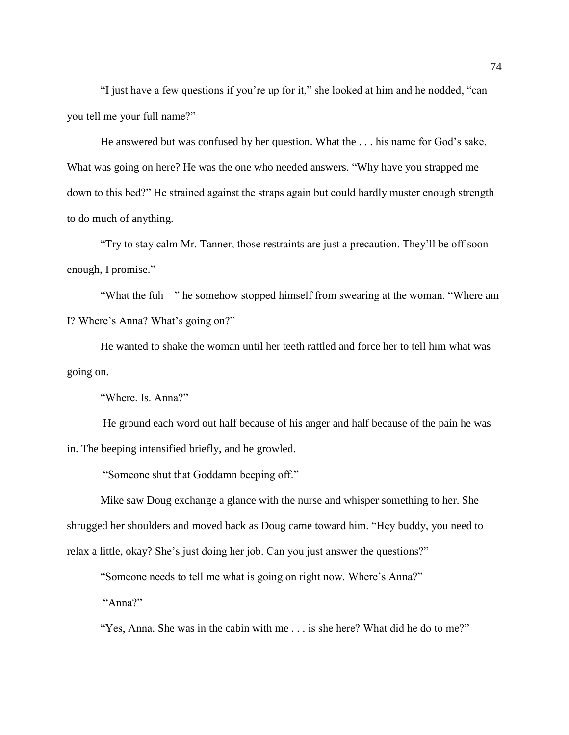"I just have a few questions if you're up for it," she looked at him and he nodded, "can you tell me your full name?"

He answered but was confused by her question. What the . . . his name for God's sake. What was going on here? He was the one who needed answers. "Why have you strapped me down to this bed?" He strained against the straps again but could hardly muster enough strength to do much of anything.

"Try to stay calm Mr. Tanner, those restraints are just a precaution. They'll be off soon enough, I promise."

"What the fuh—" he somehow stopped himself from swearing at the woman. "Where am I? Where's Anna? What's going on?"

He wanted to shake the woman until her teeth rattled and force her to tell him what was going on.

"Where. Is. Anna?"

He ground each word out half because of his anger and half because of the pain he was in. The beeping intensified briefly, and he growled.

"Someone shut that Goddamn beeping off."

Mike saw Doug exchange a glance with the nurse and whisper something to her. She shrugged her shoulders and moved back as Doug came toward him. "Hey buddy, you need to relax a little, okay? She's just doing her job. Can you just answer the questions?"

"Someone needs to tell me what is going on right now. Where's Anna?"

"Anna?"

"Yes, Anna. She was in the cabin with me . . . is she here? What did he do to me?"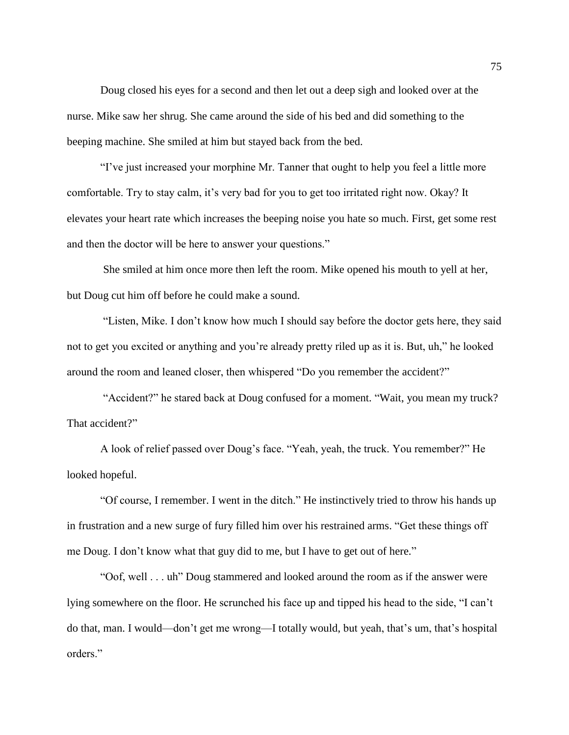Doug closed his eyes for a second and then let out a deep sigh and looked over at the nurse. Mike saw her shrug. She came around the side of his bed and did something to the beeping machine. She smiled at him but stayed back from the bed.

"I've just increased your morphine Mr. Tanner that ought to help you feel a little more comfortable. Try to stay calm, it's very bad for you to get too irritated right now. Okay? It elevates your heart rate which increases the beeping noise you hate so much. First, get some rest and then the doctor will be here to answer your questions."

She smiled at him once more then left the room. Mike opened his mouth to yell at her, but Doug cut him off before he could make a sound.

"Listen, Mike. I don't know how much I should say before the doctor gets here, they said not to get you excited or anything and you're already pretty riled up as it is. But, uh," he looked around the room and leaned closer, then whispered "Do you remember the accident?"

"Accident?" he stared back at Doug confused for a moment. "Wait, you mean my truck? That accident?"

A look of relief passed over Doug's face. "Yeah, yeah, the truck. You remember?" He looked hopeful.

"Of course, I remember. I went in the ditch." He instinctively tried to throw his hands up in frustration and a new surge of fury filled him over his restrained arms. "Get these things off me Doug. I don't know what that guy did to me, but I have to get out of here."

"Oof, well . . . uh" Doug stammered and looked around the room as if the answer were lying somewhere on the floor. He scrunched his face up and tipped his head to the side, "I can't do that, man. I would—don't get me wrong—I totally would, but yeah, that's um, that's hospital orders."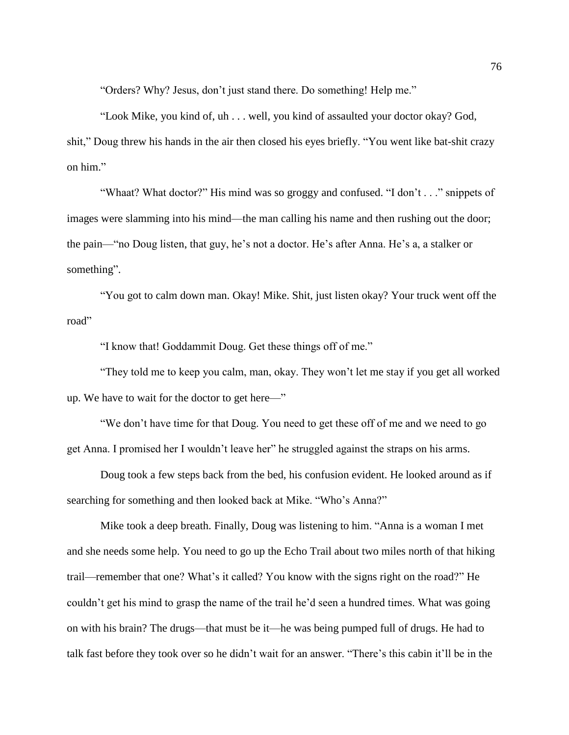"Orders? Why? Jesus, don't just stand there. Do something! Help me."

"Look Mike, you kind of, uh . . . well, you kind of assaulted your doctor okay? God, shit," Doug threw his hands in the air then closed his eyes briefly. "You went like bat-shit crazy on him."

"Whaat? What doctor?" His mind was so groggy and confused. "I don't . . ." snippets of images were slamming into his mind—the man calling his name and then rushing out the door; the pain—"no Doug listen, that guy, he's not a doctor. He's after Anna. He's a, a stalker or something".

"You got to calm down man. Okay! Mike. Shit, just listen okay? Your truck went off the road"

"I know that! Goddammit Doug. Get these things off of me."

"They told me to keep you calm, man, okay. They won't let me stay if you get all worked up. We have to wait for the doctor to get here—"

"We don't have time for that Doug. You need to get these off of me and we need to go get Anna. I promised her I wouldn't leave her" he struggled against the straps on his arms.

Doug took a few steps back from the bed, his confusion evident. He looked around as if searching for something and then looked back at Mike. "Who's Anna?"

Mike took a deep breath. Finally, Doug was listening to him. "Anna is a woman I met and she needs some help. You need to go up the Echo Trail about two miles north of that hiking trail—remember that one? What's it called? You know with the signs right on the road?" He couldn't get his mind to grasp the name of the trail he'd seen a hundred times. What was going on with his brain? The drugs—that must be it—he was being pumped full of drugs. He had to talk fast before they took over so he didn't wait for an answer. "There's this cabin it'll be in the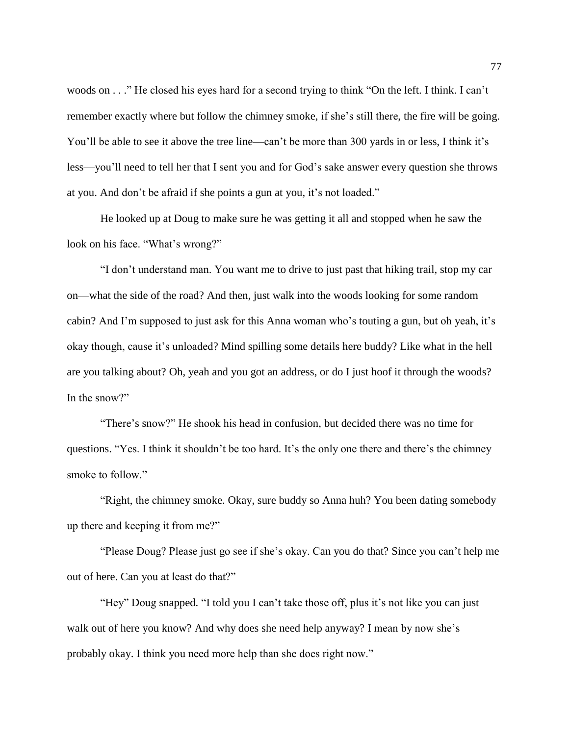woods on . . ." He closed his eyes hard for a second trying to think "On the left. I think. I can't remember exactly where but follow the chimney smoke, if she's still there, the fire will be going. You'll be able to see it above the tree line—can't be more than 300 yards in or less, I think it's less—you'll need to tell her that I sent you and for God's sake answer every question she throws at you. And don't be afraid if she points a gun at you, it's not loaded."

He looked up at Doug to make sure he was getting it all and stopped when he saw the look on his face. "What's wrong?"

"I don't understand man. You want me to drive to just past that hiking trail, stop my car on—what the side of the road? And then, just walk into the woods looking for some random cabin? And I'm supposed to just ask for this Anna woman who's touting a gun, but oh yeah, it's okay though, cause it's unloaded? Mind spilling some details here buddy? Like what in the hell are you talking about? Oh, yeah and you got an address, or do I just hoof it through the woods? In the snow?"

"There's snow?" He shook his head in confusion, but decided there was no time for questions. "Yes. I think it shouldn't be too hard. It's the only one there and there's the chimney smoke to follow."

"Right, the chimney smoke. Okay, sure buddy so Anna huh? You been dating somebody up there and keeping it from me?"

"Please Doug? Please just go see if she's okay. Can you do that? Since you can't help me out of here. Can you at least do that?"

"Hey" Doug snapped. "I told you I can't take those off, plus it's not like you can just walk out of here you know? And why does she need help anyway? I mean by now she's probably okay. I think you need more help than she does right now."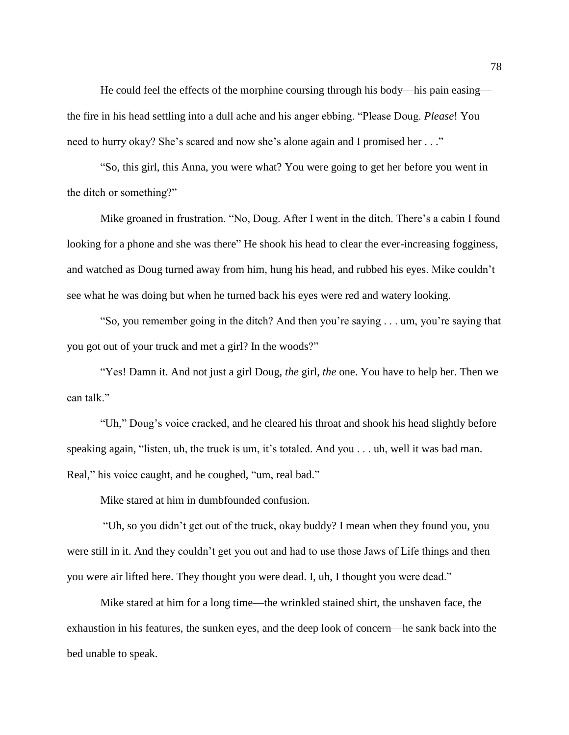He could feel the effects of the morphine coursing through his body—his pain easing the fire in his head settling into a dull ache and his anger ebbing. "Please Doug. *Please*! You need to hurry okay? She's scared and now she's alone again and I promised her . . ."

"So, this girl, this Anna, you were what? You were going to get her before you went in the ditch or something?"

Mike groaned in frustration. "No, Doug. After I went in the ditch. There's a cabin I found looking for a phone and she was there" He shook his head to clear the ever-increasing fogginess, and watched as Doug turned away from him, hung his head, and rubbed his eyes. Mike couldn't see what he was doing but when he turned back his eyes were red and watery looking.

"So, you remember going in the ditch? And then you're saying . . . um, you're saying that you got out of your truck and met a girl? In the woods?"

"Yes! Damn it. And not just a girl Doug, *the* girl, *the* one. You have to help her. Then we can talk."

"Uh," Doug's voice cracked, and he cleared his throat and shook his head slightly before speaking again, "listen, uh, the truck is um, it's totaled. And you . . . uh, well it was bad man. Real," his voice caught, and he coughed, "um, real bad."

Mike stared at him in dumbfounded confusion.

"Uh, so you didn't get out of the truck, okay buddy? I mean when they found you, you were still in it. And they couldn't get you out and had to use those Jaws of Life things and then you were air lifted here. They thought you were dead. I, uh, I thought you were dead."

Mike stared at him for a long time—the wrinkled stained shirt, the unshaven face, the exhaustion in his features, the sunken eyes, and the deep look of concern—he sank back into the bed unable to speak.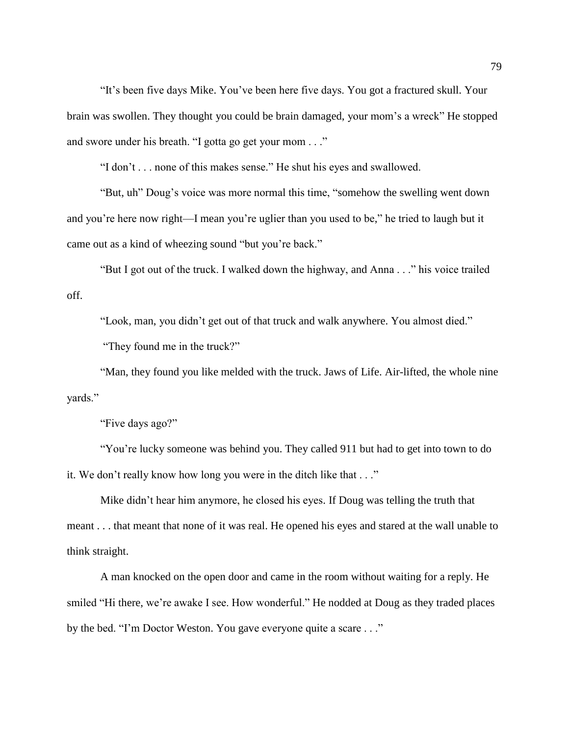"It's been five days Mike. You've been here five days. You got a fractured skull. Your brain was swollen. They thought you could be brain damaged, your mom's a wreck" He stopped and swore under his breath. "I gotta go get your mom . . ."

"I don't . . . none of this makes sense." He shut his eyes and swallowed.

"But, uh" Doug's voice was more normal this time, "somehow the swelling went down and you're here now right—I mean you're uglier than you used to be," he tried to laugh but it came out as a kind of wheezing sound "but you're back."

"But I got out of the truck. I walked down the highway, and Anna . . ." his voice trailed off.

"Look, man, you didn't get out of that truck and walk anywhere. You almost died."

"They found me in the truck?"

"Man, they found you like melded with the truck. Jaws of Life. Air-lifted, the whole nine yards."

"Five days ago?"

"You're lucky someone was behind you. They called 911 but had to get into town to do it. We don't really know how long you were in the ditch like that . . ."

Mike didn't hear him anymore, he closed his eyes. If Doug was telling the truth that meant . . . that meant that none of it was real. He opened his eyes and stared at the wall unable to think straight.

A man knocked on the open door and came in the room without waiting for a reply. He smiled "Hi there, we're awake I see. How wonderful." He nodded at Doug as they traded places by the bed. "I'm Doctor Weston. You gave everyone quite a scare . . ."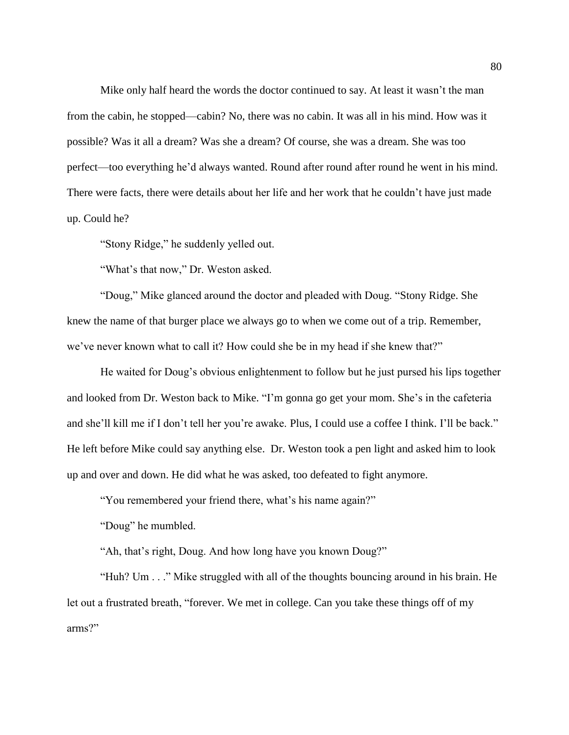Mike only half heard the words the doctor continued to say. At least it wasn't the man from the cabin, he stopped—cabin? No, there was no cabin. It was all in his mind. How was it possible? Was it all a dream? Was she a dream? Of course, she was a dream. She was too perfect—too everything he'd always wanted. Round after round after round he went in his mind. There were facts, there were details about her life and her work that he couldn't have just made up. Could he?

"Stony Ridge," he suddenly yelled out.

"What's that now," Dr. Weston asked.

"Doug," Mike glanced around the doctor and pleaded with Doug. "Stony Ridge. She knew the name of that burger place we always go to when we come out of a trip. Remember, we've never known what to call it? How could she be in my head if she knew that?"

He waited for Doug's obvious enlightenment to follow but he just pursed his lips together and looked from Dr. Weston back to Mike. "I'm gonna go get your mom. She's in the cafeteria and she'll kill me if I don't tell her you're awake. Plus, I could use a coffee I think. I'll be back." He left before Mike could say anything else. Dr. Weston took a pen light and asked him to look up and over and down. He did what he was asked, too defeated to fight anymore.

"You remembered your friend there, what's his name again?"

"Doug" he mumbled.

"Ah, that's right, Doug. And how long have you known Doug?"

"Huh? Um . . ." Mike struggled with all of the thoughts bouncing around in his brain. He let out a frustrated breath, "forever. We met in college. Can you take these things off of my arms?"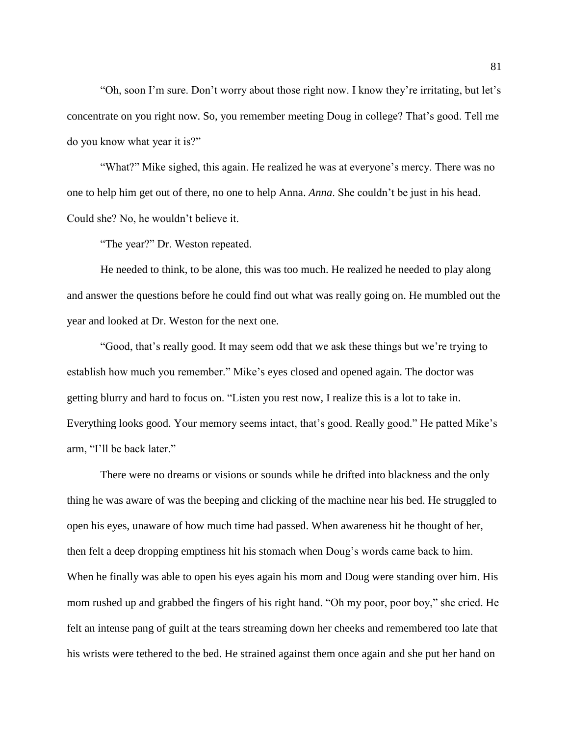"Oh, soon I'm sure. Don't worry about those right now. I know they're irritating, but let's concentrate on you right now. So, you remember meeting Doug in college? That's good. Tell me do you know what year it is?"

"What?" Mike sighed, this again. He realized he was at everyone's mercy. There was no one to help him get out of there, no one to help Anna. *Anna*. She couldn't be just in his head. Could she? No, he wouldn't believe it.

"The year?" Dr. Weston repeated.

He needed to think, to be alone, this was too much. He realized he needed to play along and answer the questions before he could find out what was really going on. He mumbled out the year and looked at Dr. Weston for the next one.

"Good, that's really good. It may seem odd that we ask these things but we're trying to establish how much you remember." Mike's eyes closed and opened again. The doctor was getting blurry and hard to focus on. "Listen you rest now, I realize this is a lot to take in. Everything looks good. Your memory seems intact, that's good. Really good." He patted Mike's arm, "I'll be back later."

There were no dreams or visions or sounds while he drifted into blackness and the only thing he was aware of was the beeping and clicking of the machine near his bed. He struggled to open his eyes, unaware of how much time had passed. When awareness hit he thought of her, then felt a deep dropping emptiness hit his stomach when Doug's words came back to him. When he finally was able to open his eyes again his mom and Doug were standing over him. His mom rushed up and grabbed the fingers of his right hand. "Oh my poor, poor boy," she cried. He felt an intense pang of guilt at the tears streaming down her cheeks and remembered too late that his wrists were tethered to the bed. He strained against them once again and she put her hand on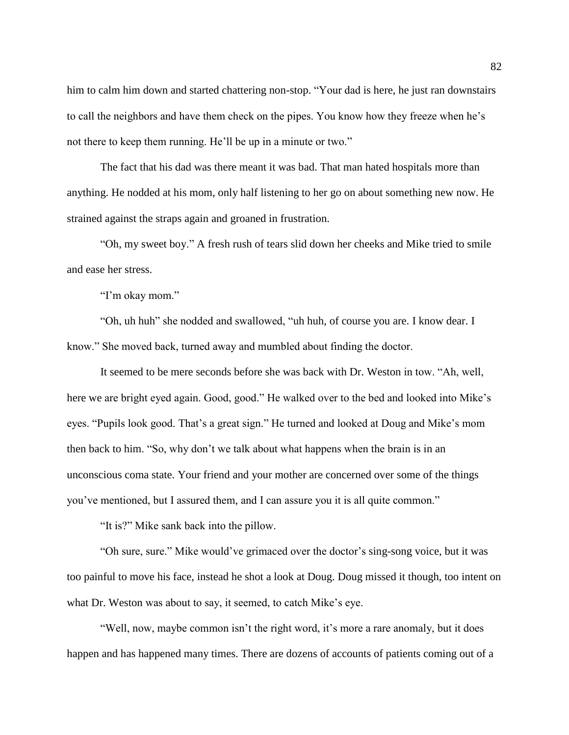him to calm him down and started chattering non-stop. "Your dad is here, he just ran downstairs to call the neighbors and have them check on the pipes. You know how they freeze when he's not there to keep them running. He'll be up in a minute or two."

The fact that his dad was there meant it was bad. That man hated hospitals more than anything. He nodded at his mom, only half listening to her go on about something new now. He strained against the straps again and groaned in frustration.

"Oh, my sweet boy." A fresh rush of tears slid down her cheeks and Mike tried to smile and ease her stress.

"I'm okay mom."

"Oh, uh huh" she nodded and swallowed, "uh huh, of course you are. I know dear. I know." She moved back, turned away and mumbled about finding the doctor.

It seemed to be mere seconds before she was back with Dr. Weston in tow. "Ah, well, here we are bright eyed again. Good, good." He walked over to the bed and looked into Mike's eyes. "Pupils look good. That's a great sign." He turned and looked at Doug and Mike's mom then back to him. "So, why don't we talk about what happens when the brain is in an unconscious coma state. Your friend and your mother are concerned over some of the things you've mentioned, but I assured them, and I can assure you it is all quite common."

"It is?" Mike sank back into the pillow.

"Oh sure, sure." Mike would've grimaced over the doctor's sing-song voice, but it was too painful to move his face, instead he shot a look at Doug. Doug missed it though, too intent on what Dr. Weston was about to say, it seemed, to catch Mike's eye.

"Well, now, maybe common isn't the right word, it's more a rare anomaly, but it does happen and has happened many times. There are dozens of accounts of patients coming out of a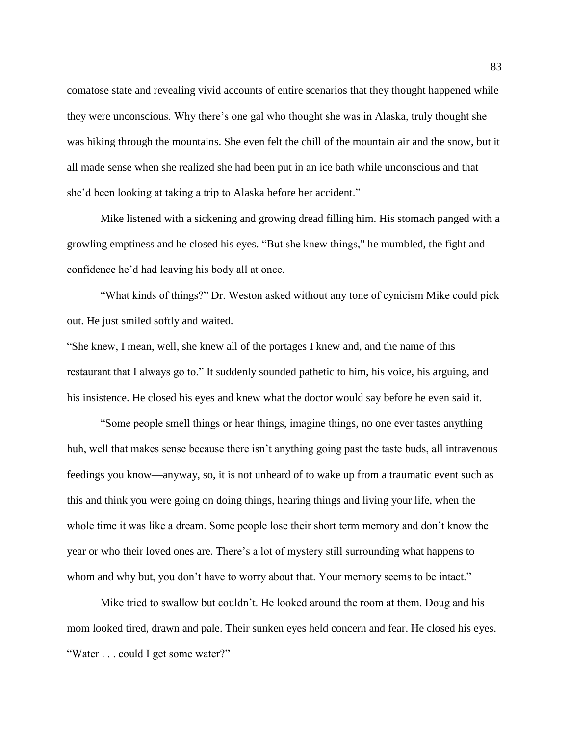comatose state and revealing vivid accounts of entire scenarios that they thought happened while they were unconscious. Why there's one gal who thought she was in Alaska, truly thought she was hiking through the mountains. She even felt the chill of the mountain air and the snow, but it all made sense when she realized she had been put in an ice bath while unconscious and that she'd been looking at taking a trip to Alaska before her accident."

Mike listened with a sickening and growing dread filling him. His stomach panged with a growling emptiness and he closed his eyes. "But she knew things," he mumbled, the fight and confidence he'd had leaving his body all at once.

"What kinds of things?" Dr. Weston asked without any tone of cynicism Mike could pick out. He just smiled softly and waited.

"She knew, I mean, well, she knew all of the portages I knew and, and the name of this restaurant that I always go to." It suddenly sounded pathetic to him, his voice, his arguing, and his insistence. He closed his eyes and knew what the doctor would say before he even said it.

"Some people smell things or hear things, imagine things, no one ever tastes anything huh, well that makes sense because there isn't anything going past the taste buds, all intravenous feedings you know—anyway, so, it is not unheard of to wake up from a traumatic event such as this and think you were going on doing things, hearing things and living your life, when the whole time it was like a dream. Some people lose their short term memory and don't know the year or who their loved ones are. There's a lot of mystery still surrounding what happens to whom and why but, you don't have to worry about that. Your memory seems to be intact."

Mike tried to swallow but couldn't. He looked around the room at them. Doug and his mom looked tired, drawn and pale. Their sunken eyes held concern and fear. He closed his eyes. "Water . . . could I get some water?"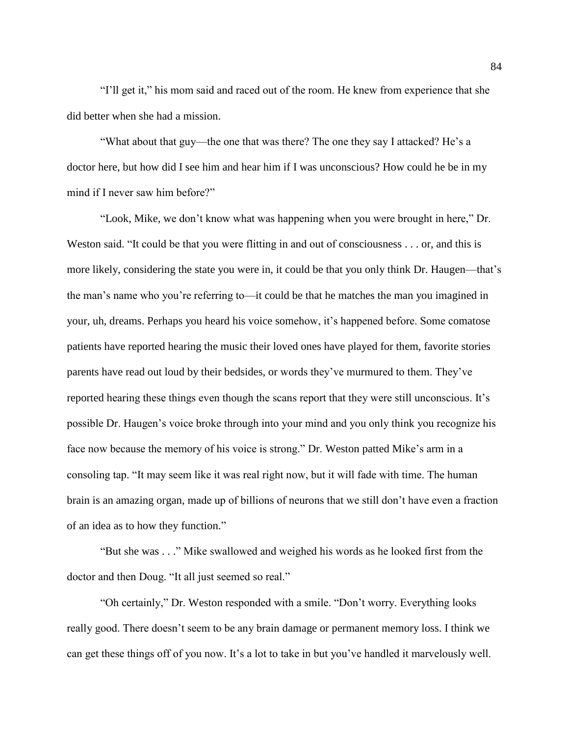"I'll get it," his mom said and raced out of the room. He knew from experience that she did better when she had a mission.

"What about that guy—the one that was there? The one they say I attacked? He's a doctor here, but how did I see him and hear him if I was unconscious? How could he be in my mind if I never saw him before?"

"Look, Mike, we don't know what was happening when you were brought in here," Dr. Weston said. "It could be that you were flitting in and out of consciousness . . . or, and this is more likely, considering the state you were in, it could be that you only think Dr. Haugen—that's the man's name who you're referring to—it could be that he matches the man you imagined in your, uh, dreams. Perhaps you heard his voice somehow, it's happened before. Some comatose patients have reported hearing the music their loved ones have played for them, favorite stories parents have read out loud by their bedsides, or words they've murmured to them. They've reported hearing these things even though the scans report that they were still unconscious. It's possible Dr. Haugen's voice broke through into your mind and you only think you recognize his face now because the memory of his voice is strong." Dr. Weston patted Mike's arm in a consoling tap. "It may seem like it was real right now, but it will fade with time. The human brain is an amazing organ, made up of billions of neurons that we still don't have even a fraction of an idea as to how they function."

"But she was . . ." Mike swallowed and weighed his words as he looked first from the doctor and then Doug. "It all just seemed so real."

"Oh certainly," Dr. Weston responded with a smile. "Don't worry. Everything looks really good. There doesn't seem to be any brain damage or permanent memory loss. I think we can get these things off of you now. It's a lot to take in but you've handled it marvelously well.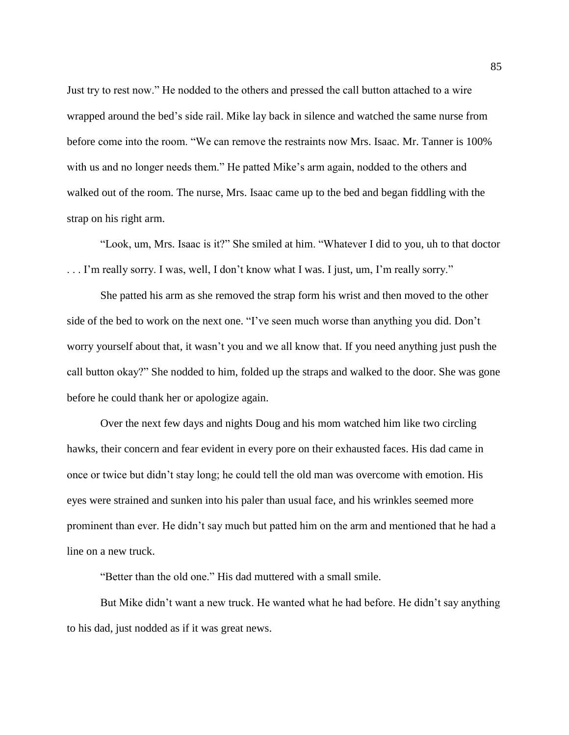Just try to rest now." He nodded to the others and pressed the call button attached to a wire wrapped around the bed's side rail. Mike lay back in silence and watched the same nurse from before come into the room. "We can remove the restraints now Mrs. Isaac. Mr. Tanner is 100% with us and no longer needs them." He patted Mike's arm again, nodded to the others and walked out of the room. The nurse, Mrs. Isaac came up to the bed and began fiddling with the strap on his right arm.

"Look, um, Mrs. Isaac is it?" She smiled at him. "Whatever I did to you, uh to that doctor . . . I'm really sorry. I was, well, I don't know what I was. I just, um, I'm really sorry."

She patted his arm as she removed the strap form his wrist and then moved to the other side of the bed to work on the next one. "I've seen much worse than anything you did. Don't worry yourself about that, it wasn't you and we all know that. If you need anything just push the call button okay?" She nodded to him, folded up the straps and walked to the door. She was gone before he could thank her or apologize again.

Over the next few days and nights Doug and his mom watched him like two circling hawks, their concern and fear evident in every pore on their exhausted faces. His dad came in once or twice but didn't stay long; he could tell the old man was overcome with emotion. His eyes were strained and sunken into his paler than usual face, and his wrinkles seemed more prominent than ever. He didn't say much but patted him on the arm and mentioned that he had a line on a new truck.

"Better than the old one." His dad muttered with a small smile.

But Mike didn't want a new truck. He wanted what he had before. He didn't say anything to his dad, just nodded as if it was great news.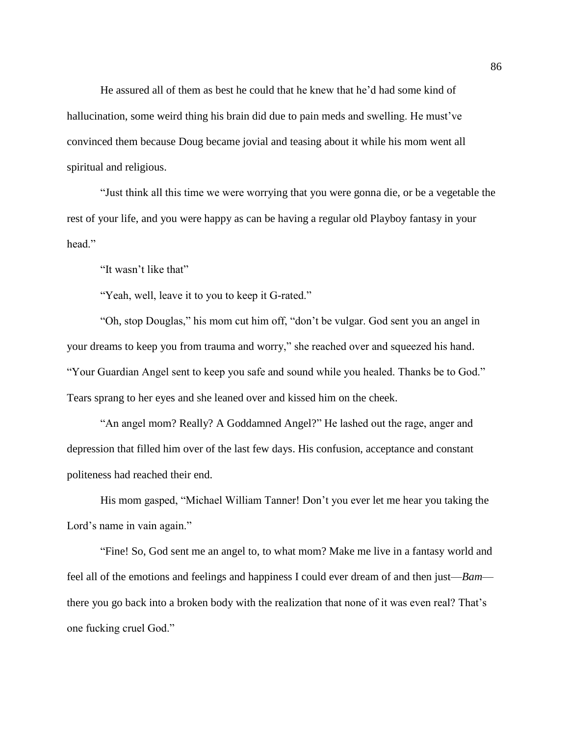He assured all of them as best he could that he knew that he'd had some kind of hallucination, some weird thing his brain did due to pain meds and swelling. He must've convinced them because Doug became jovial and teasing about it while his mom went all spiritual and religious.

"Just think all this time we were worrying that you were gonna die, or be a vegetable the rest of your life, and you were happy as can be having a regular old Playboy fantasy in your head."

"It wasn't like that"

"Yeah, well, leave it to you to keep it G-rated."

"Oh, stop Douglas," his mom cut him off, "don't be vulgar. God sent you an angel in your dreams to keep you from trauma and worry," she reached over and squeezed his hand. "Your Guardian Angel sent to keep you safe and sound while you healed. Thanks be to God." Tears sprang to her eyes and she leaned over and kissed him on the cheek.

"An angel mom? Really? A Goddamned Angel?" He lashed out the rage, anger and depression that filled him over of the last few days. His confusion, acceptance and constant politeness had reached their end.

His mom gasped, "Michael William Tanner! Don't you ever let me hear you taking the Lord's name in vain again."

"Fine! So, God sent me an angel to, to what mom? Make me live in a fantasy world and feel all of the emotions and feelings and happiness I could ever dream of and then just—*Bam* there you go back into a broken body with the realization that none of it was even real? That's one fucking cruel God."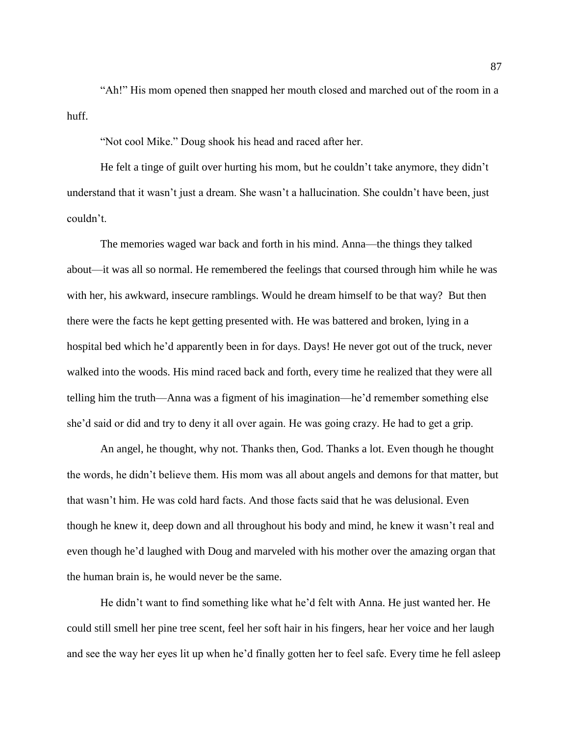"Ah!" His mom opened then snapped her mouth closed and marched out of the room in a huff.

"Not cool Mike." Doug shook his head and raced after her.

He felt a tinge of guilt over hurting his mom, but he couldn't take anymore, they didn't understand that it wasn't just a dream. She wasn't a hallucination. She couldn't have been, just couldn't.

The memories waged war back and forth in his mind. Anna—the things they talked about—it was all so normal. He remembered the feelings that coursed through him while he was with her, his awkward, insecure ramblings. Would he dream himself to be that way? But then there were the facts he kept getting presented with. He was battered and broken, lying in a hospital bed which he'd apparently been in for days. Days! He never got out of the truck, never walked into the woods. His mind raced back and forth, every time he realized that they were all telling him the truth—Anna was a figment of his imagination—he'd remember something else she'd said or did and try to deny it all over again. He was going crazy. He had to get a grip.

An angel, he thought, why not. Thanks then, God. Thanks a lot. Even though he thought the words, he didn't believe them. His mom was all about angels and demons for that matter, but that wasn't him. He was cold hard facts. And those facts said that he was delusional. Even though he knew it, deep down and all throughout his body and mind, he knew it wasn't real and even though he'd laughed with Doug and marveled with his mother over the amazing organ that the human brain is, he would never be the same.

He didn't want to find something like what he'd felt with Anna. He just wanted her. He could still smell her pine tree scent, feel her soft hair in his fingers, hear her voice and her laugh and see the way her eyes lit up when he'd finally gotten her to feel safe. Every time he fell asleep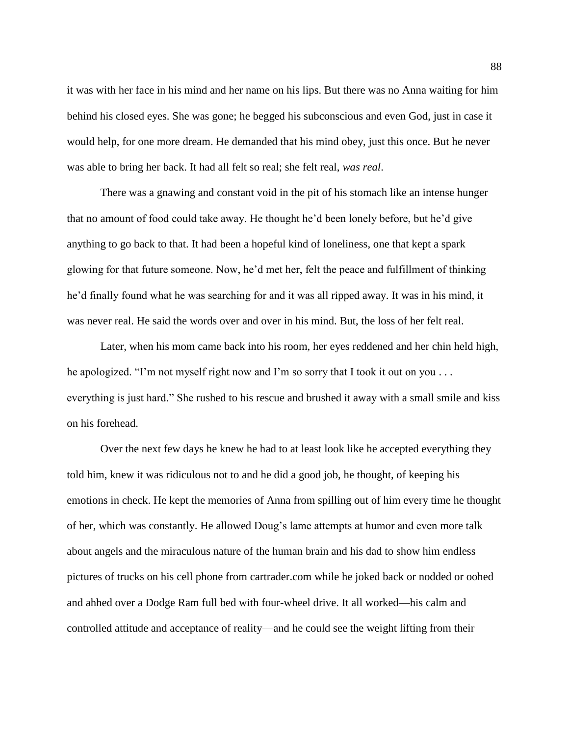it was with her face in his mind and her name on his lips. But there was no Anna waiting for him behind his closed eyes. She was gone; he begged his subconscious and even God, just in case it would help, for one more dream. He demanded that his mind obey, just this once. But he never was able to bring her back. It had all felt so real; she felt real, *was real*.

There was a gnawing and constant void in the pit of his stomach like an intense hunger that no amount of food could take away. He thought he'd been lonely before, but he'd give anything to go back to that. It had been a hopeful kind of loneliness, one that kept a spark glowing for that future someone. Now, he'd met her, felt the peace and fulfillment of thinking he'd finally found what he was searching for and it was all ripped away. It was in his mind, it was never real. He said the words over and over in his mind. But, the loss of her felt real.

Later, when his mom came back into his room, her eyes reddened and her chin held high, he apologized. "I'm not myself right now and I'm so sorry that I took it out on you . . . everything is just hard." She rushed to his rescue and brushed it away with a small smile and kiss on his forehead.

Over the next few days he knew he had to at least look like he accepted everything they told him, knew it was ridiculous not to and he did a good job, he thought, of keeping his emotions in check. He kept the memories of Anna from spilling out of him every time he thought of her, which was constantly. He allowed Doug's lame attempts at humor and even more talk about angels and the miraculous nature of the human brain and his dad to show him endless pictures of trucks on his cell phone from cartrader.com while he joked back or nodded or oohed and ahhed over a Dodge Ram full bed with four-wheel drive. It all worked—his calm and controlled attitude and acceptance of reality—and he could see the weight lifting from their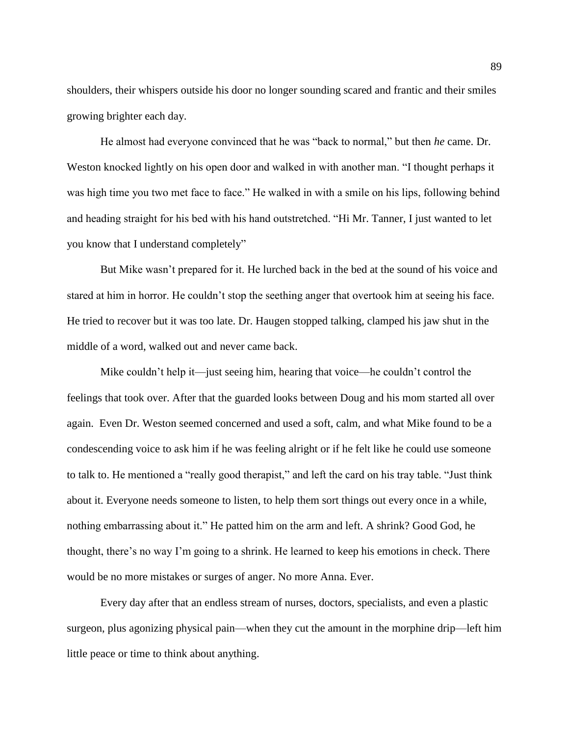shoulders, their whispers outside his door no longer sounding scared and frantic and their smiles growing brighter each day.

He almost had everyone convinced that he was "back to normal," but then *he* came. Dr. Weston knocked lightly on his open door and walked in with another man. "I thought perhaps it was high time you two met face to face." He walked in with a smile on his lips, following behind and heading straight for his bed with his hand outstretched. "Hi Mr. Tanner, I just wanted to let you know that I understand completely"

But Mike wasn't prepared for it. He lurched back in the bed at the sound of his voice and stared at him in horror. He couldn't stop the seething anger that overtook him at seeing his face. He tried to recover but it was too late. Dr. Haugen stopped talking, clamped his jaw shut in the middle of a word, walked out and never came back.

Mike couldn't help it—just seeing him, hearing that voice—he couldn't control the feelings that took over. After that the guarded looks between Doug and his mom started all over again. Even Dr. Weston seemed concerned and used a soft, calm, and what Mike found to be a condescending voice to ask him if he was feeling alright or if he felt like he could use someone to talk to. He mentioned a "really good therapist," and left the card on his tray table. "Just think about it. Everyone needs someone to listen, to help them sort things out every once in a while, nothing embarrassing about it." He patted him on the arm and left. A shrink? Good God, he thought, there's no way I'm going to a shrink. He learned to keep his emotions in check. There would be no more mistakes or surges of anger. No more Anna. Ever.

Every day after that an endless stream of nurses, doctors, specialists, and even a plastic surgeon, plus agonizing physical pain—when they cut the amount in the morphine drip—left him little peace or time to think about anything.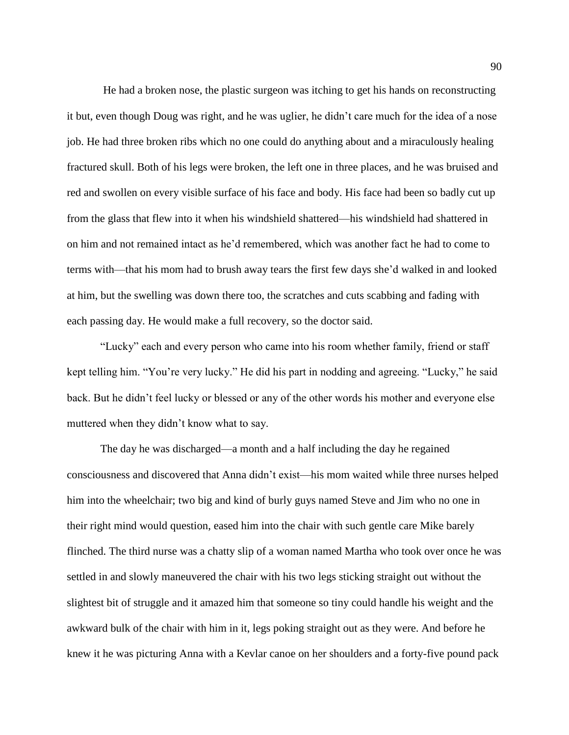He had a broken nose, the plastic surgeon was itching to get his hands on reconstructing it but, even though Doug was right, and he was uglier, he didn't care much for the idea of a nose job. He had three broken ribs which no one could do anything about and a miraculously healing fractured skull. Both of his legs were broken, the left one in three places, and he was bruised and red and swollen on every visible surface of his face and body. His face had been so badly cut up from the glass that flew into it when his windshield shattered—his windshield had shattered in on him and not remained intact as he'd remembered, which was another fact he had to come to terms with—that his mom had to brush away tears the first few days she'd walked in and looked at him, but the swelling was down there too, the scratches and cuts scabbing and fading with each passing day. He would make a full recovery, so the doctor said.

"Lucky" each and every person who came into his room whether family, friend or staff kept telling him. "You're very lucky." He did his part in nodding and agreeing. "Lucky," he said back. But he didn't feel lucky or blessed or any of the other words his mother and everyone else muttered when they didn't know what to say.

The day he was discharged—a month and a half including the day he regained consciousness and discovered that Anna didn't exist—his mom waited while three nurses helped him into the wheelchair; two big and kind of burly guys named Steve and Jim who no one in their right mind would question, eased him into the chair with such gentle care Mike barely flinched. The third nurse was a chatty slip of a woman named Martha who took over once he was settled in and slowly maneuvered the chair with his two legs sticking straight out without the slightest bit of struggle and it amazed him that someone so tiny could handle his weight and the awkward bulk of the chair with him in it, legs poking straight out as they were. And before he knew it he was picturing Anna with a Kevlar canoe on her shoulders and a forty-five pound pack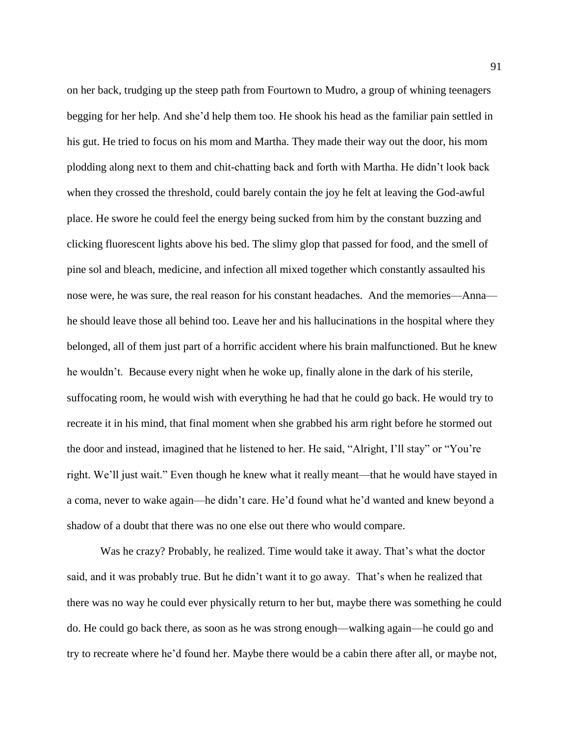on her back, trudging up the steep path from Fourtown to Mudro, a group of whining teenagers begging for her help. And she'd help them too. He shook his head as the familiar pain settled in his gut. He tried to focus on his mom and Martha. They made their way out the door, his mom plodding along next to them and chit-chatting back and forth with Martha. He didn't look back when they crossed the threshold, could barely contain the joy he felt at leaving the God-awful place. He swore he could feel the energy being sucked from him by the constant buzzing and clicking fluorescent lights above his bed. The slimy glop that passed for food, and the smell of pine sol and bleach, medicine, and infection all mixed together which constantly assaulted his nose were, he was sure, the real reason for his constant headaches. And the memories—Anna he should leave those all behind too. Leave her and his hallucinations in the hospital where they belonged, all of them just part of a horrific accident where his brain malfunctioned. But he knew he wouldn't. Because every night when he woke up, finally alone in the dark of his sterile, suffocating room, he would wish with everything he had that he could go back. He would try to recreate it in his mind, that final moment when she grabbed his arm right before he stormed out the door and instead, imagined that he listened to her. He said, "Alright, I'll stay" or "You're right. We'll just wait." Even though he knew what it really meant—that he would have stayed in a coma, never to wake again—he didn't care. He'd found what he'd wanted and knew beyond a shadow of a doubt that there was no one else out there who would compare.

Was he crazy? Probably, he realized. Time would take it away. That's what the doctor said, and it was probably true. But he didn't want it to go away. That's when he realized that there was no way he could ever physically return to her but, maybe there was something he could do. He could go back there, as soon as he was strong enough—walking again—he could go and try to recreate where he'd found her. Maybe there would be a cabin there after all, or maybe not,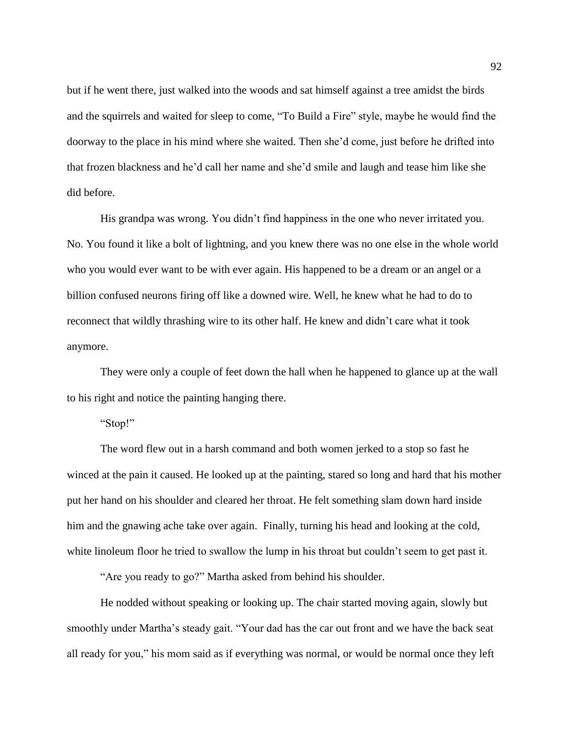but if he went there, just walked into the woods and sat himself against a tree amidst the birds and the squirrels and waited for sleep to come, "To Build a Fire" style, maybe he would find the doorway to the place in his mind where she waited. Then she'd come, just before he drifted into that frozen blackness and he'd call her name and she'd smile and laugh and tease him like she did before.

His grandpa was wrong. You didn't find happiness in the one who never irritated you. No. You found it like a bolt of lightning, and you knew there was no one else in the whole world who you would ever want to be with ever again. His happened to be a dream or an angel or a billion confused neurons firing off like a downed wire. Well, he knew what he had to do to reconnect that wildly thrashing wire to its other half. He knew and didn't care what it took anymore.

They were only a couple of feet down the hall when he happened to glance up at the wall to his right and notice the painting hanging there.

## "Stop!"

The word flew out in a harsh command and both women jerked to a stop so fast he winced at the pain it caused. He looked up at the painting, stared so long and hard that his mother put her hand on his shoulder and cleared her throat. He felt something slam down hard inside him and the gnawing ache take over again. Finally, turning his head and looking at the cold, white linoleum floor he tried to swallow the lump in his throat but couldn't seem to get past it.

"Are you ready to go?" Martha asked from behind his shoulder.

He nodded without speaking or looking up. The chair started moving again, slowly but smoothly under Martha's steady gait. "Your dad has the car out front and we have the back seat all ready for you," his mom said as if everything was normal, or would be normal once they left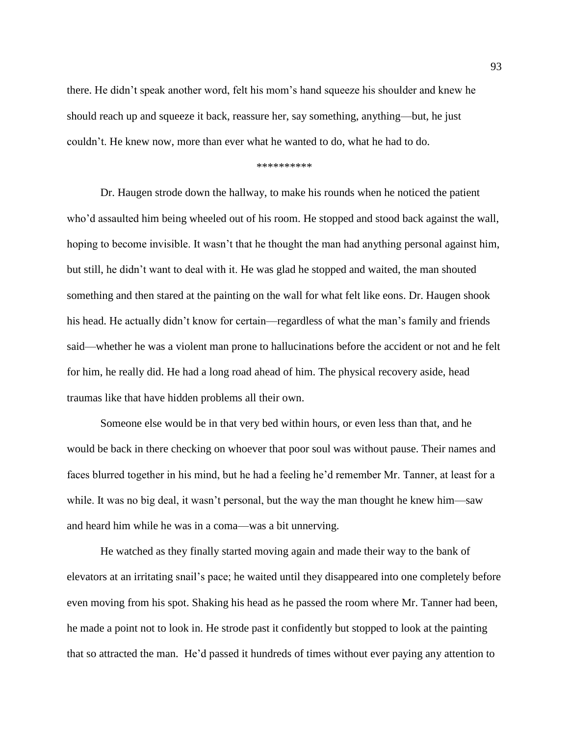there. He didn't speak another word, felt his mom's hand squeeze his shoulder and knew he should reach up and squeeze it back, reassure her, say something, anything—but, he just couldn't. He knew now, more than ever what he wanted to do, what he had to do.

## \*\*\*\*\*\*\*\*\*\*

Dr. Haugen strode down the hallway, to make his rounds when he noticed the patient who'd assaulted him being wheeled out of his room. He stopped and stood back against the wall, hoping to become invisible. It wasn't that he thought the man had anything personal against him, but still, he didn't want to deal with it. He was glad he stopped and waited, the man shouted something and then stared at the painting on the wall for what felt like eons. Dr. Haugen shook his head. He actually didn't know for certain—regardless of what the man's family and friends said—whether he was a violent man prone to hallucinations before the accident or not and he felt for him, he really did. He had a long road ahead of him. The physical recovery aside, head traumas like that have hidden problems all their own.

Someone else would be in that very bed within hours, or even less than that, and he would be back in there checking on whoever that poor soul was without pause. Their names and faces blurred together in his mind, but he had a feeling he'd remember Mr. Tanner, at least for a while. It was no big deal, it wasn't personal, but the way the man thought he knew him—saw and heard him while he was in a coma—was a bit unnerving.

He watched as they finally started moving again and made their way to the bank of elevators at an irritating snail's pace; he waited until they disappeared into one completely before even moving from his spot. Shaking his head as he passed the room where Mr. Tanner had been, he made a point not to look in. He strode past it confidently but stopped to look at the painting that so attracted the man. He'd passed it hundreds of times without ever paying any attention to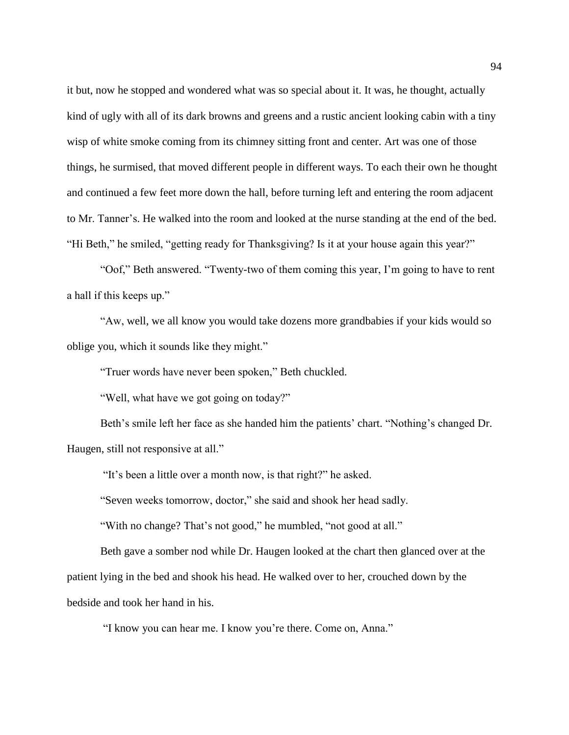it but, now he stopped and wondered what was so special about it. It was, he thought, actually kind of ugly with all of its dark browns and greens and a rustic ancient looking cabin with a tiny wisp of white smoke coming from its chimney sitting front and center. Art was one of those things, he surmised, that moved different people in different ways. To each their own he thought and continued a few feet more down the hall, before turning left and entering the room adjacent to Mr. Tanner's. He walked into the room and looked at the nurse standing at the end of the bed. "Hi Beth," he smiled, "getting ready for Thanksgiving? Is it at your house again this year?"

"Oof," Beth answered. "Twenty-two of them coming this year, I'm going to have to rent a hall if this keeps up."

"Aw, well, we all know you would take dozens more grandbabies if your kids would so oblige you, which it sounds like they might."

"Truer words have never been spoken," Beth chuckled.

"Well, what have we got going on today?"

Beth's smile left her face as she handed him the patients' chart. "Nothing's changed Dr. Haugen, still not responsive at all."

"It's been a little over a month now, is that right?" he asked.

"Seven weeks tomorrow, doctor," she said and shook her head sadly.

"With no change? That's not good," he mumbled, "not good at all."

Beth gave a somber nod while Dr. Haugen looked at the chart then glanced over at the patient lying in the bed and shook his head. He walked over to her, crouched down by the bedside and took her hand in his.

"I know you can hear me. I know you're there. Come on, Anna."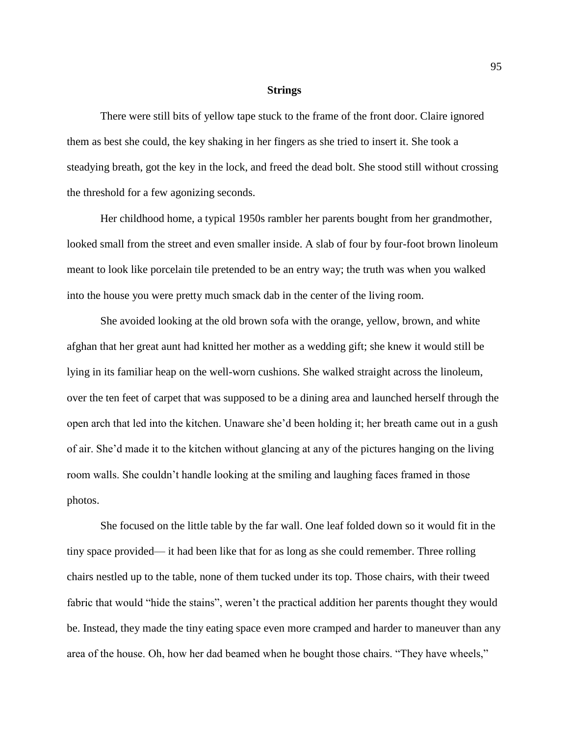## **Strings**

There were still bits of yellow tape stuck to the frame of the front door. Claire ignored them as best she could, the key shaking in her fingers as she tried to insert it. She took a steadying breath, got the key in the lock, and freed the dead bolt. She stood still without crossing the threshold for a few agonizing seconds.

Her childhood home, a typical 1950s rambler her parents bought from her grandmother, looked small from the street and even smaller inside. A slab of four by four-foot brown linoleum meant to look like porcelain tile pretended to be an entry way; the truth was when you walked into the house you were pretty much smack dab in the center of the living room.

She avoided looking at the old brown sofa with the orange, yellow, brown, and white afghan that her great aunt had knitted her mother as a wedding gift; she knew it would still be lying in its familiar heap on the well-worn cushions. She walked straight across the linoleum, over the ten feet of carpet that was supposed to be a dining area and launched herself through the open arch that led into the kitchen. Unaware she'd been holding it; her breath came out in a gush of air. She'd made it to the kitchen without glancing at any of the pictures hanging on the living room walls. She couldn't handle looking at the smiling and laughing faces framed in those photos.

She focused on the little table by the far wall. One leaf folded down so it would fit in the tiny space provided— it had been like that for as long as she could remember. Three rolling chairs nestled up to the table, none of them tucked under its top. Those chairs, with their tweed fabric that would "hide the stains", weren't the practical addition her parents thought they would be. Instead, they made the tiny eating space even more cramped and harder to maneuver than any area of the house. Oh, how her dad beamed when he bought those chairs. "They have wheels,"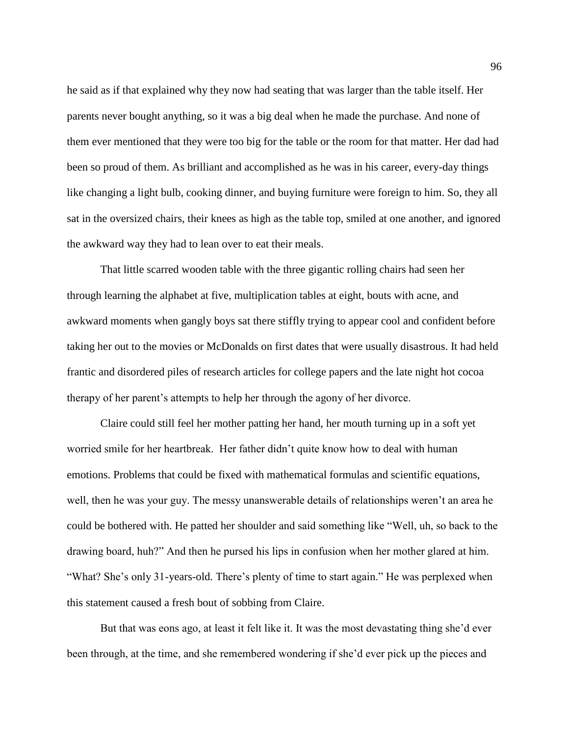he said as if that explained why they now had seating that was larger than the table itself. Her parents never bought anything, so it was a big deal when he made the purchase. And none of them ever mentioned that they were too big for the table or the room for that matter. Her dad had been so proud of them. As brilliant and accomplished as he was in his career, every-day things like changing a light bulb, cooking dinner, and buying furniture were foreign to him. So, they all sat in the oversized chairs, their knees as high as the table top, smiled at one another, and ignored the awkward way they had to lean over to eat their meals.

That little scarred wooden table with the three gigantic rolling chairs had seen her through learning the alphabet at five, multiplication tables at eight, bouts with acne, and awkward moments when gangly boys sat there stiffly trying to appear cool and confident before taking her out to the movies or McDonalds on first dates that were usually disastrous. It had held frantic and disordered piles of research articles for college papers and the late night hot cocoa therapy of her parent's attempts to help her through the agony of her divorce.

Claire could still feel her mother patting her hand, her mouth turning up in a soft yet worried smile for her heartbreak. Her father didn't quite know how to deal with human emotions. Problems that could be fixed with mathematical formulas and scientific equations, well, then he was your guy. The messy unanswerable details of relationships weren't an area he could be bothered with. He patted her shoulder and said something like "Well, uh, so back to the drawing board, huh?" And then he pursed his lips in confusion when her mother glared at him. "What? She's only 31-years-old. There's plenty of time to start again." He was perplexed when this statement caused a fresh bout of sobbing from Claire.

But that was eons ago, at least it felt like it. It was the most devastating thing she'd ever been through, at the time, and she remembered wondering if she'd ever pick up the pieces and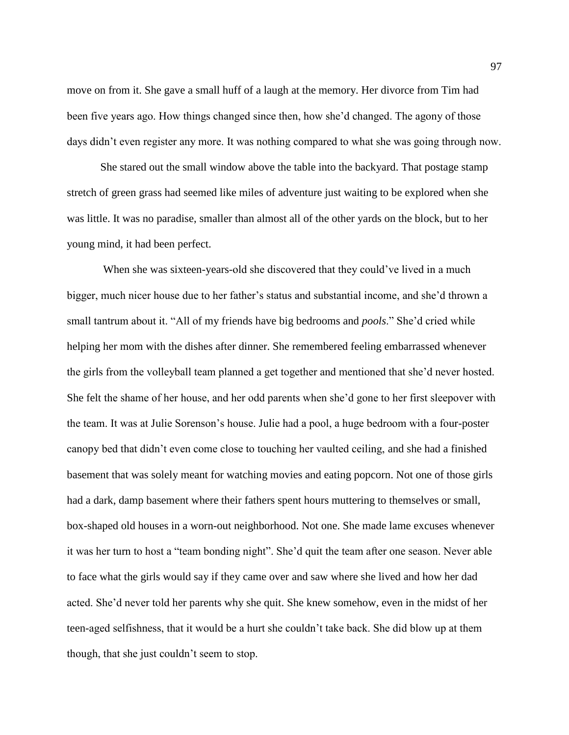move on from it. She gave a small huff of a laugh at the memory. Her divorce from Tim had been five years ago. How things changed since then, how she'd changed. The agony of those days didn't even register any more. It was nothing compared to what she was going through now.

She stared out the small window above the table into the backyard. That postage stamp stretch of green grass had seemed like miles of adventure just waiting to be explored when she was little. It was no paradise, smaller than almost all of the other yards on the block, but to her young mind, it had been perfect.

When she was sixteen-years-old she discovered that they could've lived in a much bigger, much nicer house due to her father's status and substantial income, and she'd thrown a small tantrum about it. "All of my friends have big bedrooms and *pools*." She'd cried while helping her mom with the dishes after dinner. She remembered feeling embarrassed whenever the girls from the volleyball team planned a get together and mentioned that she'd never hosted. She felt the shame of her house, and her odd parents when she'd gone to her first sleepover with the team. It was at Julie Sorenson's house. Julie had a pool, a huge bedroom with a four-poster canopy bed that didn't even come close to touching her vaulted ceiling, and she had a finished basement that was solely meant for watching movies and eating popcorn. Not one of those girls had a dark, damp basement where their fathers spent hours muttering to themselves or small, box-shaped old houses in a worn-out neighborhood. Not one. She made lame excuses whenever it was her turn to host a "team bonding night". She'd quit the team after one season. Never able to face what the girls would say if they came over and saw where she lived and how her dad acted. She'd never told her parents why she quit. She knew somehow, even in the midst of her teen-aged selfishness, that it would be a hurt she couldn't take back. She did blow up at them though, that she just couldn't seem to stop.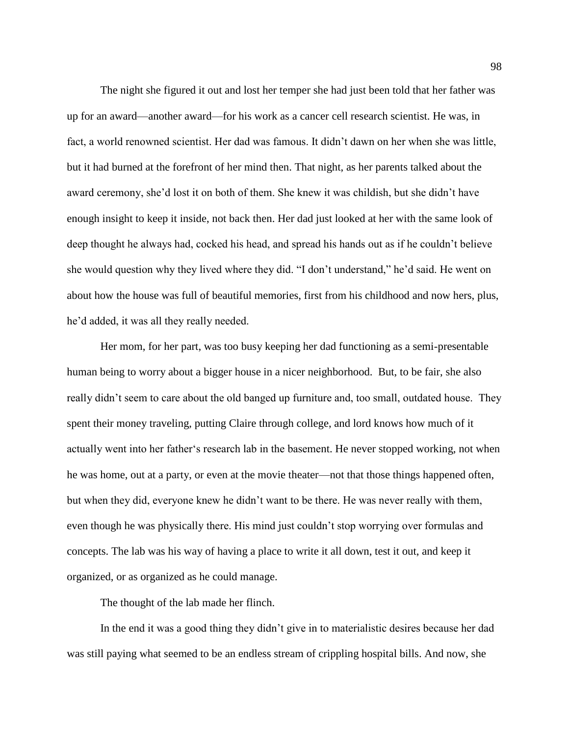The night she figured it out and lost her temper she had just been told that her father was up for an award—another award—for his work as a cancer cell research scientist. He was, in fact, a world renowned scientist. Her dad was famous. It didn't dawn on her when she was little, but it had burned at the forefront of her mind then. That night, as her parents talked about the award ceremony, she'd lost it on both of them. She knew it was childish, but she didn't have enough insight to keep it inside, not back then. Her dad just looked at her with the same look of deep thought he always had, cocked his head, and spread his hands out as if he couldn't believe she would question why they lived where they did. "I don't understand," he'd said. He went on about how the house was full of beautiful memories, first from his childhood and now hers, plus, he'd added, it was all they really needed.

Her mom, for her part, was too busy keeping her dad functioning as a semi-presentable human being to worry about a bigger house in a nicer neighborhood. But, to be fair, she also really didn't seem to care about the old banged up furniture and, too small, outdated house. They spent their money traveling, putting Claire through college, and lord knows how much of it actually went into her father's research lab in the basement. He never stopped working, not when he was home, out at a party, or even at the movie theater—not that those things happened often, but when they did, everyone knew he didn't want to be there. He was never really with them, even though he was physically there. His mind just couldn't stop worrying over formulas and concepts. The lab was his way of having a place to write it all down, test it out, and keep it organized, or as organized as he could manage.

The thought of the lab made her flinch.

In the end it was a good thing they didn't give in to materialistic desires because her dad was still paying what seemed to be an endless stream of crippling hospital bills. And now, she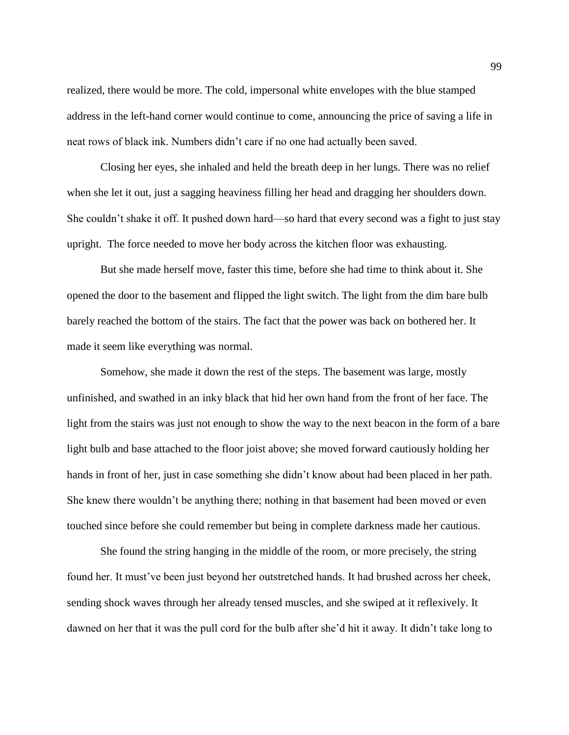realized, there would be more. The cold, impersonal white envelopes with the blue stamped address in the left-hand corner would continue to come, announcing the price of saving a life in neat rows of black ink. Numbers didn't care if no one had actually been saved.

Closing her eyes, she inhaled and held the breath deep in her lungs. There was no relief when she let it out, just a sagging heaviness filling her head and dragging her shoulders down. She couldn't shake it off. It pushed down hard—so hard that every second was a fight to just stay upright. The force needed to move her body across the kitchen floor was exhausting.

But she made herself move, faster this time, before she had time to think about it. She opened the door to the basement and flipped the light switch. The light from the dim bare bulb barely reached the bottom of the stairs. The fact that the power was back on bothered her. It made it seem like everything was normal.

Somehow, she made it down the rest of the steps. The basement was large, mostly unfinished, and swathed in an inky black that hid her own hand from the front of her face. The light from the stairs was just not enough to show the way to the next beacon in the form of a bare light bulb and base attached to the floor joist above; she moved forward cautiously holding her hands in front of her, just in case something she didn't know about had been placed in her path. She knew there wouldn't be anything there; nothing in that basement had been moved or even touched since before she could remember but being in complete darkness made her cautious.

She found the string hanging in the middle of the room, or more precisely, the string found her. It must've been just beyond her outstretched hands. It had brushed across her cheek, sending shock waves through her already tensed muscles, and she swiped at it reflexively. It dawned on her that it was the pull cord for the bulb after she'd hit it away. It didn't take long to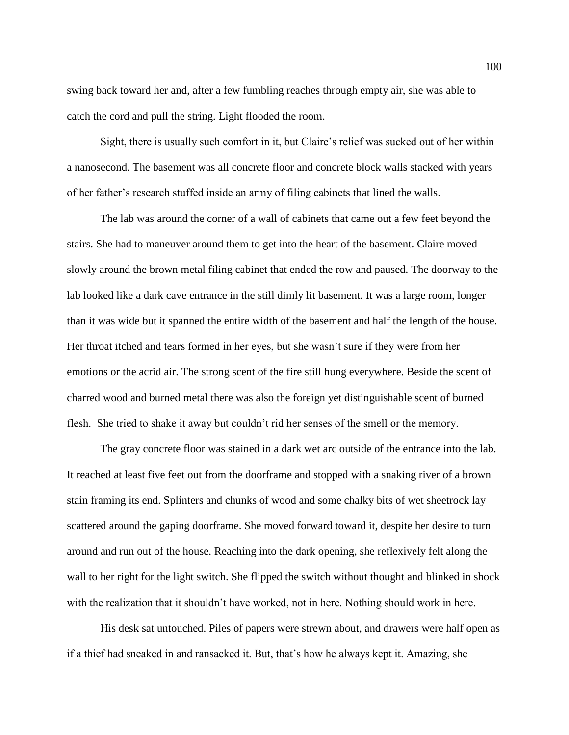swing back toward her and, after a few fumbling reaches through empty air, she was able to catch the cord and pull the string. Light flooded the room.

Sight, there is usually such comfort in it, but Claire's relief was sucked out of her within a nanosecond. The basement was all concrete floor and concrete block walls stacked with years of her father's research stuffed inside an army of filing cabinets that lined the walls.

The lab was around the corner of a wall of cabinets that came out a few feet beyond the stairs. She had to maneuver around them to get into the heart of the basement. Claire moved slowly around the brown metal filing cabinet that ended the row and paused. The doorway to the lab looked like a dark cave entrance in the still dimly lit basement. It was a large room, longer than it was wide but it spanned the entire width of the basement and half the length of the house. Her throat itched and tears formed in her eyes, but she wasn't sure if they were from her emotions or the acrid air. The strong scent of the fire still hung everywhere. Beside the scent of charred wood and burned metal there was also the foreign yet distinguishable scent of burned flesh. She tried to shake it away but couldn't rid her senses of the smell or the memory.

The gray concrete floor was stained in a dark wet arc outside of the entrance into the lab. It reached at least five feet out from the doorframe and stopped with a snaking river of a brown stain framing its end. Splinters and chunks of wood and some chalky bits of wet sheetrock lay scattered around the gaping doorframe. She moved forward toward it, despite her desire to turn around and run out of the house. Reaching into the dark opening, she reflexively felt along the wall to her right for the light switch. She flipped the switch without thought and blinked in shock with the realization that it shouldn't have worked, not in here. Nothing should work in here.

His desk sat untouched. Piles of papers were strewn about, and drawers were half open as if a thief had sneaked in and ransacked it. But, that's how he always kept it. Amazing, she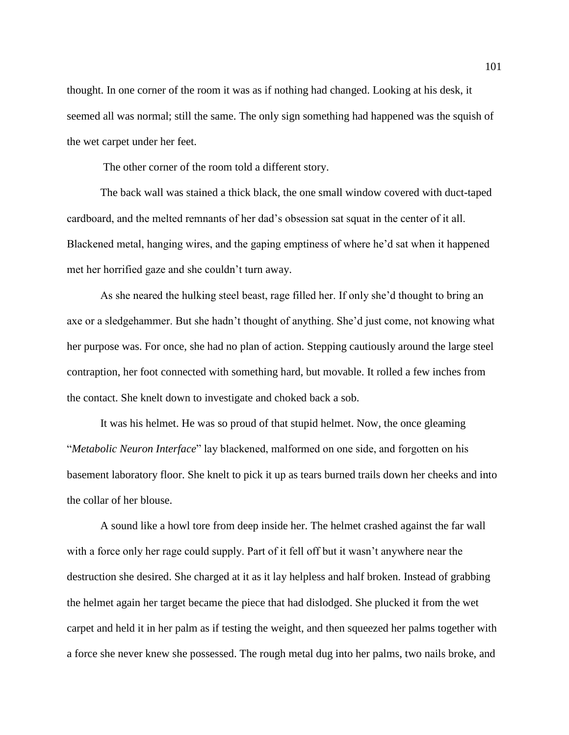thought. In one corner of the room it was as if nothing had changed. Looking at his desk, it seemed all was normal; still the same. The only sign something had happened was the squish of the wet carpet under her feet.

The other corner of the room told a different story.

The back wall was stained a thick black, the one small window covered with duct-taped cardboard, and the melted remnants of her dad's obsession sat squat in the center of it all. Blackened metal, hanging wires, and the gaping emptiness of where he'd sat when it happened met her horrified gaze and she couldn't turn away.

As she neared the hulking steel beast, rage filled her. If only she'd thought to bring an axe or a sledgehammer. But she hadn't thought of anything. She'd just come, not knowing what her purpose was. For once, she had no plan of action. Stepping cautiously around the large steel contraption, her foot connected with something hard, but movable. It rolled a few inches from the contact. She knelt down to investigate and choked back a sob.

It was his helmet. He was so proud of that stupid helmet. Now, the once gleaming "*Metabolic Neuron Interface*" lay blackened, malformed on one side, and forgotten on his basement laboratory floor. She knelt to pick it up as tears burned trails down her cheeks and into the collar of her blouse.

A sound like a howl tore from deep inside her. The helmet crashed against the far wall with a force only her rage could supply. Part of it fell off but it wasn't anywhere near the destruction she desired. She charged at it as it lay helpless and half broken. Instead of grabbing the helmet again her target became the piece that had dislodged. She plucked it from the wet carpet and held it in her palm as if testing the weight, and then squeezed her palms together with a force she never knew she possessed. The rough metal dug into her palms, two nails broke, and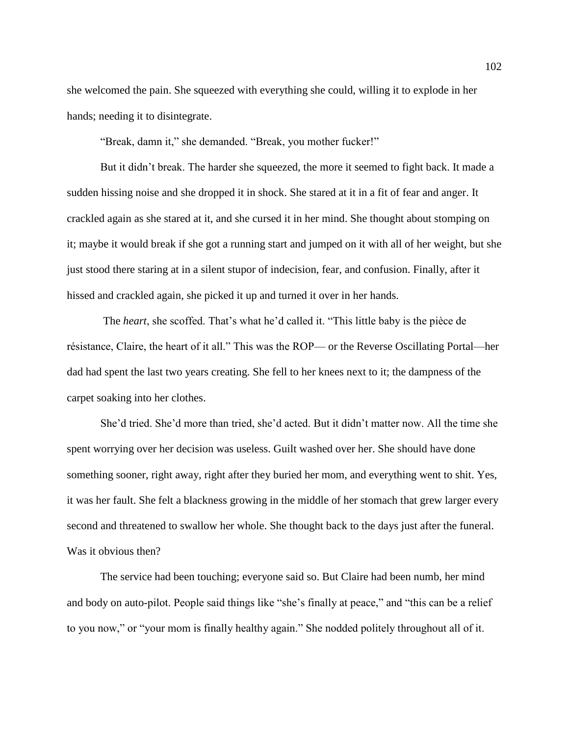she welcomed the pain. She squeezed with everything she could, willing it to explode in her hands; needing it to disintegrate.

"Break, damn it," she demanded. "Break, you mother fucker!"

But it didn't break. The harder she squeezed, the more it seemed to fight back. It made a sudden hissing noise and she dropped it in shock. She stared at it in a fit of fear and anger. It crackled again as she stared at it, and she cursed it in her mind. She thought about stomping on it; maybe it would break if she got a running start and jumped on it with all of her weight, but she just stood there staring at in a silent stupor of indecision, fear, and confusion. Finally, after it hissed and crackled again, she picked it up and turned it over in her hands.

The *heart*, she scoffed. That's what he'd called it. "This little baby is the pièce de résistance, Claire, the heart of it all." This was the ROP— or the Reverse Oscillating Portal—her dad had spent the last two years creating. She fell to her knees next to it; the dampness of the carpet soaking into her clothes.

She'd tried. She'd more than tried, she'd acted. But it didn't matter now. All the time she spent worrying over her decision was useless. Guilt washed over her. She should have done something sooner, right away, right after they buried her mom, and everything went to shit. Yes, it was her fault. She felt a blackness growing in the middle of her stomach that grew larger every second and threatened to swallow her whole. She thought back to the days just after the funeral. Was it obvious then?

The service had been touching; everyone said so. But Claire had been numb, her mind and body on auto-pilot. People said things like "she's finally at peace," and "this can be a relief to you now," or "your mom is finally healthy again." She nodded politely throughout all of it.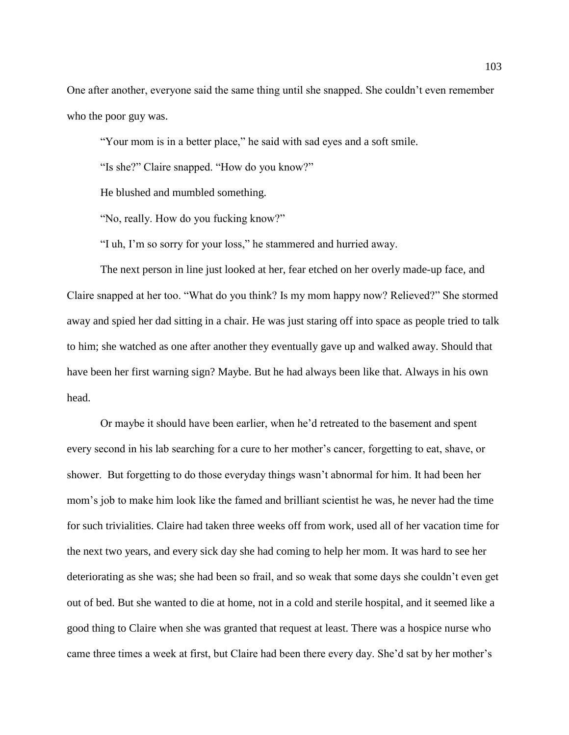One after another, everyone said the same thing until she snapped. She couldn't even remember who the poor guy was.

"Your mom is in a better place," he said with sad eyes and a soft smile.

"Is she?" Claire snapped. "How do you know?"

He blushed and mumbled something.

"No, really. How do you fucking know?"

"I uh, I'm so sorry for your loss," he stammered and hurried away.

The next person in line just looked at her, fear etched on her overly made-up face, and Claire snapped at her too. "What do you think? Is my mom happy now? Relieved?" She stormed away and spied her dad sitting in a chair. He was just staring off into space as people tried to talk to him; she watched as one after another they eventually gave up and walked away. Should that have been her first warning sign? Maybe. But he had always been like that. Always in his own head.

Or maybe it should have been earlier, when he'd retreated to the basement and spent every second in his lab searching for a cure to her mother's cancer, forgetting to eat, shave, or shower. But forgetting to do those everyday things wasn't abnormal for him. It had been her mom's job to make him look like the famed and brilliant scientist he was, he never had the time for such trivialities. Claire had taken three weeks off from work, used all of her vacation time for the next two years, and every sick day she had coming to help her mom. It was hard to see her deteriorating as she was; she had been so frail, and so weak that some days she couldn't even get out of bed. But she wanted to die at home, not in a cold and sterile hospital, and it seemed like a good thing to Claire when she was granted that request at least. There was a hospice nurse who came three times a week at first, but Claire had been there every day. She'd sat by her mother's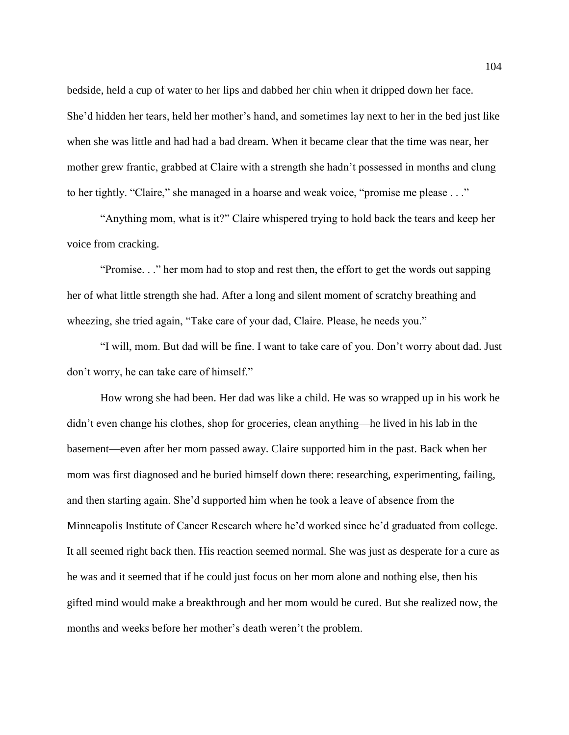bedside, held a cup of water to her lips and dabbed her chin when it dripped down her face. She'd hidden her tears, held her mother's hand, and sometimes lay next to her in the bed just like when she was little and had had a bad dream. When it became clear that the time was near, her mother grew frantic, grabbed at Claire with a strength she hadn't possessed in months and clung to her tightly. "Claire," she managed in a hoarse and weak voice, "promise me please . . ."

"Anything mom, what is it?" Claire whispered trying to hold back the tears and keep her voice from cracking.

"Promise. . ." her mom had to stop and rest then, the effort to get the words out sapping her of what little strength she had. After a long and silent moment of scratchy breathing and wheezing, she tried again, "Take care of your dad, Claire. Please, he needs you."

"I will, mom. But dad will be fine. I want to take care of you. Don't worry about dad. Just don't worry, he can take care of himself."

How wrong she had been. Her dad was like a child. He was so wrapped up in his work he didn't even change his clothes, shop for groceries, clean anything—he lived in his lab in the basement—even after her mom passed away. Claire supported him in the past. Back when her mom was first diagnosed and he buried himself down there: researching, experimenting, failing, and then starting again. She'd supported him when he took a leave of absence from the Minneapolis Institute of Cancer Research where he'd worked since he'd graduated from college. It all seemed right back then. His reaction seemed normal. She was just as desperate for a cure as he was and it seemed that if he could just focus on her mom alone and nothing else, then his gifted mind would make a breakthrough and her mom would be cured. But she realized now, the months and weeks before her mother's death weren't the problem.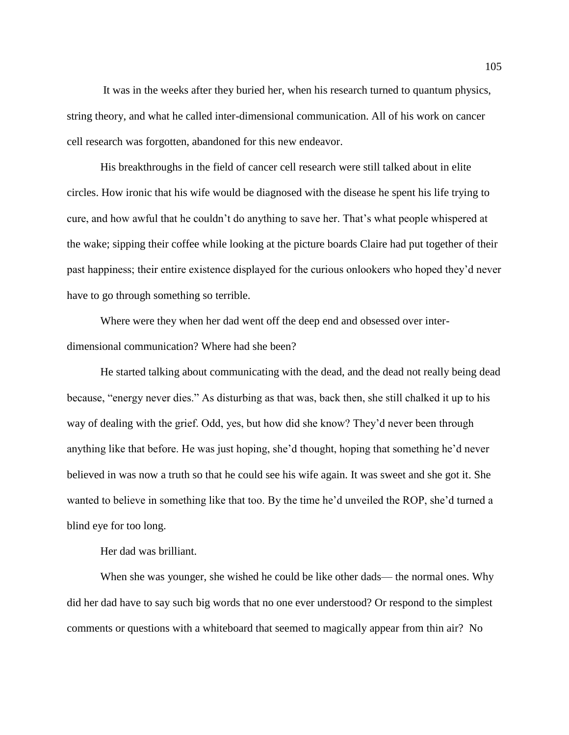It was in the weeks after they buried her, when his research turned to quantum physics, string theory, and what he called inter-dimensional communication. All of his work on cancer cell research was forgotten, abandoned for this new endeavor.

His breakthroughs in the field of cancer cell research were still talked about in elite circles. How ironic that his wife would be diagnosed with the disease he spent his life trying to cure, and how awful that he couldn't do anything to save her. That's what people whispered at the wake; sipping their coffee while looking at the picture boards Claire had put together of their past happiness; their entire existence displayed for the curious onlookers who hoped they'd never have to go through something so terrible.

Where were they when her dad went off the deep end and obsessed over interdimensional communication? Where had she been?

He started talking about communicating with the dead, and the dead not really being dead because, "energy never dies." As disturbing as that was, back then, she still chalked it up to his way of dealing with the grief. Odd, yes, but how did she know? They'd never been through anything like that before. He was just hoping, she'd thought, hoping that something he'd never believed in was now a truth so that he could see his wife again. It was sweet and she got it. She wanted to believe in something like that too. By the time he'd unveiled the ROP, she'd turned a blind eye for too long.

Her dad was brilliant.

When she was younger, she wished he could be like other dads— the normal ones. Why did her dad have to say such big words that no one ever understood? Or respond to the simplest comments or questions with a whiteboard that seemed to magically appear from thin air? No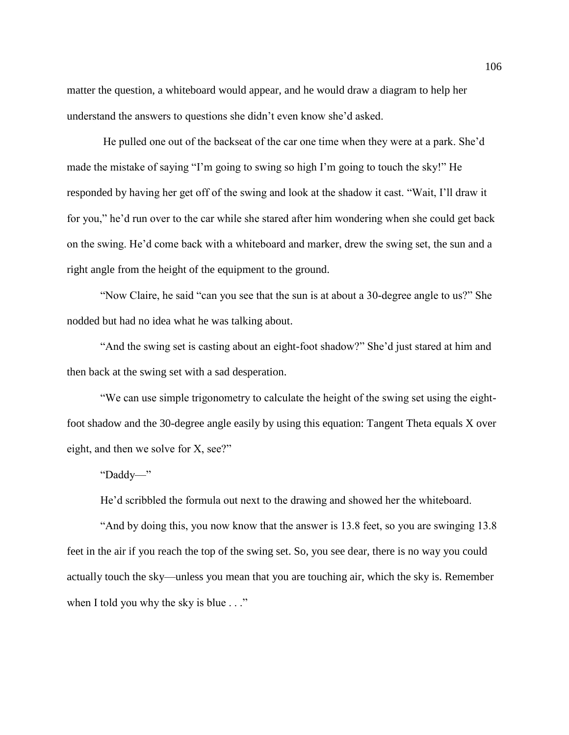matter the question, a whiteboard would appear, and he would draw a diagram to help her understand the answers to questions she didn't even know she'd asked.

He pulled one out of the backseat of the car one time when they were at a park. She'd made the mistake of saying "I'm going to swing so high I'm going to touch the sky!" He responded by having her get off of the swing and look at the shadow it cast. "Wait, I'll draw it for you," he'd run over to the car while she stared after him wondering when she could get back on the swing. He'd come back with a whiteboard and marker, drew the swing set, the sun and a right angle from the height of the equipment to the ground.

"Now Claire, he said "can you see that the sun is at about a 30-degree angle to us?" She nodded but had no idea what he was talking about.

"And the swing set is casting about an eight-foot shadow?" She'd just stared at him and then back at the swing set with a sad desperation.

"We can use simple trigonometry to calculate the height of the swing set using the eightfoot shadow and the 30-degree angle easily by using this equation: Tangent Theta equals X over eight, and then we solve for X, see?"

"Daddy—"

He'd scribbled the formula out next to the drawing and showed her the whiteboard.

"And by doing this, you now know that the answer is 13.8 feet, so you are swinging 13.8 feet in the air if you reach the top of the swing set. So, you see dear, there is no way you could actually touch the sky—unless you mean that you are touching air, which the sky is. Remember when I told you why the sky is blue . . ."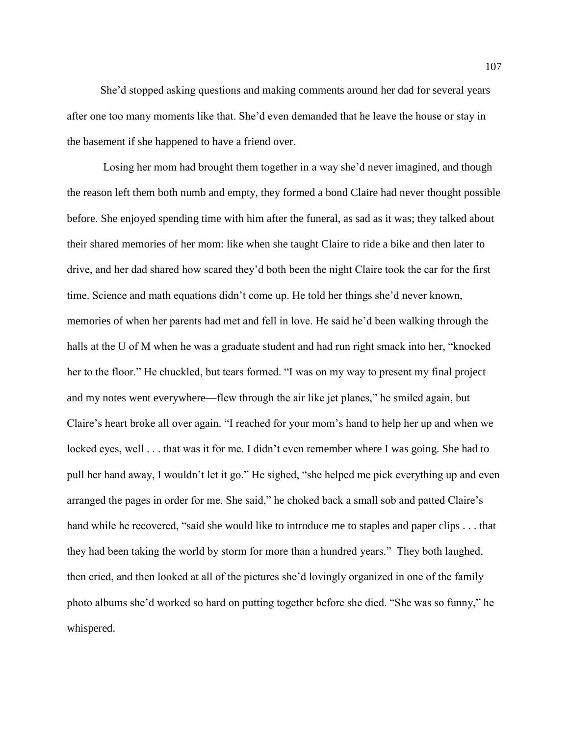She'd stopped asking questions and making comments around her dad for several years after one too many moments like that. She'd even demanded that he leave the house or stay in the basement if she happened to have a friend over.

Losing her mom had brought them together in a way she'd never imagined, and though the reason left them both numb and empty, they formed a bond Claire had never thought possible before. She enjoyed spending time with him after the funeral, as sad as it was; they talked about their shared memories of her mom: like when she taught Claire to ride a bike and then later to drive, and her dad shared how scared they'd both been the night Claire took the car for the first time. Science and math equations didn't come up. He told her things she'd never known, memories of when her parents had met and fell in love. He said he'd been walking through the halls at the U of M when he was a graduate student and had run right smack into her, "knocked her to the floor." He chuckled, but tears formed. "I was on my way to present my final project and my notes went everywhere—flew through the air like jet planes," he smiled again, but Claire's heart broke all over again. "I reached for your mom's hand to help her up and when we locked eyes, well . . . that was it for me. I didn't even remember where I was going. She had to pull her hand away, I wouldn't let it go." He sighed, "she helped me pick everything up and even arranged the pages in order for me. She said," he choked back a small sob and patted Claire's hand while he recovered, "said she would like to introduce me to staples and paper clips . . . that they had been taking the world by storm for more than a hundred years." They both laughed, then cried, and then looked at all of the pictures she'd lovingly organized in one of the family photo albums she'd worked so hard on putting together before she died. "She was so funny," he whispered.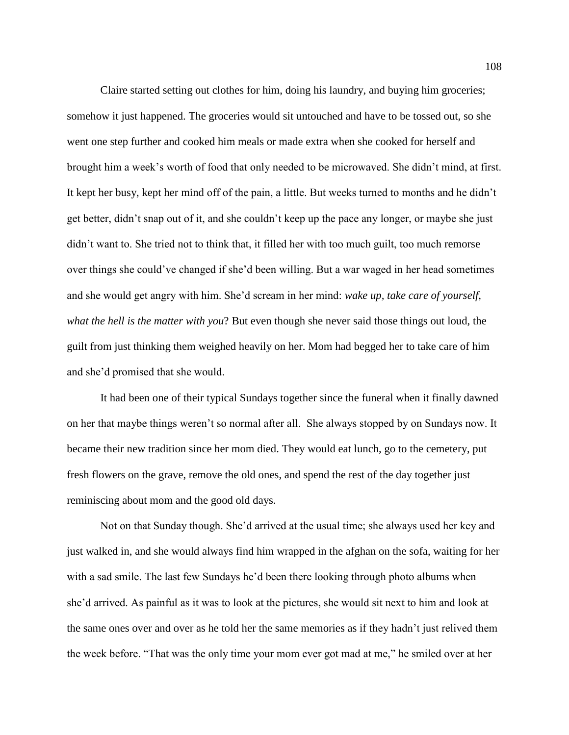Claire started setting out clothes for him, doing his laundry, and buying him groceries; somehow it just happened. The groceries would sit untouched and have to be tossed out, so she went one step further and cooked him meals or made extra when she cooked for herself and brought him a week's worth of food that only needed to be microwaved. She didn't mind, at first. It kept her busy, kept her mind off of the pain, a little. But weeks turned to months and he didn't get better, didn't snap out of it, and she couldn't keep up the pace any longer, or maybe she just didn't want to. She tried not to think that, it filled her with too much guilt, too much remorse over things she could've changed if she'd been willing. But a war waged in her head sometimes and she would get angry with him. She'd scream in her mind: *wake up, take care of yourself, what the hell is the matter with you*? But even though she never said those things out loud, the guilt from just thinking them weighed heavily on her. Mom had begged her to take care of him and she'd promised that she would.

It had been one of their typical Sundays together since the funeral when it finally dawned on her that maybe things weren't so normal after all. She always stopped by on Sundays now. It became their new tradition since her mom died. They would eat lunch, go to the cemetery, put fresh flowers on the grave, remove the old ones, and spend the rest of the day together just reminiscing about mom and the good old days.

Not on that Sunday though. She'd arrived at the usual time; she always used her key and just walked in, and she would always find him wrapped in the afghan on the sofa, waiting for her with a sad smile. The last few Sundays he'd been there looking through photo albums when she'd arrived. As painful as it was to look at the pictures, she would sit next to him and look at the same ones over and over as he told her the same memories as if they hadn't just relived them the week before. "That was the only time your mom ever got mad at me," he smiled over at her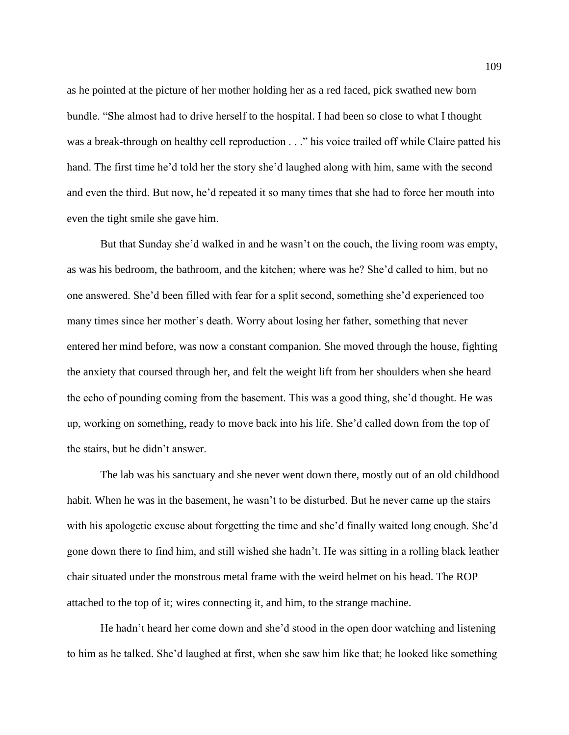as he pointed at the picture of her mother holding her as a red faced, pick swathed new born bundle. "She almost had to drive herself to the hospital. I had been so close to what I thought was a break-through on healthy cell reproduction . . ." his voice trailed off while Claire patted his hand. The first time he'd told her the story she'd laughed along with him, same with the second and even the third. But now, he'd repeated it so many times that she had to force her mouth into even the tight smile she gave him.

But that Sunday she'd walked in and he wasn't on the couch, the living room was empty, as was his bedroom, the bathroom, and the kitchen; where was he? She'd called to him, but no one answered. She'd been filled with fear for a split second, something she'd experienced too many times since her mother's death. Worry about losing her father, something that never entered her mind before, was now a constant companion. She moved through the house, fighting the anxiety that coursed through her, and felt the weight lift from her shoulders when she heard the echo of pounding coming from the basement. This was a good thing, she'd thought. He was up, working on something, ready to move back into his life. She'd called down from the top of the stairs, but he didn't answer.

The lab was his sanctuary and she never went down there, mostly out of an old childhood habit. When he was in the basement, he wasn't to be disturbed. But he never came up the stairs with his apologetic excuse about forgetting the time and she'd finally waited long enough. She'd gone down there to find him, and still wished she hadn't. He was sitting in a rolling black leather chair situated under the monstrous metal frame with the weird helmet on his head. The ROP attached to the top of it; wires connecting it, and him, to the strange machine.

He hadn't heard her come down and she'd stood in the open door watching and listening to him as he talked. She'd laughed at first, when she saw him like that; he looked like something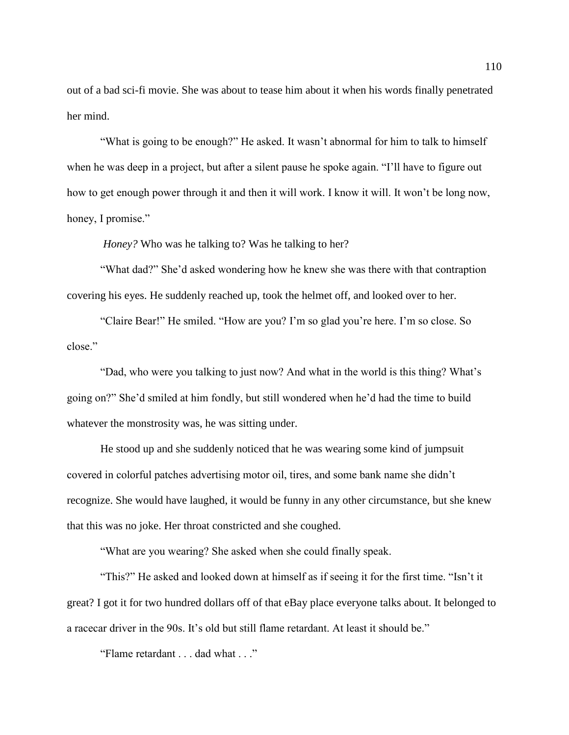out of a bad sci-fi movie. She was about to tease him about it when his words finally penetrated her mind.

"What is going to be enough?" He asked. It wasn't abnormal for him to talk to himself when he was deep in a project, but after a silent pause he spoke again. "I'll have to figure out how to get enough power through it and then it will work. I know it will. It won't be long now, honey, I promise."

*Honey?* Who was he talking to? Was he talking to her?

"What dad?" She'd asked wondering how he knew she was there with that contraption covering his eyes. He suddenly reached up, took the helmet off, and looked over to her.

"Claire Bear!" He smiled. "How are you? I'm so glad you're here. I'm so close. So close."

"Dad, who were you talking to just now? And what in the world is this thing? What's going on?" She'd smiled at him fondly, but still wondered when he'd had the time to build whatever the monstrosity was, he was sitting under.

He stood up and she suddenly noticed that he was wearing some kind of jumpsuit covered in colorful patches advertising motor oil, tires, and some bank name she didn't recognize. She would have laughed, it would be funny in any other circumstance, but she knew that this was no joke. Her throat constricted and she coughed.

"What are you wearing? She asked when she could finally speak.

"This?" He asked and looked down at himself as if seeing it for the first time. "Isn't it great? I got it for two hundred dollars off of that eBay place everyone talks about. It belonged to a racecar driver in the 90s. It's old but still flame retardant. At least it should be."

"Flame retardant . . . dad what . . ."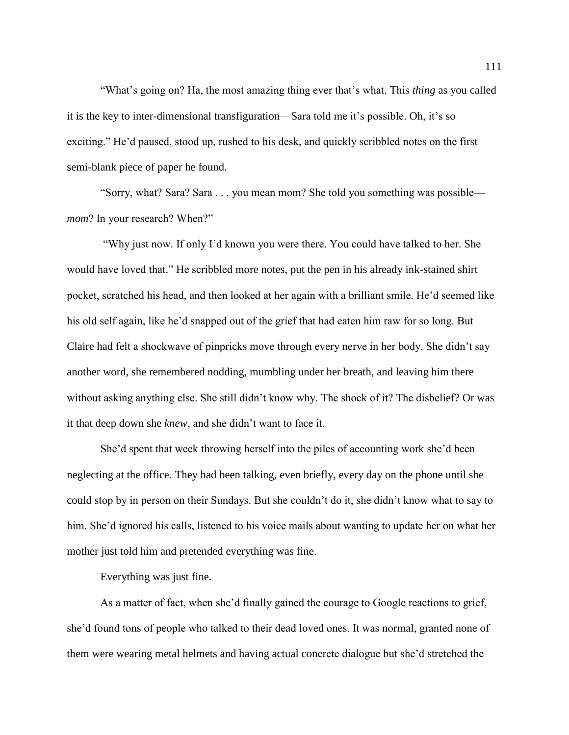"What's going on? Ha, the most amazing thing ever that's what. This *thing* as you called it is the key to inter-dimensional transfiguration—Sara told me it's possible. Oh, it's so exciting." He'd paused, stood up, rushed to his desk, and quickly scribbled notes on the first semi-blank piece of paper he found.

"Sorry, what? Sara? Sara . . . you mean mom? She told you something was possible *mom*? In your research? When?"

"Why just now. If only I'd known you were there. You could have talked to her. She would have loved that." He scribbled more notes, put the pen in his already ink-stained shirt pocket, scratched his head, and then looked at her again with a brilliant smile. He'd seemed like his old self again, like he'd snapped out of the grief that had eaten him raw for so long. But Claire had felt a shockwave of pinpricks move through every nerve in her body. She didn't say another word, she remembered nodding, mumbling under her breath, and leaving him there without asking anything else. She still didn't know why. The shock of it? The disbelief? Or was it that deep down she *knew*, and she didn't want to face it.

She'd spent that week throwing herself into the piles of accounting work she'd been neglecting at the office. They had been talking, even briefly, every day on the phone until she could stop by in person on their Sundays. But she couldn't do it, she didn't know what to say to him. She'd ignored his calls, listened to his voice mails about wanting to update her on what her mother just told him and pretended everything was fine.

Everything was just fine.

As a matter of fact, when she'd finally gained the courage to Google reactions to grief, she'd found tons of people who talked to their dead loved ones. It was normal, granted none of them were wearing metal helmets and having actual concrete dialogue but she'd stretched the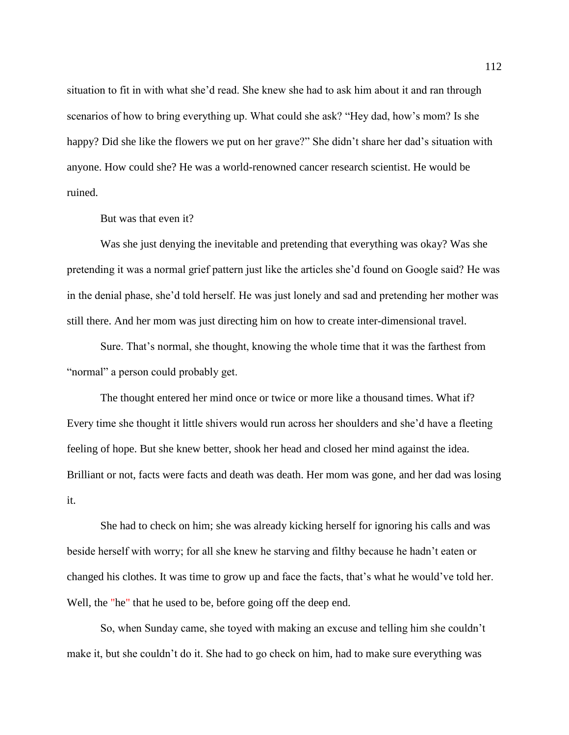situation to fit in with what she'd read. She knew she had to ask him about it and ran through scenarios of how to bring everything up. What could she ask? "Hey dad, how's mom? Is she happy? Did she like the flowers we put on her grave?" She didn't share her dad's situation with anyone. How could she? He was a world-renowned cancer research scientist. He would be ruined.

But was that even it?

Was she just denying the inevitable and pretending that everything was okay? Was she pretending it was a normal grief pattern just like the articles she'd found on Google said? He was in the denial phase, she'd told herself. He was just lonely and sad and pretending her mother was still there. And her mom was just directing him on how to create inter-dimensional travel.

Sure. That's normal, she thought, knowing the whole time that it was the farthest from "normal" a person could probably get.

The thought entered her mind once or twice or more like a thousand times. What if? Every time she thought it little shivers would run across her shoulders and she'd have a fleeting feeling of hope. But she knew better, shook her head and closed her mind against the idea. Brilliant or not, facts were facts and death was death. Her mom was gone, and her dad was losing it.

She had to check on him; she was already kicking herself for ignoring his calls and was beside herself with worry; for all she knew he starving and filthy because he hadn't eaten or changed his clothes. It was time to grow up and face the facts, that's what he would've told her. Well, the "he" that he used to be, before going off the deep end.

So, when Sunday came, she toyed with making an excuse and telling him she couldn't make it, but she couldn't do it. She had to go check on him, had to make sure everything was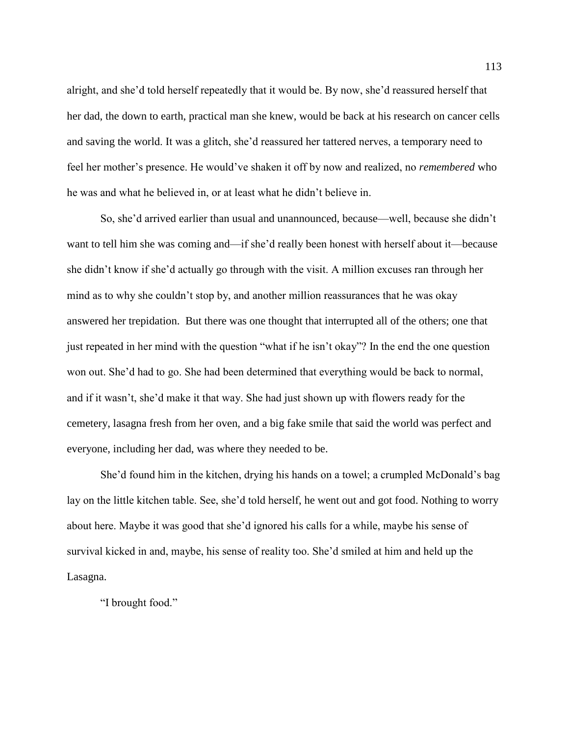alright, and she'd told herself repeatedly that it would be. By now, she'd reassured herself that her dad, the down to earth, practical man she knew, would be back at his research on cancer cells and saving the world. It was a glitch, she'd reassured her tattered nerves, a temporary need to feel her mother's presence. He would've shaken it off by now and realized, no *remembered* who he was and what he believed in, or at least what he didn't believe in.

So, she'd arrived earlier than usual and unannounced, because—well, because she didn't want to tell him she was coming and—if she'd really been honest with herself about it—because she didn't know if she'd actually go through with the visit. A million excuses ran through her mind as to why she couldn't stop by, and another million reassurances that he was okay answered her trepidation. But there was one thought that interrupted all of the others; one that just repeated in her mind with the question "what if he isn't okay"? In the end the one question won out. She'd had to go. She had been determined that everything would be back to normal, and if it wasn't, she'd make it that way. She had just shown up with flowers ready for the cemetery, lasagna fresh from her oven, and a big fake smile that said the world was perfect and everyone, including her dad, was where they needed to be.

She'd found him in the kitchen, drying his hands on a towel; a crumpled McDonald's bag lay on the little kitchen table. See, she'd told herself, he went out and got food. Nothing to worry about here. Maybe it was good that she'd ignored his calls for a while, maybe his sense of survival kicked in and, maybe, his sense of reality too. She'd smiled at him and held up the Lasagna.

"I brought food."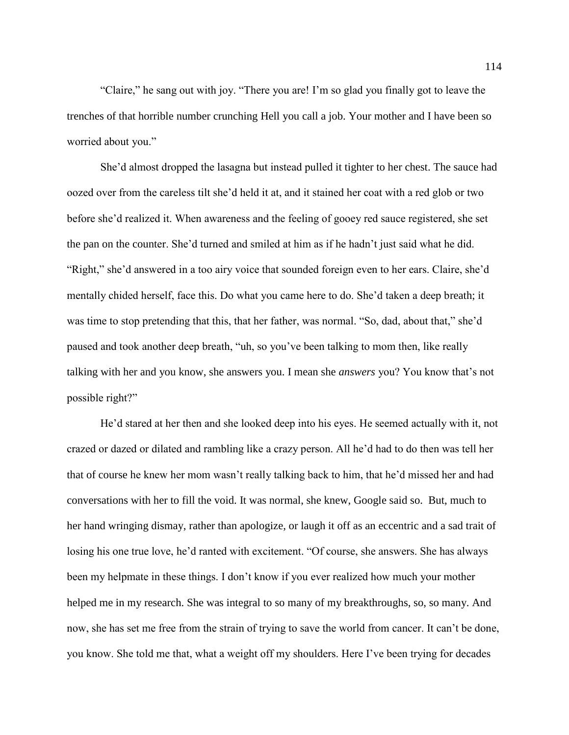"Claire," he sang out with joy. "There you are! I'm so glad you finally got to leave the trenches of that horrible number crunching Hell you call a job. Your mother and I have been so worried about you."

She'd almost dropped the lasagna but instead pulled it tighter to her chest. The sauce had oozed over from the careless tilt she'd held it at, and it stained her coat with a red glob or two before she'd realized it. When awareness and the feeling of gooey red sauce registered, she set the pan on the counter. She'd turned and smiled at him as if he hadn't just said what he did. "Right," she'd answered in a too airy voice that sounded foreign even to her ears. Claire, she'd mentally chided herself, face this. Do what you came here to do. She'd taken a deep breath; it was time to stop pretending that this, that her father, was normal. "So, dad, about that," she'd paused and took another deep breath, "uh, so you've been talking to mom then, like really talking with her and you know, she answers you. I mean she *answers* you? You know that's not possible right?"

He'd stared at her then and she looked deep into his eyes. He seemed actually with it, not crazed or dazed or dilated and rambling like a crazy person. All he'd had to do then was tell her that of course he knew her mom wasn't really talking back to him, that he'd missed her and had conversations with her to fill the void. It was normal, she knew, Google said so. But, much to her hand wringing dismay, rather than apologize, or laugh it off as an eccentric and a sad trait of losing his one true love, he'd ranted with excitement. "Of course, she answers. She has always been my helpmate in these things. I don't know if you ever realized how much your mother helped me in my research. She was integral to so many of my breakthroughs, so, so many. And now, she has set me free from the strain of trying to save the world from cancer. It can't be done, you know. She told me that, what a weight off my shoulders. Here I've been trying for decades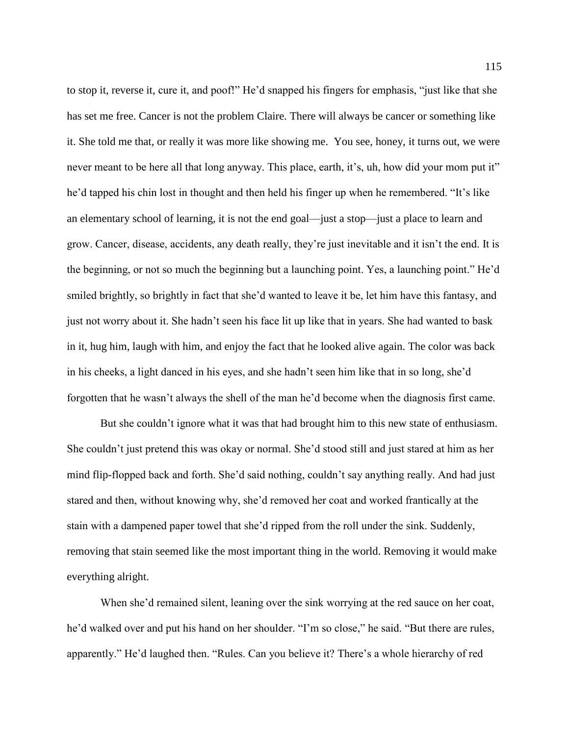to stop it, reverse it, cure it, and poof!" He'd snapped his fingers for emphasis, "just like that she has set me free. Cancer is not the problem Claire. There will always be cancer or something like it. She told me that, or really it was more like showing me. You see, honey, it turns out, we were never meant to be here all that long anyway. This place, earth, it's, uh, how did your mom put it" he'd tapped his chin lost in thought and then held his finger up when he remembered. "It's like an elementary school of learning, it is not the end goal—just a stop—just a place to learn and grow. Cancer, disease, accidents, any death really, they're just inevitable and it isn't the end. It is the beginning, or not so much the beginning but a launching point. Yes, a launching point." He'd smiled brightly, so brightly in fact that she'd wanted to leave it be, let him have this fantasy, and just not worry about it. She hadn't seen his face lit up like that in years. She had wanted to bask in it, hug him, laugh with him, and enjoy the fact that he looked alive again. The color was back in his cheeks, a light danced in his eyes, and she hadn't seen him like that in so long, she'd forgotten that he wasn't always the shell of the man he'd become when the diagnosis first came.

But she couldn't ignore what it was that had brought him to this new state of enthusiasm. She couldn't just pretend this was okay or normal. She'd stood still and just stared at him as her mind flip-flopped back and forth. She'd said nothing, couldn't say anything really. And had just stared and then, without knowing why, she'd removed her coat and worked frantically at the stain with a dampened paper towel that she'd ripped from the roll under the sink. Suddenly, removing that stain seemed like the most important thing in the world. Removing it would make everything alright.

When she'd remained silent, leaning over the sink worrying at the red sauce on her coat, he'd walked over and put his hand on her shoulder. "I'm so close," he said. "But there are rules, apparently." He'd laughed then. "Rules. Can you believe it? There's a whole hierarchy of red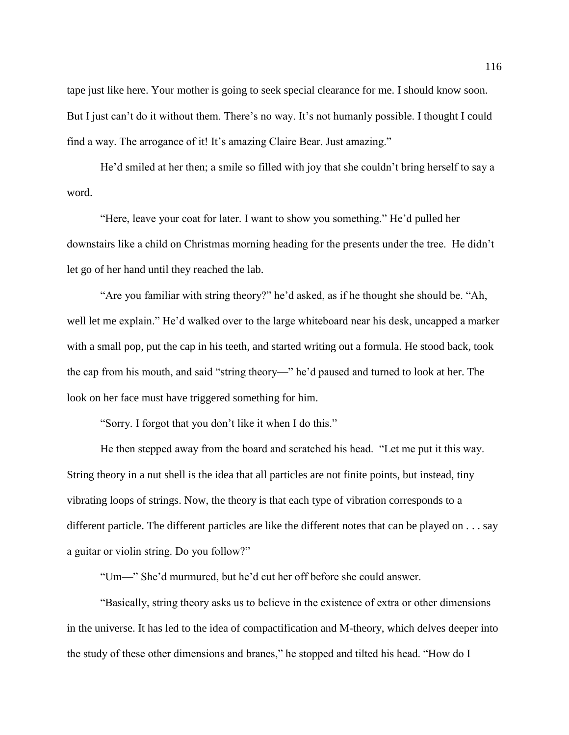tape just like here. Your mother is going to seek special clearance for me. I should know soon. But I just can't do it without them. There's no way. It's not humanly possible. I thought I could find a way. The arrogance of it! It's amazing Claire Bear. Just amazing."

He'd smiled at her then; a smile so filled with joy that she couldn't bring herself to say a word.

"Here, leave your coat for later. I want to show you something." He'd pulled her downstairs like a child on Christmas morning heading for the presents under the tree. He didn't let go of her hand until they reached the lab.

"Are you familiar with string theory?" he'd asked, as if he thought she should be. "Ah, well let me explain." He'd walked over to the large whiteboard near his desk, uncapped a marker with a small pop, put the cap in his teeth, and started writing out a formula. He stood back, took the cap from his mouth, and said "string theory—" he'd paused and turned to look at her. The look on her face must have triggered something for him.

"Sorry. I forgot that you don't like it when I do this."

He then stepped away from the board and scratched his head. "Let me put it this way. String theory in a nut shell is the idea that all particles are not finite points, but instead, tiny vibrating loops of strings. Now, the theory is that each type of vibration corresponds to a different particle. The different particles are like the different notes that can be played on . . . say a guitar or violin string. Do you follow?"

"Um—" She'd murmured, but he'd cut her off before she could answer.

"Basically, string theory asks us to believe in the existence of extra or other dimensions in the universe. It has led to the idea of compactification and M-theory, which delves deeper into the study of these other dimensions and branes," he stopped and tilted his head. "How do I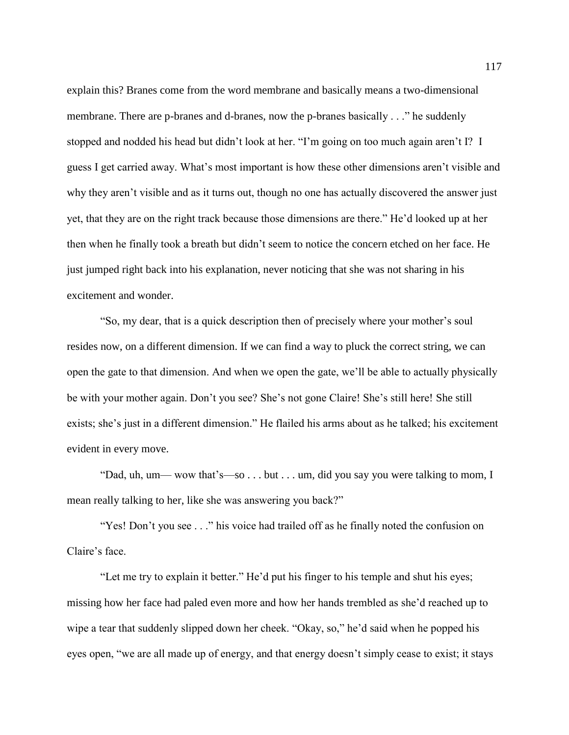explain this? Branes come from the word membrane and basically means a two-dimensional membrane. There are p-branes and d-branes, now the p-branes basically . . ." he suddenly stopped and nodded his head but didn't look at her. "I'm going on too much again aren't I? I guess I get carried away. What's most important is how these other dimensions aren't visible and why they aren't visible and as it turns out, though no one has actually discovered the answer just yet, that they are on the right track because those dimensions are there." He'd looked up at her then when he finally took a breath but didn't seem to notice the concern etched on her face. He just jumped right back into his explanation, never noticing that she was not sharing in his excitement and wonder.

"So, my dear, that is a quick description then of precisely where your mother's soul resides now, on a different dimension. If we can find a way to pluck the correct string, we can open the gate to that dimension. And when we open the gate, we'll be able to actually physically be with your mother again. Don't you see? She's not gone Claire! She's still here! She still exists; she's just in a different dimension." He flailed his arms about as he talked; his excitement evident in every move.

"Dad, uh, um— wow that's—so . . . but . . . um, did you say you were talking to mom, I mean really talking to her, like she was answering you back?"

"Yes! Don't you see . . ." his voice had trailed off as he finally noted the confusion on Claire's face.

"Let me try to explain it better." He'd put his finger to his temple and shut his eyes; missing how her face had paled even more and how her hands trembled as she'd reached up to wipe a tear that suddenly slipped down her cheek. "Okay, so," he'd said when he popped his eyes open, "we are all made up of energy, and that energy doesn't simply cease to exist; it stays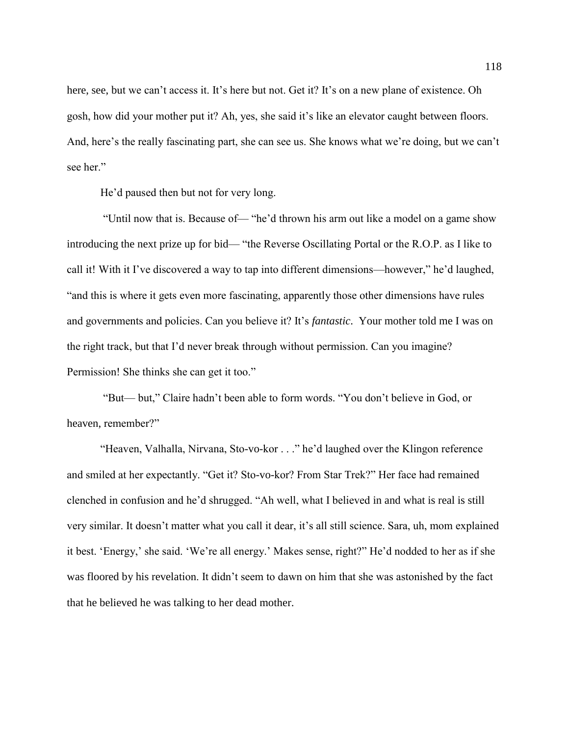here, see, but we can't access it. It's here but not. Get it? It's on a new plane of existence. Oh gosh, how did your mother put it? Ah, yes, she said it's like an elevator caught between floors. And, here's the really fascinating part, she can see us. She knows what we're doing, but we can't see her."

He'd paused then but not for very long.

"Until now that is. Because of— "he'd thrown his arm out like a model on a game show introducing the next prize up for bid— "the Reverse Oscillating Portal or the R.O.P. as I like to call it! With it I've discovered a way to tap into different dimensions—however," he'd laughed, "and this is where it gets even more fascinating, apparently those other dimensions have rules and governments and policies. Can you believe it? It's *fantastic*. Your mother told me I was on the right track, but that I'd never break through without permission. Can you imagine? Permission! She thinks she can get it too."

"But— but," Claire hadn't been able to form words. "You don't believe in God, or heaven, remember?"

"Heaven, Valhalla, Nirvana, Sto-vo-kor . . ." he'd laughed over the Klingon reference and smiled at her expectantly. "Get it? Sto-vo-kor? From Star Trek?" Her face had remained clenched in confusion and he'd shrugged. "Ah well, what I believed in and what is real is still very similar. It doesn't matter what you call it dear, it's all still science. Sara, uh, mom explained it best. 'Energy,' she said. 'We're all energy.' Makes sense, right?" He'd nodded to her as if she was floored by his revelation. It didn't seem to dawn on him that she was astonished by the fact that he believed he was talking to her dead mother.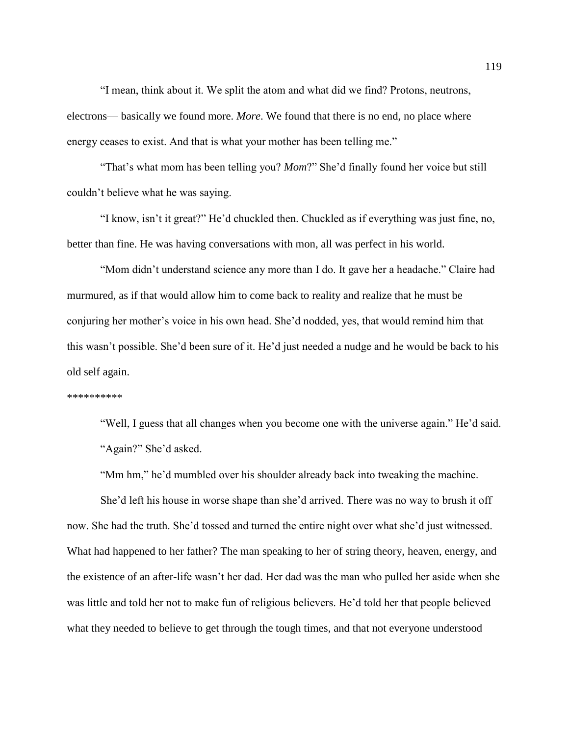"I mean, think about it. We split the atom and what did we find? Protons, neutrons, electrons— basically we found more. *More*. We found that there is no end, no place where energy ceases to exist. And that is what your mother has been telling me."

"That's what mom has been telling you? *Mom*?" She'd finally found her voice but still couldn't believe what he was saying.

"I know, isn't it great?" He'd chuckled then. Chuckled as if everything was just fine, no, better than fine. He was having conversations with mon, all was perfect in his world.

"Mom didn't understand science any more than I do. It gave her a headache." Claire had murmured, as if that would allow him to come back to reality and realize that he must be conjuring her mother's voice in his own head. She'd nodded, yes, that would remind him that this wasn't possible. She'd been sure of it. He'd just needed a nudge and he would be back to his old self again.

## \*\*\*\*\*\*\*\*\*

"Well, I guess that all changes when you become one with the universe again." He'd said. "Again?" She'd asked.

"Mm hm," he'd mumbled over his shoulder already back into tweaking the machine.

She'd left his house in worse shape than she'd arrived. There was no way to brush it off now. She had the truth. She'd tossed and turned the entire night over what she'd just witnessed. What had happened to her father? The man speaking to her of string theory, heaven, energy, and the existence of an after-life wasn't her dad. Her dad was the man who pulled her aside when she was little and told her not to make fun of religious believers. He'd told her that people believed what they needed to believe to get through the tough times, and that not everyone understood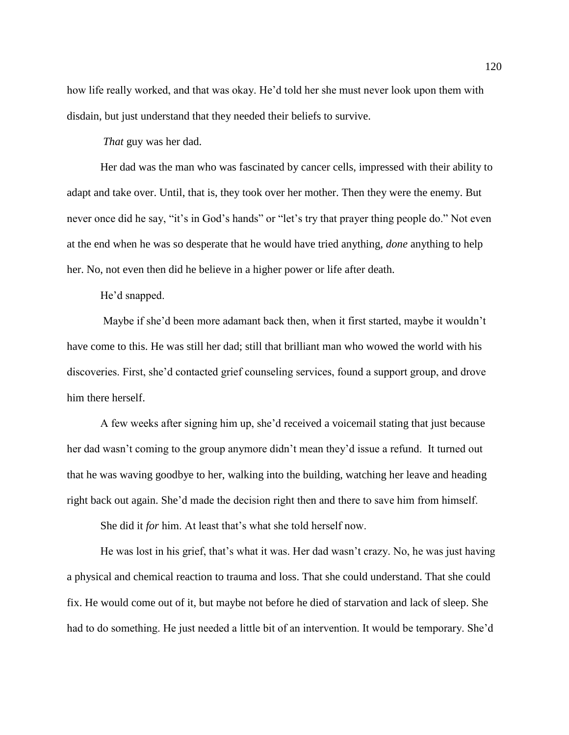how life really worked, and that was okay. He'd told her she must never look upon them with disdain, but just understand that they needed their beliefs to survive.

*That* guy was her dad.

Her dad was the man who was fascinated by cancer cells, impressed with their ability to adapt and take over. Until, that is, they took over her mother. Then they were the enemy. But never once did he say, "it's in God's hands" or "let's try that prayer thing people do." Not even at the end when he was so desperate that he would have tried anything, *done* anything to help her. No, not even then did he believe in a higher power or life after death.

He'd snapped.

Maybe if she'd been more adamant back then, when it first started, maybe it wouldn't have come to this. He was still her dad; still that brilliant man who wowed the world with his discoveries. First, she'd contacted grief counseling services, found a support group, and drove him there herself.

A few weeks after signing him up, she'd received a voicemail stating that just because her dad wasn't coming to the group anymore didn't mean they'd issue a refund. It turned out that he was waving goodbye to her, walking into the building, watching her leave and heading right back out again. She'd made the decision right then and there to save him from himself.

She did it *for* him. At least that's what she told herself now.

He was lost in his grief, that's what it was. Her dad wasn't crazy. No, he was just having a physical and chemical reaction to trauma and loss. That she could understand. That she could fix. He would come out of it, but maybe not before he died of starvation and lack of sleep. She had to do something. He just needed a little bit of an intervention. It would be temporary. She'd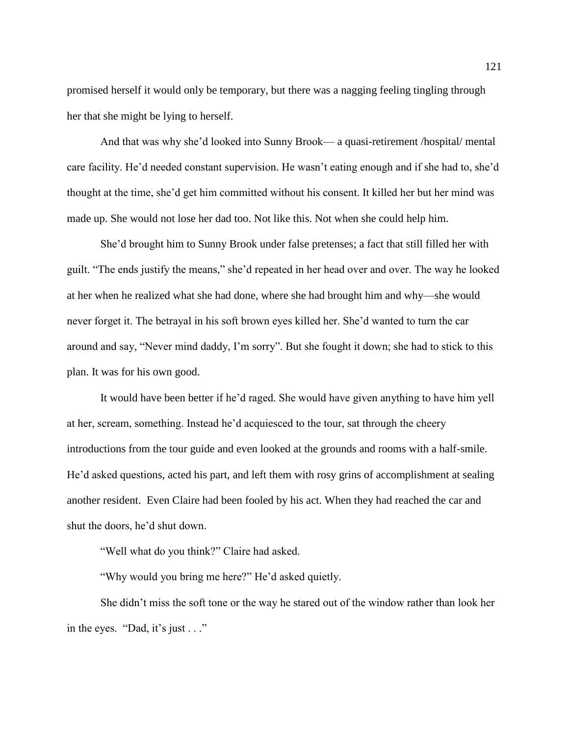promised herself it would only be temporary, but there was a nagging feeling tingling through her that she might be lying to herself.

And that was why she'd looked into Sunny Brook— a quasi-retirement /hospital/ mental care facility. He'd needed constant supervision. He wasn't eating enough and if she had to, she'd thought at the time, she'd get him committed without his consent. It killed her but her mind was made up. She would not lose her dad too. Not like this. Not when she could help him.

She'd brought him to Sunny Brook under false pretenses; a fact that still filled her with guilt. "The ends justify the means," she'd repeated in her head over and over. The way he looked at her when he realized what she had done, where she had brought him and why—she would never forget it. The betrayal in his soft brown eyes killed her. She'd wanted to turn the car around and say, "Never mind daddy, I'm sorry". But she fought it down; she had to stick to this plan. It was for his own good.

It would have been better if he'd raged. She would have given anything to have him yell at her, scream, something. Instead he'd acquiesced to the tour, sat through the cheery introductions from the tour guide and even looked at the grounds and rooms with a half-smile. He'd asked questions, acted his part, and left them with rosy grins of accomplishment at sealing another resident. Even Claire had been fooled by his act. When they had reached the car and shut the doors, he'd shut down.

"Well what do you think?" Claire had asked.

"Why would you bring me here?" He'd asked quietly.

She didn't miss the soft tone or the way he stared out of the window rather than look her in the eyes. "Dad, it's just . . ."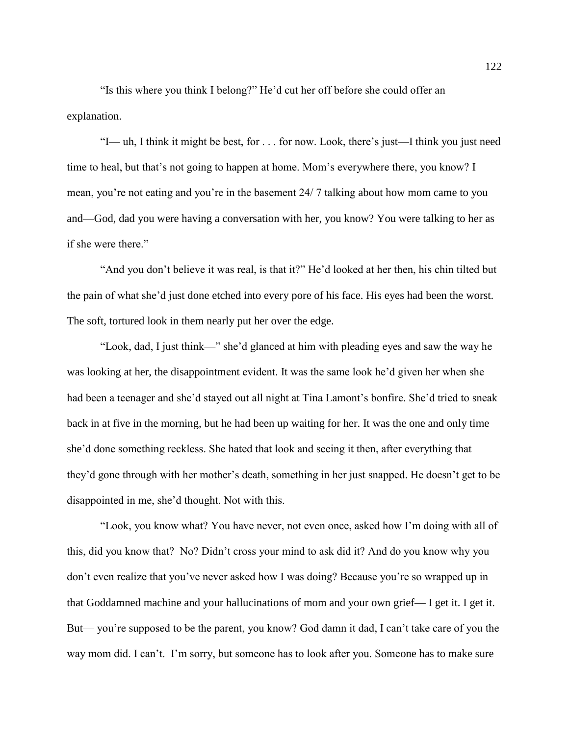"Is this where you think I belong?" He'd cut her off before she could offer an explanation.

"I— uh, I think it might be best, for . . . for now. Look, there's just—I think you just need time to heal, but that's not going to happen at home. Mom's everywhere there, you know? I mean, you're not eating and you're in the basement 24/ 7 talking about how mom came to you and—God, dad you were having a conversation with her, you know? You were talking to her as if she were there."

"And you don't believe it was real, is that it?" He'd looked at her then, his chin tilted but the pain of what she'd just done etched into every pore of his face. His eyes had been the worst. The soft, tortured look in them nearly put her over the edge.

"Look, dad, I just think—" she'd glanced at him with pleading eyes and saw the way he was looking at her, the disappointment evident. It was the same look he'd given her when she had been a teenager and she'd stayed out all night at Tina Lamont's bonfire. She'd tried to sneak back in at five in the morning, but he had been up waiting for her. It was the one and only time she'd done something reckless. She hated that look and seeing it then, after everything that they'd gone through with her mother's death, something in her just snapped. He doesn't get to be disappointed in me, she'd thought. Not with this.

"Look, you know what? You have never, not even once, asked how I'm doing with all of this, did you know that? No? Didn't cross your mind to ask did it? And do you know why you don't even realize that you've never asked how I was doing? Because you're so wrapped up in that Goddamned machine and your hallucinations of mom and your own grief— I get it. I get it. But— you're supposed to be the parent, you know? God damn it dad, I can't take care of you the way mom did. I can't. I'm sorry, but someone has to look after you. Someone has to make sure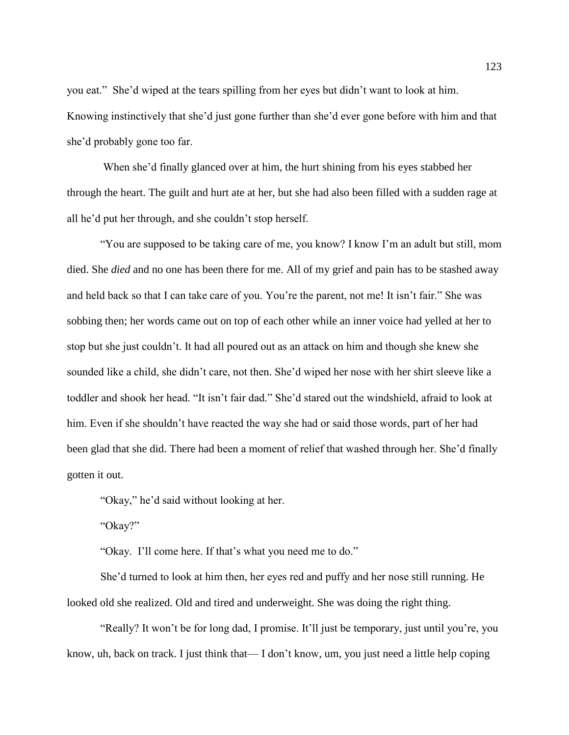you eat." She'd wiped at the tears spilling from her eyes but didn't want to look at him. Knowing instinctively that she'd just gone further than she'd ever gone before with him and that she'd probably gone too far.

When she'd finally glanced over at him, the hurt shining from his eyes stabbed her through the heart. The guilt and hurt ate at her, but she had also been filled with a sudden rage at all he'd put her through, and she couldn't stop herself.

"You are supposed to be taking care of me, you know? I know I'm an adult but still, mom died. She *died* and no one has been there for me. All of my grief and pain has to be stashed away and held back so that I can take care of you. You're the parent, not me! It isn't fair." She was sobbing then; her words came out on top of each other while an inner voice had yelled at her to stop but she just couldn't. It had all poured out as an attack on him and though she knew she sounded like a child, she didn't care, not then. She'd wiped her nose with her shirt sleeve like a toddler and shook her head. "It isn't fair dad." She'd stared out the windshield, afraid to look at him. Even if she shouldn't have reacted the way she had or said those words, part of her had been glad that she did. There had been a moment of relief that washed through her. She'd finally gotten it out.

"Okay," he'd said without looking at her.

"Okay?"

"Okay. I'll come here. If that's what you need me to do."

She'd turned to look at him then, her eyes red and puffy and her nose still running. He looked old she realized. Old and tired and underweight. She was doing the right thing.

"Really? It won't be for long dad, I promise. It'll just be temporary, just until you're, you know, uh, back on track. I just think that— I don't know, um, you just need a little help coping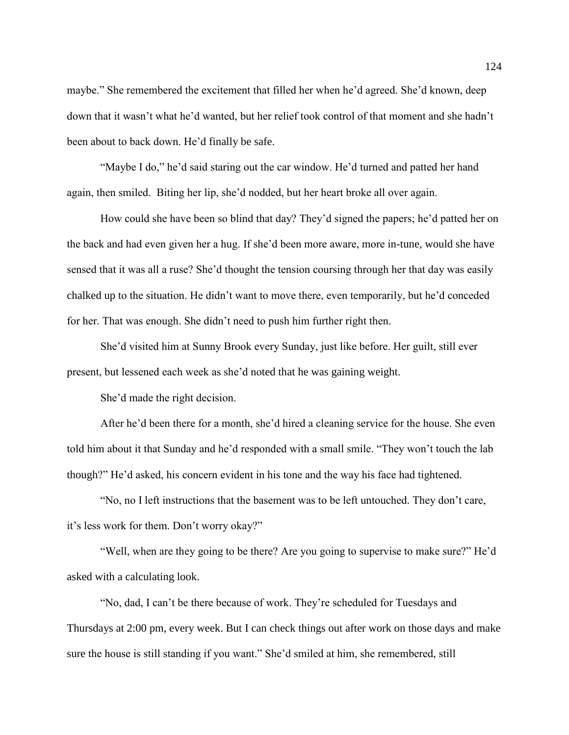maybe." She remembered the excitement that filled her when he'd agreed. She'd known, deep down that it wasn't what he'd wanted, but her relief took control of that moment and she hadn't been about to back down. He'd finally be safe.

"Maybe I do," he'd said staring out the car window. He'd turned and patted her hand again, then smiled. Biting her lip, she'd nodded, but her heart broke all over again.

How could she have been so blind that day? They'd signed the papers; he'd patted her on the back and had even given her a hug. If she'd been more aware, more in-tune, would she have sensed that it was all a ruse? She'd thought the tension coursing through her that day was easily chalked up to the situation. He didn't want to move there, even temporarily, but he'd conceded for her. That was enough. She didn't need to push him further right then.

She'd visited him at Sunny Brook every Sunday, just like before. Her guilt, still ever present, but lessened each week as she'd noted that he was gaining weight.

She'd made the right decision.

After he'd been there for a month, she'd hired a cleaning service for the house. She even told him about it that Sunday and he'd responded with a small smile. "They won't touch the lab though?" He'd asked, his concern evident in his tone and the way his face had tightened.

"No, no I left instructions that the basement was to be left untouched. They don't care, it's less work for them. Don't worry okay?"

"Well, when are they going to be there? Are you going to supervise to make sure?" He'd asked with a calculating look.

"No, dad, I can't be there because of work. They're scheduled for Tuesdays and Thursdays at 2:00 pm, every week. But I can check things out after work on those days and make sure the house is still standing if you want." She'd smiled at him, she remembered, still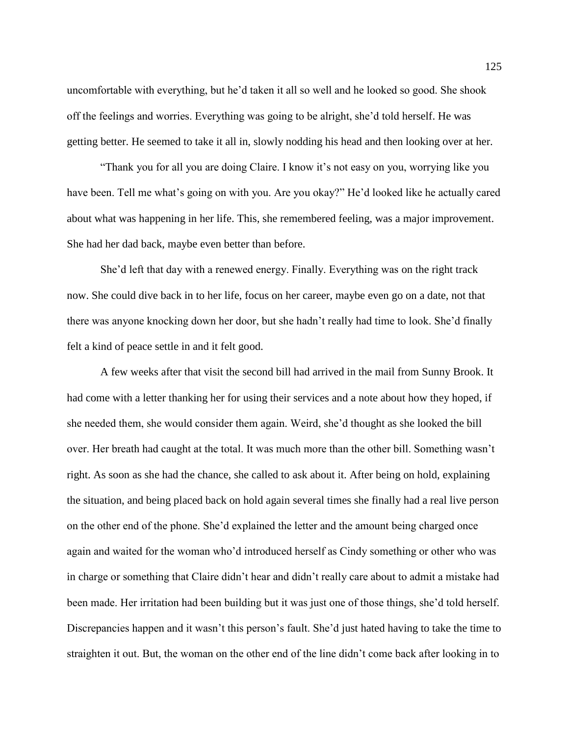uncomfortable with everything, but he'd taken it all so well and he looked so good. She shook off the feelings and worries. Everything was going to be alright, she'd told herself. He was getting better. He seemed to take it all in, slowly nodding his head and then looking over at her.

"Thank you for all you are doing Claire. I know it's not easy on you, worrying like you have been. Tell me what's going on with you. Are you okay?" He'd looked like he actually cared about what was happening in her life. This, she remembered feeling, was a major improvement. She had her dad back, maybe even better than before.

She'd left that day with a renewed energy. Finally. Everything was on the right track now. She could dive back in to her life, focus on her career, maybe even go on a date, not that there was anyone knocking down her door, but she hadn't really had time to look. She'd finally felt a kind of peace settle in and it felt good.

A few weeks after that visit the second bill had arrived in the mail from Sunny Brook. It had come with a letter thanking her for using their services and a note about how they hoped, if she needed them, she would consider them again. Weird, she'd thought as she looked the bill over. Her breath had caught at the total. It was much more than the other bill. Something wasn't right. As soon as she had the chance, she called to ask about it. After being on hold, explaining the situation, and being placed back on hold again several times she finally had a real live person on the other end of the phone. She'd explained the letter and the amount being charged once again and waited for the woman who'd introduced herself as Cindy something or other who was in charge or something that Claire didn't hear and didn't really care about to admit a mistake had been made. Her irritation had been building but it was just one of those things, she'd told herself. Discrepancies happen and it wasn't this person's fault. She'd just hated having to take the time to straighten it out. But, the woman on the other end of the line didn't come back after looking in to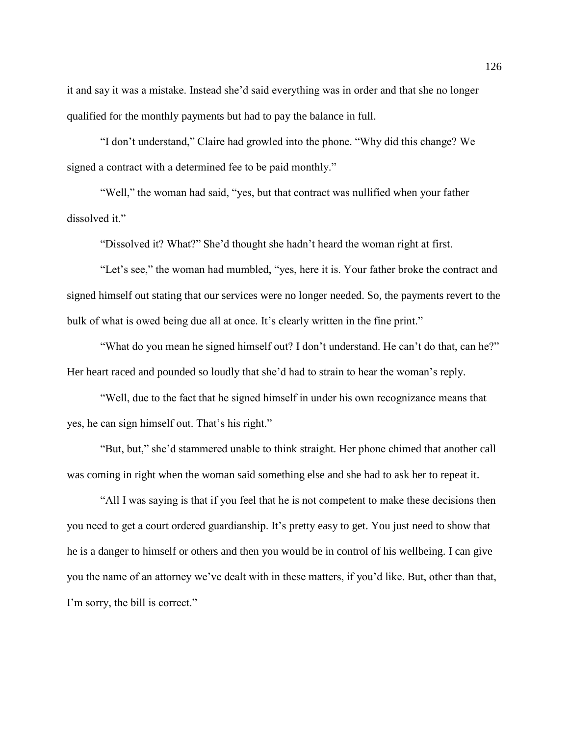it and say it was a mistake. Instead she'd said everything was in order and that she no longer qualified for the monthly payments but had to pay the balance in full.

"I don't understand," Claire had growled into the phone. "Why did this change? We signed a contract with a determined fee to be paid monthly."

"Well," the woman had said, "yes, but that contract was nullified when your father dissolved it."

"Dissolved it? What?" She'd thought she hadn't heard the woman right at first.

"Let's see," the woman had mumbled, "yes, here it is. Your father broke the contract and signed himself out stating that our services were no longer needed. So, the payments revert to the bulk of what is owed being due all at once. It's clearly written in the fine print."

"What do you mean he signed himself out? I don't understand. He can't do that, can he?" Her heart raced and pounded so loudly that she'd had to strain to hear the woman's reply.

"Well, due to the fact that he signed himself in under his own recognizance means that yes, he can sign himself out. That's his right."

"But, but," she'd stammered unable to think straight. Her phone chimed that another call was coming in right when the woman said something else and she had to ask her to repeat it.

"All I was saying is that if you feel that he is not competent to make these decisions then you need to get a court ordered guardianship. It's pretty easy to get. You just need to show that he is a danger to himself or others and then you would be in control of his wellbeing. I can give you the name of an attorney we've dealt with in these matters, if you'd like. But, other than that, I'm sorry, the bill is correct."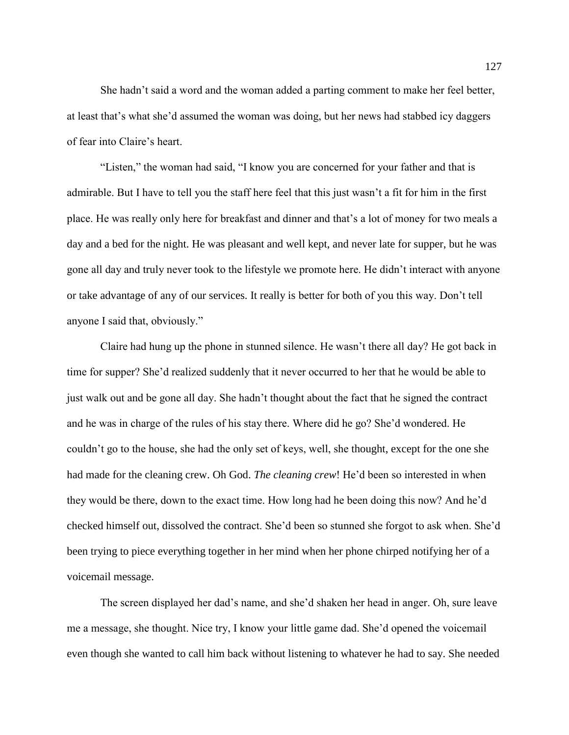She hadn't said a word and the woman added a parting comment to make her feel better, at least that's what she'd assumed the woman was doing, but her news had stabbed icy daggers of fear into Claire's heart.

"Listen," the woman had said, "I know you are concerned for your father and that is admirable. But I have to tell you the staff here feel that this just wasn't a fit for him in the first place. He was really only here for breakfast and dinner and that's a lot of money for two meals a day and a bed for the night. He was pleasant and well kept, and never late for supper, but he was gone all day and truly never took to the lifestyle we promote here. He didn't interact with anyone or take advantage of any of our services. It really is better for both of you this way. Don't tell anyone I said that, obviously."

Claire had hung up the phone in stunned silence. He wasn't there all day? He got back in time for supper? She'd realized suddenly that it never occurred to her that he would be able to just walk out and be gone all day. She hadn't thought about the fact that he signed the contract and he was in charge of the rules of his stay there. Where did he go? She'd wondered. He couldn't go to the house, she had the only set of keys, well, she thought, except for the one she had made for the cleaning crew. Oh God. *The cleaning crew*! He'd been so interested in when they would be there, down to the exact time. How long had he been doing this now? And he'd checked himself out, dissolved the contract. She'd been so stunned she forgot to ask when. She'd been trying to piece everything together in her mind when her phone chirped notifying her of a voicemail message.

The screen displayed her dad's name, and she'd shaken her head in anger. Oh, sure leave me a message, she thought. Nice try, I know your little game dad. She'd opened the voicemail even though she wanted to call him back without listening to whatever he had to say. She needed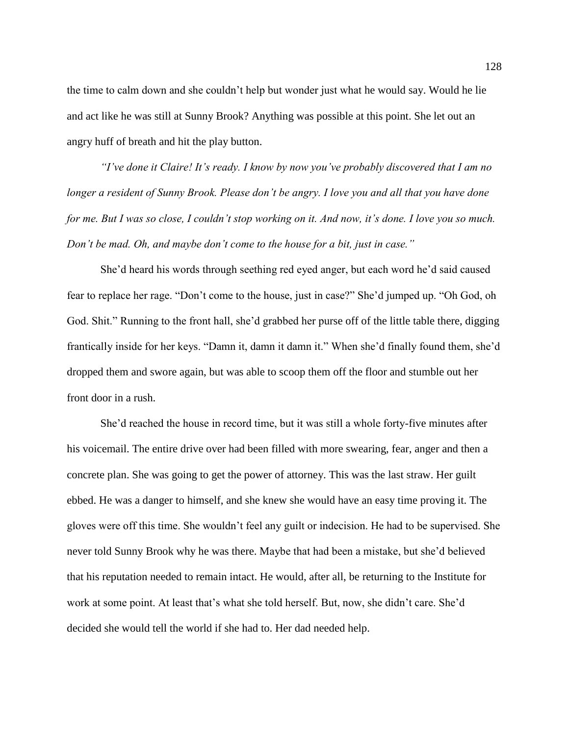the time to calm down and she couldn't help but wonder just what he would say. Would he lie and act like he was still at Sunny Brook? Anything was possible at this point. She let out an angry huff of breath and hit the play button.

*"I've done it Claire! It's ready. I know by now you've probably discovered that I am no longer a resident of Sunny Brook. Please don't be angry. I love you and all that you have done for me. But I was so close, I couldn't stop working on it. And now, it's done. I love you so much. Don't be mad. Oh, and maybe don't come to the house for a bit, just in case."*

She'd heard his words through seething red eyed anger, but each word he'd said caused fear to replace her rage. "Don't come to the house, just in case?" She'd jumped up. "Oh God, oh God. Shit." Running to the front hall, she'd grabbed her purse off of the little table there, digging frantically inside for her keys. "Damn it, damn it damn it." When she'd finally found them, she'd dropped them and swore again, but was able to scoop them off the floor and stumble out her front door in a rush.

She'd reached the house in record time, but it was still a whole forty-five minutes after his voicemail. The entire drive over had been filled with more swearing, fear, anger and then a concrete plan. She was going to get the power of attorney. This was the last straw. Her guilt ebbed. He was a danger to himself, and she knew she would have an easy time proving it. The gloves were off this time. She wouldn't feel any guilt or indecision. He had to be supervised. She never told Sunny Brook why he was there. Maybe that had been a mistake, but she'd believed that his reputation needed to remain intact. He would, after all, be returning to the Institute for work at some point. At least that's what she told herself. But, now, she didn't care. She'd decided she would tell the world if she had to. Her dad needed help.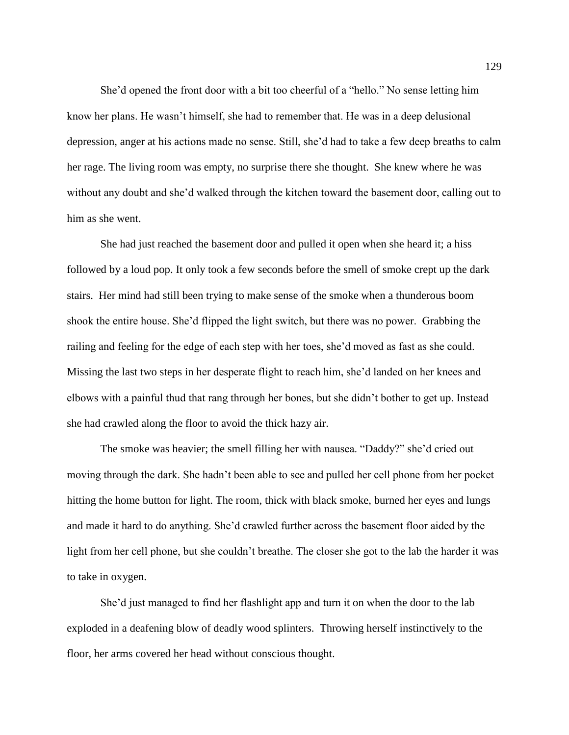She'd opened the front door with a bit too cheerful of a "hello." No sense letting him know her plans. He wasn't himself, she had to remember that. He was in a deep delusional depression, anger at his actions made no sense. Still, she'd had to take a few deep breaths to calm her rage. The living room was empty, no surprise there she thought. She knew where he was without any doubt and she'd walked through the kitchen toward the basement door, calling out to him as she went.

She had just reached the basement door and pulled it open when she heard it; a hiss followed by a loud pop. It only took a few seconds before the smell of smoke crept up the dark stairs. Her mind had still been trying to make sense of the smoke when a thunderous boom shook the entire house. She'd flipped the light switch, but there was no power. Grabbing the railing and feeling for the edge of each step with her toes, she'd moved as fast as she could. Missing the last two steps in her desperate flight to reach him, she'd landed on her knees and elbows with a painful thud that rang through her bones, but she didn't bother to get up. Instead she had crawled along the floor to avoid the thick hazy air.

The smoke was heavier; the smell filling her with nausea. "Daddy?" she'd cried out moving through the dark. She hadn't been able to see and pulled her cell phone from her pocket hitting the home button for light. The room, thick with black smoke, burned her eyes and lungs and made it hard to do anything. She'd crawled further across the basement floor aided by the light from her cell phone, but she couldn't breathe. The closer she got to the lab the harder it was to take in oxygen.

She'd just managed to find her flashlight app and turn it on when the door to the lab exploded in a deafening blow of deadly wood splinters. Throwing herself instinctively to the floor, her arms covered her head without conscious thought.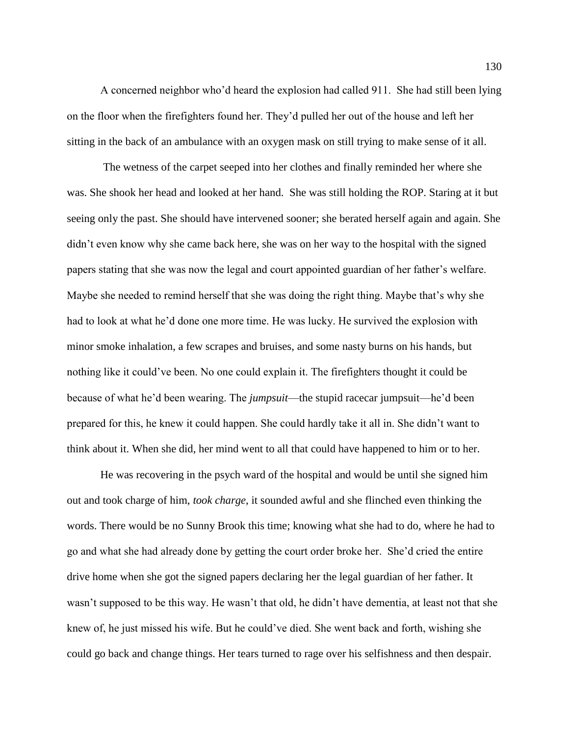A concerned neighbor who'd heard the explosion had called 911. She had still been lying on the floor when the firefighters found her. They'd pulled her out of the house and left her sitting in the back of an ambulance with an oxygen mask on still trying to make sense of it all.

The wetness of the carpet seeped into her clothes and finally reminded her where she was. She shook her head and looked at her hand. She was still holding the ROP. Staring at it but seeing only the past. She should have intervened sooner; she berated herself again and again. She didn't even know why she came back here, she was on her way to the hospital with the signed papers stating that she was now the legal and court appointed guardian of her father's welfare. Maybe she needed to remind herself that she was doing the right thing. Maybe that's why she had to look at what he'd done one more time. He was lucky. He survived the explosion with minor smoke inhalation, a few scrapes and bruises, and some nasty burns on his hands, but nothing like it could've been. No one could explain it. The firefighters thought it could be because of what he'd been wearing. The *jumpsuit*—the stupid racecar jumpsuit—he'd been prepared for this, he knew it could happen. She could hardly take it all in. She didn't want to think about it. When she did, her mind went to all that could have happened to him or to her.

He was recovering in the psych ward of the hospital and would be until she signed him out and took charge of him, *took charge*, it sounded awful and she flinched even thinking the words. There would be no Sunny Brook this time; knowing what she had to do, where he had to go and what she had already done by getting the court order broke her. She'd cried the entire drive home when she got the signed papers declaring her the legal guardian of her father. It wasn't supposed to be this way. He wasn't that old, he didn't have dementia, at least not that she knew of, he just missed his wife. But he could've died. She went back and forth, wishing she could go back and change things. Her tears turned to rage over his selfishness and then despair.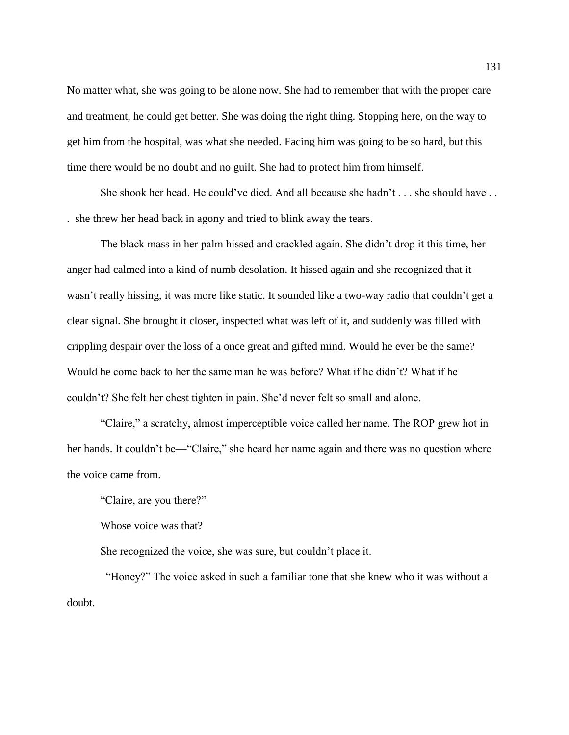No matter what, she was going to be alone now. She had to remember that with the proper care and treatment, he could get better. She was doing the right thing. Stopping here, on the way to get him from the hospital, was what she needed. Facing him was going to be so hard, but this time there would be no doubt and no guilt. She had to protect him from himself.

She shook her head. He could've died. And all because she hadn't . . . she should have . . . she threw her head back in agony and tried to blink away the tears.

The black mass in her palm hissed and crackled again. She didn't drop it this time, her anger had calmed into a kind of numb desolation. It hissed again and she recognized that it wasn't really hissing, it was more like static. It sounded like a two-way radio that couldn't get a clear signal. She brought it closer, inspected what was left of it, and suddenly was filled with crippling despair over the loss of a once great and gifted mind. Would he ever be the same? Would he come back to her the same man he was before? What if he didn't? What if he couldn't? She felt her chest tighten in pain. She'd never felt so small and alone.

"Claire," a scratchy, almost imperceptible voice called her name. The ROP grew hot in her hands. It couldn't be—"Claire," she heard her name again and there was no question where the voice came from.

"Claire, are you there?"

Whose voice was that?

She recognized the voice, she was sure, but couldn't place it.

 "Honey?" The voice asked in such a familiar tone that she knew who it was without a doubt.